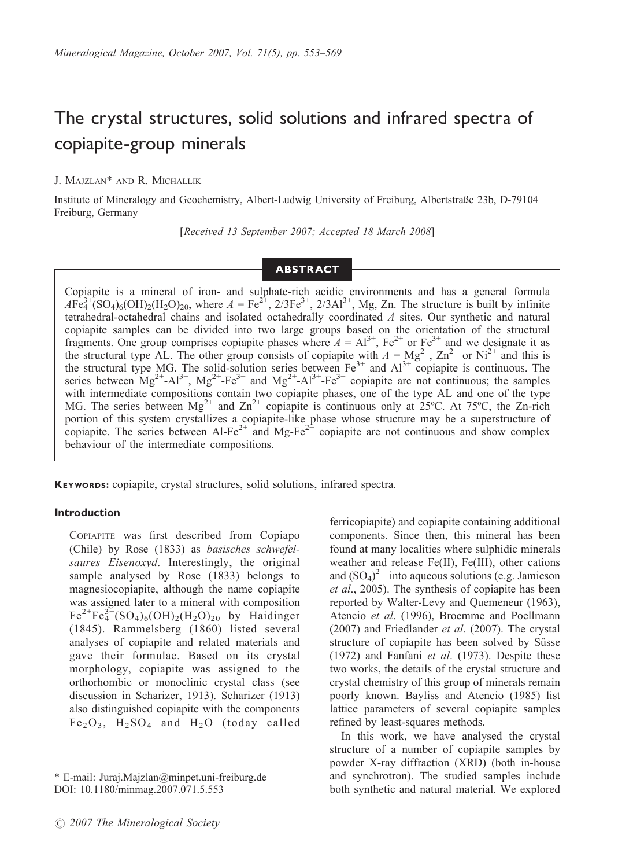# The crystal structures, solid solutions and infrared spectra of copiapite-group minerals

J. MAJZLAN\* AND R. MICHALLIK

Institute of Mineralogy and Geochemistry, Albert-Ludwig University of Freiburg, Albertstraße 23b, D-79104 Freiburg, Germany

[Received 13 September 2007; Accepted 18 March 2008]

### ABSTRACT

Copiapite is a mineral of iron- and sulphate-rich acidic environments and has a general formula  $A\overline{Fe}^{3+}_{4} (SO_4)_6 (OH)_2 (H_2 O)_{20}$ , where  $A = Fe^{2+}$ ,  $2/3Fe^{3+}$ ,  $2/3Al^{3+}$ , Mg, Zn. The structure is built by infinite tetrahedral-octahedral chains and isolated octahedrally coordinated A sites. Our synthetic and natural copiapite samples can be divided into two large groups based on the orientation of the structural fragments. One group comprises copiapite phases where  $A = Al^{3+}$ ,  $Fe^{2+}$  or  $Fe^{3+}$  and we designate it as the structural type AL. The other group consists of copiapite with  $A = Mg^{2+}$ ,  $Zn^{2+}$  or Ni<sup>2+</sup> and this is the structural type MG. The solid-solution series between  $Fe^{3+}$  and  $Al^{3+}$  copiapite is continuous. The series between  $Mg^{2+}-Al^{3+}$ ,  $Mg^{2+}-Fe^{3+}$  and  $Mg^{2+}-Al^{3+}-Fe^{3+}$  copiapite are not continuous; the samples with intermediate compositions contain two copiapite phases, one of the type AL and one of the type MG. The series between  $Mg^{2+}$  and  $Zn^{2+}$  copiapite is continuous only at 25°C. At 75°C, the Zn-rich portion of this system crystallizes a copiapite-like phase whose structure may be a superstructure of copiapite. The series between Al-Fe<sup>2+</sup> and Mg-Fe<sup>2+</sup> copiapite are not continuous and show complex behaviour of the intermediate compositions.

KEYWORDS: copiapite, crystal structures, solid solutions, infrared spectra.

### Introduction

COPIAPITE was first described from Copiapo (Chile) by Rose (1833) as basisches schwefelsaures Eisenoxyd. Interestingly, the original sample analysed by Rose (1833) belongs to magnesiocopiapite, although the name copiapite was assigned later to a mineral with composition  $\text{Fe}^{2+}\text{Fe}^{3+}_4(\text{SO}_4)_6(\text{OH})_2(\text{H}_2\text{O})_{20}$  by Haidinger (1845). Rammelsberg (1860) listed several analyses of copiapite and related materials and gave their formulae. Based on its crystal morphology, copiapite was assigned to the orthorhombic or monoclinic crystal class (see discussion in Scharizer, 1913). Scharizer (1913) also distinguished copiapite with the components  $Fe<sub>2</sub>O<sub>3</sub>$ ,  $H<sub>2</sub>SO<sub>4</sub>$  and  $H<sub>2</sub>O$  (today called

ferricopiapite) and copiapite containing additional components. Since then, this mineral has been found at many localities where sulphidic minerals weather and release Fe(II), Fe(III), other cations and  $(SO<sub>4</sub>)<sup>2-</sup>$  into aqueous solutions (e.g. Jamieson et al., 2005). The synthesis of copiapite has been reported by Walter-Levy and Quemeneur (1963), Atencio et al. (1996), Broemme and Poellmann (2007) and Friedlander et al. (2007). The crystal structure of copiapite has been solved by Süsse (1972) and Fanfani et al. (1973). Despite these two works, the details of the crystal structure and crystal chemistry of this group of minerals remain poorly known. Bayliss and Atencio (1985) list lattice parameters of several copiapite samples refined by least-squares methods.

In this work, we have analysed the crystal structure of a number of copiapite samples by powder X-ray diffraction (XRD) (both in-house and synchrotron). The studied samples include both synthetic and natural material. We explored

<sup>\*</sup> E-mail: Juraj.Majzlan@minpet.uni-freiburg.de DOI: 10.1180/minmag.2007.071.5.553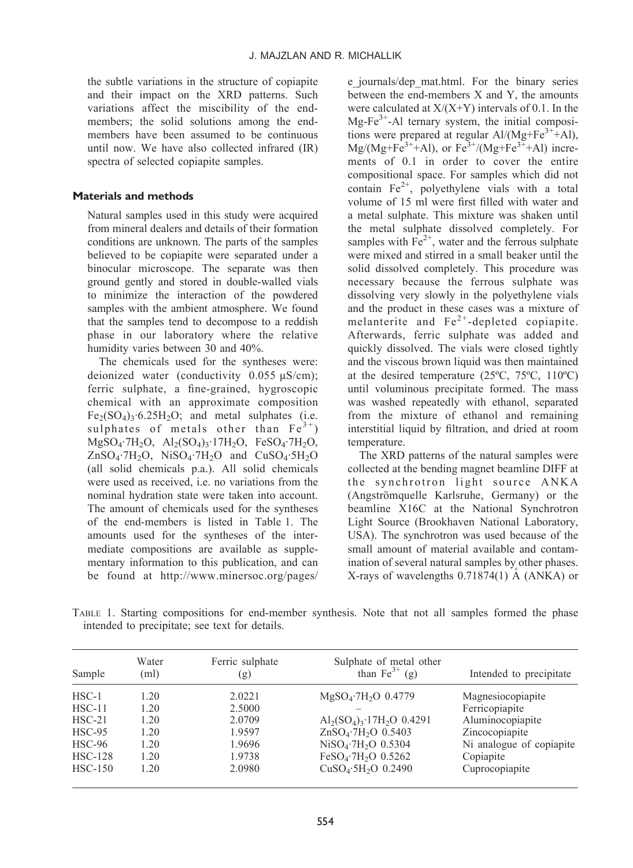the subtle variations in the structure of copiapite and their impact on the XRD patterns. Such variations affect the miscibility of the endmembers; the solid solutions among the endmembers have been assumed to be continuous until now. We have also collected infrared (IR) spectra of selected copiapite samples.

### Materials and methods

Natural samples used in this study were acquired from mineral dealers and details of their formation conditions are unknown. The parts of the samples believed to be copiapite were separated under a binocular microscope. The separate was then ground gently and stored in double-walled vials to minimize the interaction of the powdered samples with the ambient atmosphere. We found that the samples tend to decompose to a reddish phase in our laboratory where the relative humidity varies between 30 and 40%.

The chemicals used for the syntheses were: deionized water (conductivity  $0.055 \mu S/cm$ ); ferric sulphate, a fine-grained, hygroscopic chemical with an approximate composition  $Fe<sub>2</sub>(SO<sub>4</sub>)<sub>3</sub>·6.25H<sub>2</sub>O$ ; and metal sulphates (i.e. sulphates of metals other than  $Fe^{3+}$ )  $MgSO_4·7H_2O$ ,  $Al_2(SO_4)$ <sub>3</sub> $·17H_2O$ ,  $FeSO_4·7H_2O$ ,  $ZnSO_4·7H_2O$ ,  $NiSO_4·7H_2O$  and  $CuSO_4·5H_2O$ (all solid chemicals p.a.). All solid chemicals were used as received, *i.e.* no variations from the nominal hydration state were taken into account. The amount of chemicals used for the syntheses of the end-members is listed in Table 1. The amounts used for the syntheses of the intermediate compositions are available as supplementary information to this publication, and can be found at http://www.minersoc.org/pages/ e\_journals/dep\_mat.html. For the binary series between the end-members X and Y, the amounts were calculated at  $X/(X+Y)$  intervals of 0.1. In the  $Mg-Fe<sup>3+</sup>-Al$  ternary system, the initial compositions were prepared at regular  $Al/(Mg + Fe^{3+}+Al)$ ,  $Mg/(Mg+Fe^{3+}+A)$ , or  $Fe^{3+}/(Mg+Fe^{3+}+A)$  increments of 0.1 in order to cover the entire compositional space. For samples which did not contain  $Fe^{2+}$ , polyethylene vials with a total volume of 15 ml were first filled with water and a metal sulphate. This mixture was shaken until the metal sulphate dissolved completely. For samples with  $Fe^{2+}$ , water and the ferrous sulphate were mixed and stirred in a small beaker until the solid dissolved completely. This procedure was necessary because the ferrous sulphate was dissolving very slowly in the polyethylene vials and the product in these cases was a mixture of melanterite and  $Fe^{2+}$ -depleted copiapite. Afterwards, ferric sulphate was added and quickly dissolved. The vials were closed tightly and the viscous brown liquid was then maintained at the desired temperature (25ºC, 75ºC, 110ºC) until voluminous precipitate formed. The mass was washed repeatedly with ethanol, separated from the mixture of ethanol and remaining interstitial liquid by filtration, and dried at room temperature.

The XRD patterns of the natural samples were collected at the bending magnet beamline DIFF at the synchrotron light source ANKA (Angströmquelle Karlsruhe, Germany) or the beamline X16C at the National Synchrotron Light Source (Brookhaven National Laboratory, USA). The synchrotron was used because of the small amount of material available and contamination of several natural samples by other phases. X-rays of wavelengths  $0.71874(1)$  Å (ANKA) or

TABLE 1. Starting compositions for end-member synthesis. Note that not all samples formed the phase intended to precipitate; see text for details.

| Sample    | Water<br>(ml) | Ferric sulphate<br>(g) | Sulphate of metal other<br>than $Fe^{3+}$ (g) | Intended to precipitate  |
|-----------|---------------|------------------------|-----------------------------------------------|--------------------------|
| $HSC-1$   | 1.20          | 2.0221                 | MgSO <sub>4</sub> .7H <sub>2</sub> O 0.4779   | Magnesiocopiapite        |
| $HSC-11$  | 1.20          | 2.5000                 |                                               | Ferricopiapite           |
| $HSC-21$  | 1.20          | 2.0709                 | $Al_2(SO_4)_3$ . 17H <sub>2</sub> O 0.4291    | Aluminocopiapite         |
| $HSC-95$  | 1.20          | 1.9597                 | $ZnSO4·7H2O$ 0.5403                           | Zincocopiapite           |
| $HSC-96$  | 1.20          | 1.9696                 | $NiSO4·7H2O$ 0.5304                           | Ni analogue of copiapite |
| $HSC-128$ | 1.20          | 1.9738                 | FeSO <sub>4</sub> .7H <sub>2</sub> O 0.5262   | Copiapite                |
| $HSC-150$ | 1.20          | 2.0980                 | $CuSO4·5H2O$ 0.2490                           | Cuprocopiapite           |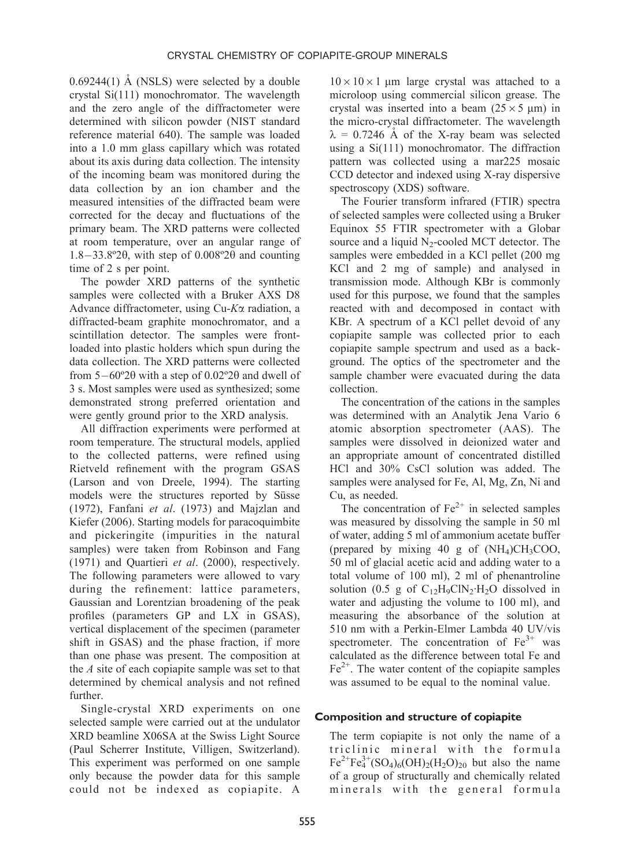$0.69244(1)$  Å (NSLS) were selected by a double crystal Si(111) monochromator. The wavelength and the zero angle of the diffractometer were determined with silicon powder (NIST standard reference material 640). The sample was loaded into a 1.0 mm glass capillary which was rotated about its axis during data collection. The intensity of the incoming beam was monitored during the data collection by an ion chamber and the measured intensities of the diffracted beam were corrected for the decay and fluctuations of the primary beam. The XRD patterns were collected at room temperature, over an angular range of  $1.8-33.8°2\theta$ , with step of  $0.008°2\theta$  and counting time of 2 s per point.

The powder XRD patterns of the synthetic samples were collected with a Bruker AXS D8 Advance diffractometer, using  $Cu$ - $K\alpha$  radiation, a diffracted-beam graphite monochromator, and a scintillation detector. The samples were frontloaded into plastic holders which spun during the data collection. The XRD patterns were collected from  $5-60°2\theta$  with a step of  $0.02°2\theta$  and dwell of 3 s. Most samples were used as synthesized; some demonstrated strong preferred orientation and were gently ground prior to the XRD analysis.

All diffraction experiments were performed at room temperature. The structural models, applied to the collected patterns, were refined using Rietveld refinement with the program GSAS (Larson and von Dreele, 1994). The starting models were the structures reported by Süsse (1972), Fanfani et al. (1973) and Majzlan and Kiefer (2006). Starting models for paracoquimbite and pickeringite (impurities in the natural samples) were taken from Robinson and Fang (1971) and Quartieri et al. (2000), respectively. The following parameters were allowed to vary during the refinement: lattice parameters, Gaussian and Lorentzian broadening of the peak profiles (parameters GP and LX in GSAS), vertical displacement of the specimen (parameter shift in GSAS) and the phase fraction, if more than one phase was present. The composition at the  $A$  site of each copiapite sample was set to that determined by chemical analysis and not refined further.

Single-crystal XRD experiments on one selected sample were carried out at the undulator XRD beamline X06SA at the Swiss Light Source (Paul Scherrer Institute, Villigen, Switzerland). This experiment was performed on one sample only because the powder data for this sample could not be indexed as copiapite. A

 $10 \times 10 \times 1$  µm large crystal was attached to a microloop using commercial silicon grease. The crystal was inserted into a beam ( $25 \times 5 \text{ }\mu\text{m}$ ) in the micro-crystal diffractometer. The wavelength  $\lambda$  = 0.7246 Å of the X-ray beam was selected using a Si(111) monochromator. The diffraction pattern was collected using a mar225 mosaic CCD detector and indexed using X-ray dispersive spectroscopy (XDS) software.

The Fourier transform infrared (FTIR) spectra of selected samples were collected using a Bruker Equinox 55 FTIR spectrometer with a Globar source and a liquid  $N_2$ -cooled MCT detector. The samples were embedded in a KCl pellet (200 mg KCl and 2 mg of sample) and analysed in transmission mode. Although KBr is commonly used for this purpose, we found that the samples reacted with and decomposed in contact with KBr. A spectrum of a KCl pellet devoid of any copiapite sample was collected prior to each copiapite sample spectrum and used as a background. The optics of the spectrometer and the sample chamber were evacuated during the data collection.

The concentration of the cations in the samples was determined with an Analytik Jena Vario 6 atomic absorption spectrometer (AAS). The samples were dissolved in deionized water and an appropriate amount of concentrated distilled HCl and 30% CsCl solution was added. The samples were analysed for Fe, Al, Mg, Zn, Ni and Cu, as needed.

The concentration of  $Fe<sup>2+</sup>$  in selected samples was measured by dissolving the sample in 50 ml of water, adding 5 ml of ammonium acetate buffer (prepared by mixing 40 g of  $(NH<sub>4</sub>)CH<sub>3</sub>COO$ , 50 ml of glacial acetic acid and adding water to a total volume of 100 ml), 2 ml of phenantroline solution (0.5 g of  $C_{12}H_9CIN_2·H_2O$  dissolved in water and adjusting the volume to 100 ml), and measuring the absorbance of the solution at 510 nm with a Perkin-Elmer Lambda 40 UV/vis spectrometer. The concentration of  $Fe<sup>3+</sup>$  was calculated as the difference between total Fe and  $Fe<sup>2+</sup>$ . The water content of the copiapite samples was assumed to be equal to the nominal value.

### Composition and structure of copiapite

The term copiapite is not only the name of a triclinic mineral with the formula  $Fe^{2+}Fe^{3+}_4(SO_4)_6(OH)_2(H_2O)_{20}$  but also the name of a group of structurally and chemically related minerals with the general formula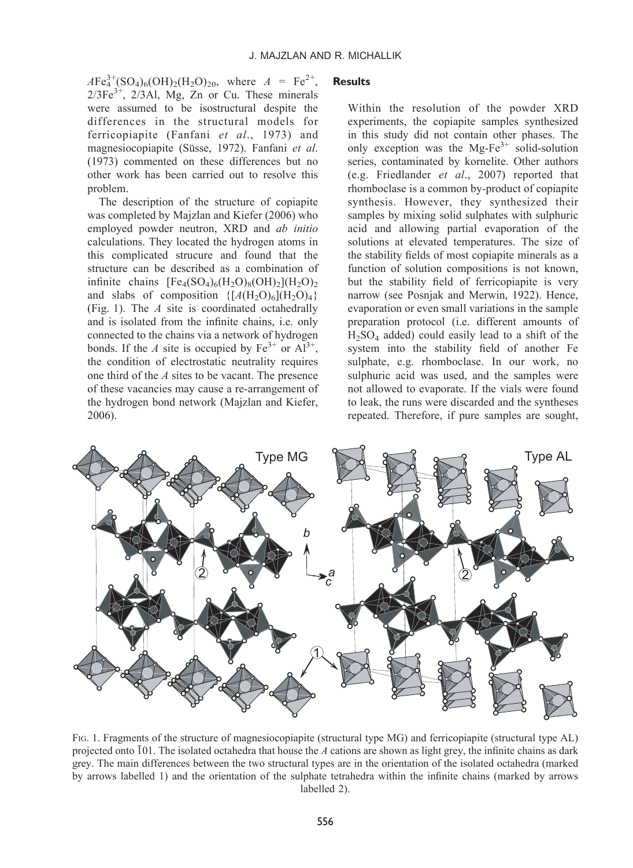$AFe^{3+}_{4}(SO_4)_6(OH)_2(H_2O)_{20}$ , where  $A = Fe^{2+}$ ,  $2/3Fe<sup>3+</sup>$ ,  $2/3Al$ , Mg, Zn or Cu. These minerals were assumed to be isostructural despite the differences in the structural models for ferricopiapite (Fanfani et al., 1973) and magnesiocopiapite (Süsse, 1972). Fanfani et al. (1973) commented on these differences but no other work has been carried out to resolve this problem.

The description of the structure of copiapite was completed by Majzlan and Kiefer (2006) who employed powder neutron, XRD and ab initio calculations. They located the hydrogen atoms in this complicated strucure and found that the structure can be described as a combination of infinite chains  $[Fe_4(SO_4)_6(H_2O)_8(OH)_2](H_2O)_2$ and slabs of composition  $\{[A(H_2O)_6](H_2O)_4\}$ (Fig. 1). The A site is coordinated octahedrally and is isolated from the infinite chains, i.e. only connected to the chains via a network of hydrogen bonds. If the A site is occupied by  $Fe^{3+}$  or  $Al^{3+}$ , the condition of electrostatic neutrality requires one third of the A sites to be vacant. The presence of these vacancies may cause a re-arrangement of the hydrogen bond network (Majzlan and Kiefer, 2006).

### **Results**

Within the resolution of the powder XRD experiments, the copiapite samples synthesized in this study did not contain other phases. The only exception was the  $Mg-Fe^{3+}$  solid-solution series, contaminated by kornelite. Other authors (e.g. Friedlander et al., 2007) reported that rhomboclase is a common by-product of copiapite synthesis. However, they synthesized their samples by mixing solid sulphates with sulphuric acid and allowing partial evaporation of the solutions at elevated temperatures. The size of the stability fields of most copiapite minerals as a function of solution compositions is not known, but the stability field of ferricopiapite is very narrow (see Posnjak and Merwin, 1922). Hence, evaporation or even small variations in the sample preparation protocol (i.e. different amounts of  $H_2SO_4$  added) could easily lead to a shift of the system into the stability field of another Fe sulphate, e.g. rhomboclase. In our work, no sulphuric acid was used, and the samples were not allowed to evaporate. If the vials were found to leak, the runs were discarded and the syntheses repeated. Therefore, if pure samples are sought,



FIG. 1. Fragments of the structure of magnesiocopiapite (structural type MG) and ferricopiapite (structural type AL) projected onto  $\overline{1}01$ . The isolated octahedra that house the A cations are shown as light grey, the infinite chains as dark grey. The main differences between the two structural types are in the orientation of the isolated octahedra (marked by arrows labelled 1) and the orientation of the sulphate tetrahedra within the infinite chains (marked by arrows labelled 2).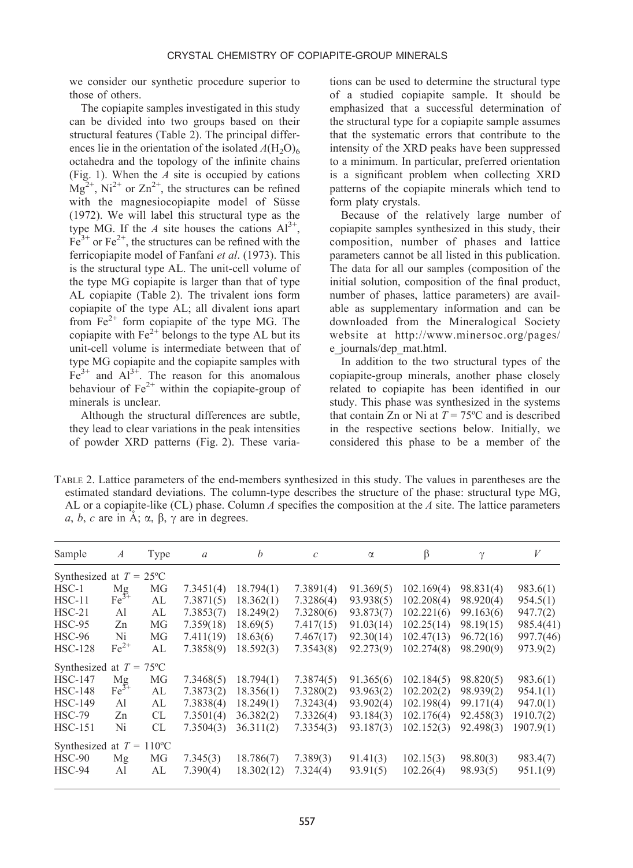we consider our synthetic procedure superior to those of others.

The copiapite samples investigated in this study can be divided into two groups based on their structural features (Table 2). The principal differences lie in the orientation of the isolated  $A(H_2O)_6$ octahedra and the topology of the infinite chains (Fig. 1). When the  $A$  site is occupied by cations  $Mg^{2+}$ ,  $Ni^{2+}$  or  $Zn^{2+}$ , the structures can be refined with the magnesiocopiapite model of Süsse (1972). We will label this structural type as the type MG. If the A site houses the cations  $Al^{3+}$ ,  $Fe<sup>3+</sup>$  or  $Fe<sup>2+</sup>$ , the structures can be refined with the ferricopiapite model of Fanfani et al. (1973). This is the structural type AL. The unit-cell volume of the type MG copiapite is larger than that of type AL copiapite (Table 2). The trivalent ions form copiapite of the type AL; all divalent ions apart from  $Fe^{2+}$  form copiapite of the type MG. The copiapite with  $Fe^{2+}$  belongs to the type AL but its unit-cell volume is intermediate between that of type MG copiapite and the copiapite samples with  $Fe<sup>3+</sup>$  and  $Al<sup>3+</sup>$ . The reason for this anomalous behaviour of  $Fe^{2+}$  within the copiapite-group of minerals is unclear.

Although the structural differences are subtle, they lead to clear variations in the peak intensities of powder XRD patterns (Fig. 2). These variations can be used to determine the structural type of a studied copiapite sample. It should be emphasized that a successful determination of the structural type for a copiapite sample assumes that the systematic errors that contribute to the intensity of the XRD peaks have been suppressed to a minimum. In particular, preferred orientation is a significant problem when collecting XRD patterns of the copiapite minerals which tend to form platy crystals.

Because of the relatively large number of copiapite samples synthesized in this study, their composition, number of phases and lattice parameters cannot be all listed in this publication. The data for all our samples (composition of the initial solution, composition of the final product, number of phases, lattice parameters) are available as supplementary information and can be downloaded from the Mineralogical Society website at http://www.minersoc.org/pages/ e\_journals/dep\_mat.html.

In addition to the two structural types of the copiapite-group minerals, another phase closely related to copiapite has been identified in our study. This phase was synthesized in the systems that contain Zn or Ni at  $T = 75^{\circ}$ C and is described in the respective sections below. Initially, we considered this phase to be a member of the

TABLE 2. Lattice parameters of the end-members synthesized in this study. The values in parentheses are the estimated standard deviations. The column-type describes the structure of the phase: structural type MG, AL or a copiapite-like (CL) phase. Column  $\Lambda$  specifies the composition at the  $\Lambda$  site. The lattice parameters a, b, c are in  $\AA$ ;  $\alpha$ ,  $\beta$ ,  $\gamma$  are in degrees.

| Sample                             | $\boldsymbol{A}$     | Type | $\boldsymbol{a}$ | $\boldsymbol{b}$ | $\mathcal{C}$ | $\alpha$  | β          | γ         | V         |
|------------------------------------|----------------------|------|------------------|------------------|---------------|-----------|------------|-----------|-----------|
| Synthesized                        | at $T = 25^{\circ}C$ |      |                  |                  |               |           |            |           |           |
| HSC-1                              | Mg                   | МG   | 7.3451(4)        | 18.794(1)        | 7.3891(4)     | 91.369(5) | 102.169(4) | 98.831(4) | 983.6(1)  |
| $HSC-11$                           | $Fe3+$               | AL   | 7.3871(5)        | 18.362(1)        | 7.3286(4)     | 93.938(5) | 102.208(4) | 98.920(4) | 954.5(1)  |
| $HSC-21$                           | Al                   | AL   | 7.3853(7)        | 18.249(2)        | 7.3280(6)     | 93.873(7) | 102.221(6) | 99.163(6) | 947.7(2)  |
| $HSC-95$                           | Zn                   | МG   | 7.359(18)        | 18.69(5)         | 7.417(15)     | 91.03(14) | 102.25(14) | 98.19(15) | 985.4(41) |
| $HSC-96$                           | Ni                   | МG   | 7.411(19)        | 18.63(6)         | 7.467(17)     | 92.30(14) | 102.47(13) | 96.72(16) | 997.7(46) |
| <b>HSC-128</b>                     | $Fe2+$               | AL   | 7.3858(9)        | 18.592(3)        | 7.3543(8)     | 92.273(9) | 102.274(8) | 98.290(9) | 973.9(2)  |
| Synthesized at $T = 75^{\circ}C$   |                      |      |                  |                  |               |           |            |           |           |
| <b>HSC-147</b>                     | Mg                   | МG   | 7.3468(5)        | 18.794(1)        | 7.3874(5)     | 91.365(6) | 102.184(5) | 98.820(5) | 983.6(1)  |
| <b>HSC-148</b>                     | $Fe3+$               | AL   | 7.3873(2)        | 18.356(1)        | 7.3280(2)     | 93.963(2) | 102.202(2) | 98.939(2) | 954.1(1)  |
| <b>HSC-149</b>                     | Al                   | AL   | 7.3838(4)        | 18.249(1)        | 7.3243(4)     | 93.902(4) | 102.198(4) | 99.171(4) | 947.0(1)  |
| $HSC-79$                           | Zn                   | CL   | 7.3501(4)        | 36.382(2)        | 7.3326(4)     | 93.184(3) | 102.176(4) | 92.458(3) | 1910.7(2) |
| <b>HSC-151</b>                     | Ni                   | CL   | 7.3504(3)        | 36.311(2)        | 7.3354(3)     | 93.187(3) | 102.152(3) | 92.498(3) | 1907.9(1) |
| Synthesized at $T = 110^{\circ}$ C |                      |      |                  |                  |               |           |            |           |           |
| $HSC-90$                           | Mg                   | МG   | 7.345(3)         | 18.786(7)        | 7.389(3)      | 91.41(3)  | 102.15(3)  | 98.80(3)  | 983.4(7)  |
| $HSC-94$                           | Al                   | AL   | 7.390(4)         | 18.302(12)       | 7.324(4)      | 93.91(5)  | 102.26(4)  | 98.93(5)  | 951.1(9)  |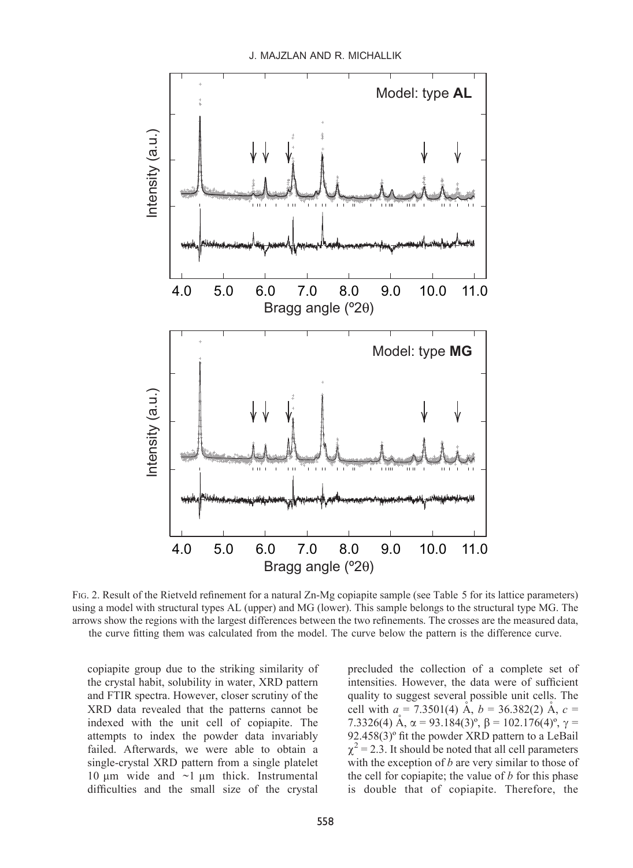

FIG. 2. Result of the Rietveld refinement for a natural Zn-Mg copiapite sample (see Table 5 for its lattice parameters) using a model with structural types AL (upper) and MG (lower). This sample belongs to the structural type MG. The arrows show the regions with the largest differences between the two refinements. The crosses are the measured data, the curve fitting them was calculated from the model. The curve below the pattern is the difference curve.

copiapite group due to the striking similarity of the crystal habit, solubility in water, XRD pattern and FTIR spectra. However, closer scrutiny of the XRD data revealed that the patterns cannot be indexed with the unit cell of copiapite. The attempts to index the powder data invariably failed. Afterwards, we were able to obtain a single-crystal XRD pattern from a single platelet 10  $\mu$ m wide and ~1  $\mu$ m thick. Instrumental difficulties and the small size of the crystal precluded the collection of a complete set of intensities. However, the data were of sufficient quality to suggest several possible unit cells. The cell with  $a = 7.3501(4)$  Å,  $b = 36.382(2)$  Å,  $c =$ 7.3326(4)  $\mathring{A}$ ,  $\alpha = 93.184(3)^\circ$ ,  $\beta = 102.176(4)^\circ$ ,  $\gamma =$ 92.458(3)º fit the powder XRD pattern to a LeBail  $\chi^2$  = 2.3. It should be noted that all cell parameters with the exception of  $b$  are very similar to those of the cell for copiapite; the value of  $b$  for this phase is double that of copiapite. Therefore, the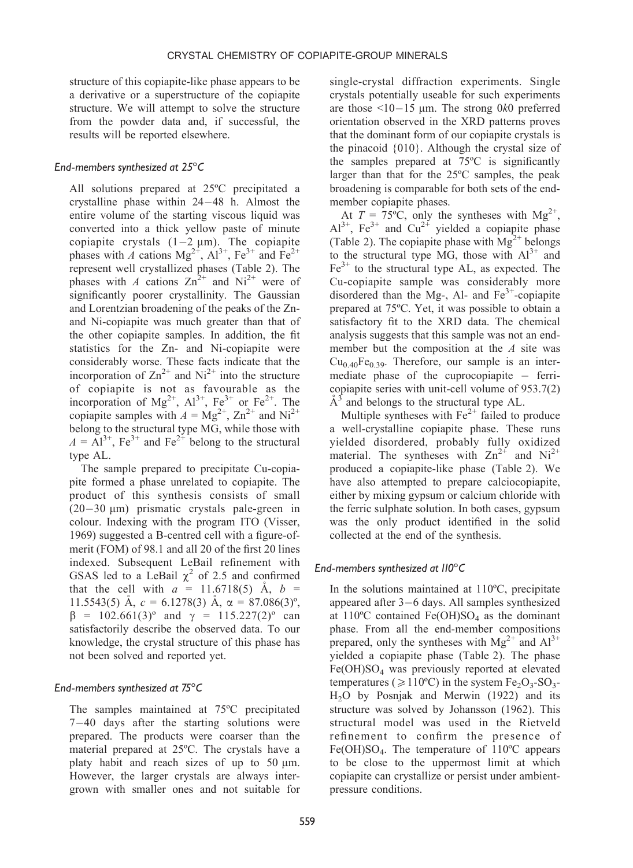structure of this copiapite-like phase appears to be a derivative or a superstructure of the copiapite structure. We will attempt to solve the structure from the powder data and, if successful, the results will be reported elsewhere.

### End-members synthesized at  $25^{\circ}C$

All solutions prepared at 25ºC precipitated a crystalline phase within  $24-48$  h. Almost the entire volume of the starting viscous liquid was converted into a thick yellow paste of minute copiapite crystals  $(1-2 \mu m)$ . The copiapite phases with A cations  $Mg^{2+}$ ,  $Al^{3+}$ , Fe<sup>3+</sup> and Fe<sup>2+</sup> represent well crystallized phases (Table 2). The phases with A cations  $\text{Zn}^{2+}$  and  $\text{Ni}^{2+}$  were of significantly poorer crystallinity. The Gaussian and Lorentzian broadening of the peaks of the Znand Ni-copiapite was much greater than that of the other copiapite samples. In addition, the fit statistics for the Zn- and Ni-copiapite were considerably worse. These facts indicate that the incorporation of  $\text{Zn}^{2+}$  and  $\text{Ni}^{2+}$  into the structure of copiapite is not as favourable as the incorporation of  $Mg^{2+}$ ,  $Al^{3+}$ ,  $Fe^{3+}$  or  $Fe^{2+}$ . The copiapite samples with  $A = Mg^{2+}$ ,  $Zn^{2+}$  and  $Ni^{2+}$ belong to the structural type MG, while those with  $A = Al^{3+}$ , Fe<sup>3+</sup> and Fe<sup>2+</sup> belong to the structural type AL.

The sample prepared to precipitate Cu-copiapite formed a phase unrelated to copiapite. The product of this synthesis consists of small  $(20-30 \mu m)$  prismatic crystals pale-green in colour. Indexing with the program ITO (Visser, 1969) suggested a B-centred cell with a figure-ofmerit (FOM) of 98.1 and all 20 of the first 20 lines indexed. Subsequent LeBail refinement with GSAS led to a LeBail  $\chi^2$  of 2.5 and confirmed that the cell with  $a = 11.6718(5)$   $\AA$ ,  $b =$ 11.5543(5) A,  $c = 6.1278(3)$  A,  $\alpha = 87.086(3)$ °,  $\beta$  = 102.661(3)<sup>o</sup> and  $\gamma$  = 115.227(2)<sup>o</sup> can satisfactorily describe the observed data. To our knowledge, the crystal structure of this phase has not been solved and reported yet.

### End-members synthesized at  $75^{\circ}$ C

The samples maintained at 75ºC precipitated  $7-40$  days after the starting solutions were prepared. The products were coarser than the material prepared at 25ºC. The crystals have a platy habit and reach sizes of up to  $50 \mu m$ . However, the larger crystals are always intergrown with smaller ones and not suitable for single-crystal diffraction experiments. Single crystals potentially useable for such experiments are those  $\leq 10-15$  µm. The strong 0k0 preferred orientation observed in the XRD patterns proves that the dominant form of our copiapite crystals is the pinacoid {010}. Although the crystal size of the samples prepared at 75ºC is significantly larger than that for the 25ºC samples, the peak broadening is comparable for both sets of the endmember copiapite phases.

At  $T = 75^{\circ}\text{C}$ , only the syntheses with  $\text{Mg}^{2+}$ ,  $Al^{3+}$ , Fe<sup>3+</sup> and  $Cu^{2+}$  yielded a copiapite phase (Table 2). The copiapite phase with  $Mg^{2+}$  belongs to the structural type MG, those with  $Al^{3+}$  and  $Fe<sup>3+</sup>$  to the structural type AL, as expected. The Cu-copiapite sample was considerably more disordered than the Mg-, Al- and  $Fe<sup>3+</sup>$ -copiapite prepared at 75ºC. Yet, it was possible to obtain a satisfactory fit to the XRD data. The chemical analysis suggests that this sample was not an endmember but the composition at the A site was  $Cu<sub>0.40</sub>Fe<sub>0.39</sub>$ . Therefore, our sample is an intermediate phase of the cuprocopiapite – ferricopiapite series with unit-cell volume of 953.7(2)  $A<sup>3</sup>$  and belongs to the structural type AL.

Multiple syntheses with  $Fe<sup>2+</sup>$  failed to produce a well-crystalline copiapite phase. These runs yielded disordered, probably fully oxidized material. The syntheses with  $\text{Zn}^{2+}$  and  $\text{Ni}^{2+}$ produced a copiapite-like phase (Table 2). We have also attempted to prepare calciocopiapite, either by mixing gypsum or calcium chloride with the ferric sulphate solution. In both cases, gypsum was the only product identified in the solid collected at the end of the synthesis.

### End-members synthesized at  $II0^{\circ}C$

In the solutions maintained at 110ºC, precipitate appeared after  $3-6$  days. All samples synthesized at  $110^{\circ}$ C contained Fe(OH)SO<sub>4</sub> as the dominant phase. From all the end-member compositions prepared, only the syntheses with  $Mg^{2+}$  and  $Al^{3+}$ yielded a copiapite phase (Table 2). The phase Fe(OH)SO4 was previously reported at elevated temperatures ( $\geq 110^{\circ}$ C) in the system Fe<sub>2</sub>O<sub>3</sub>-SO<sub>3</sub>-H2O by Posnjak and Merwin (1922) and its structure was solved by Johansson (1962). This structural model was used in the Rietveld refinement to confirm the presence of Fe(OH)SO4. The temperature of 110ºC appears to be close to the uppermost limit at which copiapite can crystallize or persist under ambientpressure conditions.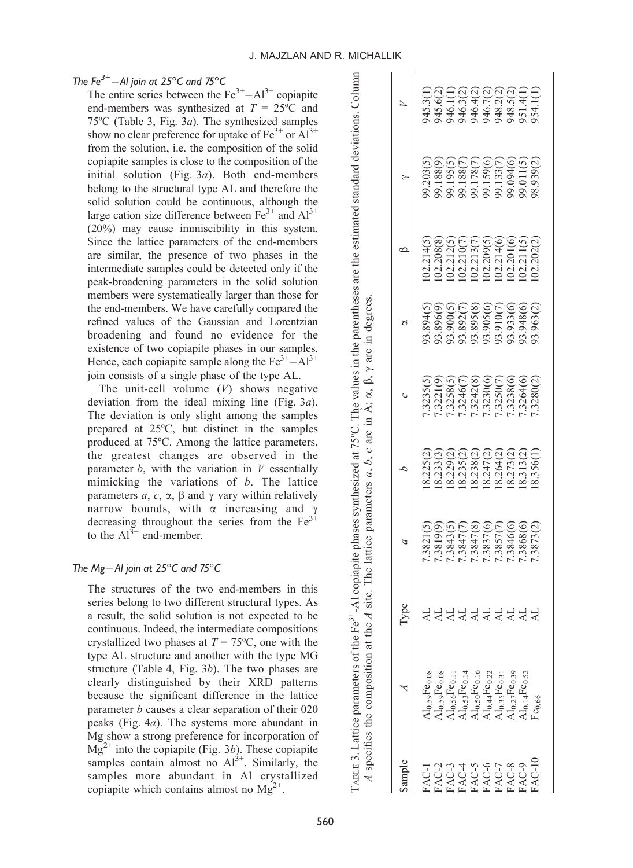The Fe $3+$ –Al join at 25°C and 75°C

The entire series between the  $Fe^{3+}-Al^{3+}$  copiapite end-members was synthesized at  $T = 25^{\circ}\text{C}$  and 75ºC (Table 3, Fig. 3a). The synthesized samples show no clear preference for uptake of  $Fe^{3+}$  or  $Al^{3+}$ from the solution, i.e. the composition of the solid copiapite samples is close to the composition of the initial solution (Fig.  $3a$ ). Both end-members belong to the structural type AL and therefore the solid solution could be continuous, although the large cation size difference between  $Fe<sup>3+</sup>$  and  $Al<sup>3+</sup>$ (20%) may cause immiscibility in this system. Since the lattice parameters of the end-members are similar, the presence of two phases in the intermediate samples could be detected only if the peak-broadening parameters in the solid solution members were systematically larger than those for the end-members. We have carefully compared the refined values of the Gaussian and Lorentzian broadening and found no evidence for the existence of two copiapite phases in our samples. Hence, each copiapite sample along the  $Fe^{3+}-Al^{3+}$ join consists of a single phase of the type AL. Fe<sup>3+</sup>– $A$  *join* at 25°C and 75°C (Table 3, Fig. 30). The synthesized samples<br>
The entire series between the Fe<sup>3+-</sup>–Al<sup>3+</sup> copiapite<br>
from the solution, i.e. the composition of the solution in the solution in the soluti

The unit-cell volume  $(V)$  shows negative deviation from the ideal mixing line (Fig.  $3a$ ). The deviation is only slight among the samples prepared at 25ºC, but distinct in the samples produced at 75ºC. Among the lattice parameters, the greatest changes are observed in the parameter  $b$ , with the variation in  $V$  essentially mimicking the variations of  $b$ . The lattice parameters  $a, c, \alpha, \beta$  and  $\gamma$  vary within relatively narrow bounds, with  $\alpha$  increasing and  $\gamma$ decreasing throughout the series from the Fe<sup>3</sup> to the  $Al^{3+}$  end-member.

### The Mg-Al join at  $25^{\circ}$ C and  $75^{\circ}$ C

The structures of the two end-members in this series belong to two different structural types. As a result, the solid solution is not expected to be continuous. Indeed, the intermediate compositions crystallized two phases at  $T = 75^{\circ}$ C, one with the type AL structure and another with the type MG structure (Table 4, Fig. 3b). The two phases are clearly distinguished by their XRD patterns because the significant difference in the lattice parameter b causes a clear separation of their 020 peaks (Fig. 4a). The systems more abundant in Mg show a strong preference for incorporation of  $Mg^{2+}$  into the copiapite (Fig. 3b). These copiapite samples contain almost no  $Al^{3+}$ . Similarly, the samples more abundant in Al crystallized

|                                                     | A specifies the composition at                                                                                                                                                                                                                                                                                                                                                                         | the $\lambda$ | 4 site. The lattice parameters $a, b, c$ are in A; $\alpha$ , $\beta$                                      |                                                                                                                                                                                                                                                                                                                     |                                                                                                          | are in degrees                                                                                |                                                                                                                                                                                                                               |                                                                                    |
|-----------------------------------------------------|--------------------------------------------------------------------------------------------------------------------------------------------------------------------------------------------------------------------------------------------------------------------------------------------------------------------------------------------------------------------------------------------------------|---------------|------------------------------------------------------------------------------------------------------------|---------------------------------------------------------------------------------------------------------------------------------------------------------------------------------------------------------------------------------------------------------------------------------------------------------------------|----------------------------------------------------------------------------------------------------------|-----------------------------------------------------------------------------------------------|-------------------------------------------------------------------------------------------------------------------------------------------------------------------------------------------------------------------------------|------------------------------------------------------------------------------------|
| ample                                               |                                                                                                                                                                                                                                                                                                                                                                                                        |               |                                                                                                            |                                                                                                                                                                                                                                                                                                                     |                                                                                                          |                                                                                               |                                                                                                                                                                                                                               |                                                                                    |
| AC-1                                                | $\mathrm{M}_{0.59}\mathrm{Fe}_{0.08}$                                                                                                                                                                                                                                                                                                                                                                  |               |                                                                                                            | 8.225(2)                                                                                                                                                                                                                                                                                                            |                                                                                                          |                                                                                               | 9.203(5)                                                                                                                                                                                                                      |                                                                                    |
|                                                     | 1 <sub>0.59</sub> F <sub>0.08</sub>                                                                                                                                                                                                                                                                                                                                                                    |               | (5) 2321(5)<br>13843(5) 2347(6)<br>13847(6) 3337(6) 3347(7)<br>1387(7) 3357(6) 3367(7)<br>13873(3) 3373(2) |                                                                                                                                                                                                                                                                                                                     | (5)<br>7.3221 (9)<br>7.3238 (5)<br>7.324 (6)<br>7.324 (6)<br>7.328 5 7.325 17<br>7.328 5 7.328 7.1328 17 | 93.894(5)<br>93.896(9)<br>93.900(5)<br>93.895(6)<br>93.93.93.948(6)<br>93.948(6)<br>93.963(2) |                                                                                                                                                                                                                               |                                                                                    |
|                                                     |                                                                                                                                                                                                                                                                                                                                                                                                        |               |                                                                                                            |                                                                                                                                                                                                                                                                                                                     |                                                                                                          |                                                                                               |                                                                                                                                                                                                                               |                                                                                    |
|                                                     |                                                                                                                                                                                                                                                                                                                                                                                                        |               |                                                                                                            |                                                                                                                                                                                                                                                                                                                     |                                                                                                          |                                                                                               |                                                                                                                                                                                                                               |                                                                                    |
| FACC3<br>FACC4 5<br>FACCCCC<br>FACCCCC<br>FACCCCCCC | $\begin{array}{l} \mathcal{M}_{0.56} \mathsf{Fe}_{0.11}\\ \mathcal{M}_{0.53} \mathsf{Fe}_{0.14}\\ \mathcal{M}_{0.50} \mathsf{Fe}_{0.16}\\ \mathcal{M}_{0.54} \mathsf{Fe}_{0.22}\\ \mathcal{M}_{0.34} \mathsf{Fe}_{0.23}\\ \mathcal{M}_{0.35} \mathsf{Fe}_{0.31}\\ \mathcal{M}_{0.27} \mathsf{Fe}_{0.39}\\ \mathcal{M}_{0.14} \mathsf{Fe}_{0.52}\\ \mathcal{M}_{0.14} \mathsf{Fe}_{0.52}\\ \end{array}$ |               |                                                                                                            |                                                                                                                                                                                                                                                                                                                     |                                                                                                          |                                                                                               |                                                                                                                                                                                                                               |                                                                                    |
|                                                     |                                                                                                                                                                                                                                                                                                                                                                                                        |               |                                                                                                            |                                                                                                                                                                                                                                                                                                                     |                                                                                                          |                                                                                               |                                                                                                                                                                                                                               |                                                                                    |
|                                                     |                                                                                                                                                                                                                                                                                                                                                                                                        |               |                                                                                                            |                                                                                                                                                                                                                                                                                                                     |                                                                                                          |                                                                                               |                                                                                                                                                                                                                               |                                                                                    |
|                                                     |                                                                                                                                                                                                                                                                                                                                                                                                        |               |                                                                                                            |                                                                                                                                                                                                                                                                                                                     |                                                                                                          |                                                                                               |                                                                                                                                                                                                                               |                                                                                    |
|                                                     |                                                                                                                                                                                                                                                                                                                                                                                                        |               |                                                                                                            |                                                                                                                                                                                                                                                                                                                     |                                                                                                          |                                                                                               |                                                                                                                                                                                                                               |                                                                                    |
| $PAC-10$                                            | Fe <sub>0.66</sub>                                                                                                                                                                                                                                                                                                                                                                                     |               |                                                                                                            | $\begin{smallmatrix} 8 & 233 & 39 \\ 8 & 229 & 20 \\ 8 & 235 & 60 \\ 8 & 238 & 60 \\ 8 & 238 & 60 \\ 8 & 247 & 60 \\ 8 & 247 & 60 \\ 8 & 25 & 64 \\ 8 & 25 & 64 \\ 8 & 25 & 60 \\ 8 & 313 & 60 \\ 8 & 345 & 60 \\ 8 & 35 & 60 \\ 8 & 18 & 35 & 60 \\ 8 & 18 & 35 & 60 \\ 8 & 18 & 35 & 60 \\ 8 & 18 & 35 & 60 \\ 8$ |                                                                                                          |                                                                                               | (6) 1889<br>1956 - 1956 - 1960<br>1887 - 1960 - 1961 - 1961<br>1960 - 1961 - 1961 - 1970<br>1960 - 1970 - 1970<br>1962 - 1970 - 1970 - 1981 - 1981 - 1981 - 1981 - 1981 - 1981 - 1981 - 1981 - 1981 - 1981 - 1981 - 1981 - 19 | 945.6(2)<br>946.1(1)<br>946.3(2)<br>946.7(2)<br>948.5(2)<br>951.4(1)<br>953.938.95 |

 $Fe<sub>0.66</sub>$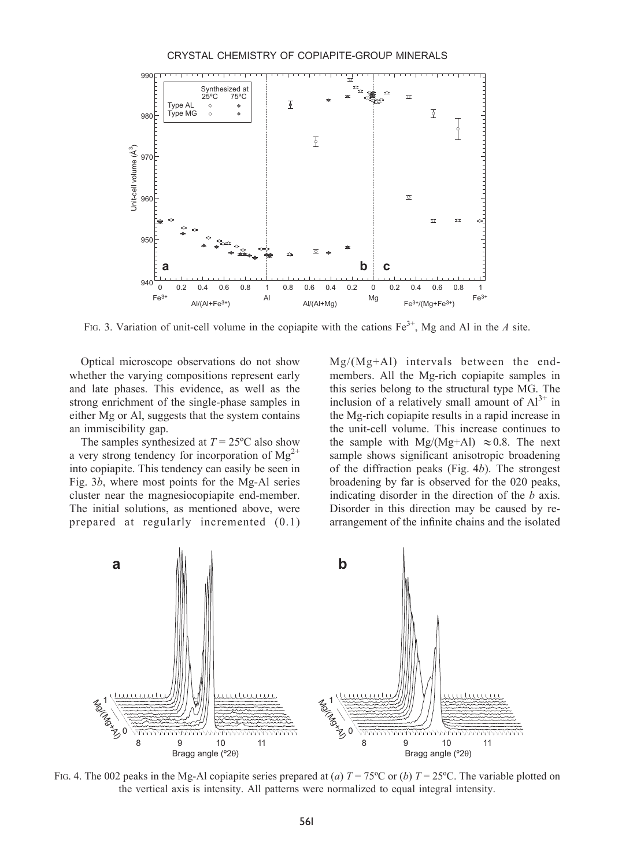

FIG. 3. Variation of unit-cell volume in the copiapite with the cations  $Fe^{3+}$ , Mg and Al in the A site.

Optical microscope observations do not show whether the varying compositions represent early and late phases. This evidence, as well as the strong enrichment of the single-phase samples in either Mg or Al, suggests that the system contains an immiscibility gap.

The samples synthesized at  $T = 25^{\circ}C$  also show a very strong tendency for incorporation of  $Mg^{2+}$ into copiapite. This tendency can easily be seen in Fig. 3b, where most points for the Mg-Al series cluster near the magnesiocopiapite end-member. The initial solutions, as mentioned above, were prepared at regularly incremented (0.1) Mg/(Mg+Al) intervals between the endmembers. All the Mg-rich copiapite samples in this series belong to the structural type MG. The inclusion of a relatively small amount of  $Al^{3+}$  in the Mg-rich copiapite results in a rapid increase in the unit-cell volume. This increase continues to the sample with Mg/(Mg+Al)  $\approx 0.8$ . The next sample shows significant anisotropic broadening of the diffraction peaks (Fig. 4b). The strongest broadening by far is observed for the 020 peaks, indicating disorder in the direction of the b axis. Disorder in this direction may be caused by rearrangement of the infinite chains and the isolated



FIG. 4. The 002 peaks in the Mg-Al copiapite series prepared at (a)  $T = 75^{\circ}\text{C}$  or (b)  $T = 25^{\circ}\text{C}$ . The variable plotted on the vertical axis is intensity. All patterns were normalized to equal integral intensity.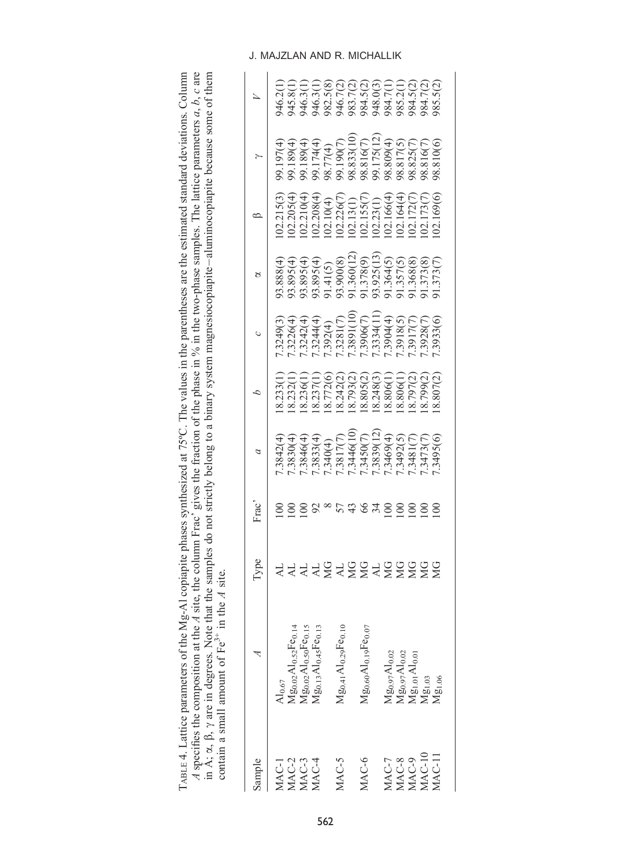| he Mg-Al copiapite phases synthesized at 75°C. The values in the parentheses are the estimated standard deviations. Column | the A site, the column Frac' gives the fraction of the phase in % in the two-phase samples. The lattice parameters $a, b, c$ are | Note that the samples do not strictly belong to a binary system magnesiocopiapite-aluminocopiapite because some of them |                              |
|----------------------------------------------------------------------------------------------------------------------------|----------------------------------------------------------------------------------------------------------------------------------|-------------------------------------------------------------------------------------------------------------------------|------------------------------|
|                                                                                                                            |                                                                                                                                  |                                                                                                                         |                              |
|                                                                                                                            |                                                                                                                                  |                                                                                                                         |                              |
|                                                                                                                            |                                                                                                                                  |                                                                                                                         |                              |
|                                                                                                                            |                                                                                                                                  |                                                                                                                         |                              |
|                                                                                                                            |                                                                                                                                  |                                                                                                                         | $\therefore$ in the A site.  |
| arameters of                                                                                                               | ie commonition af<br>Hoc T                                                                                                       | in A; $\alpha$ , $\beta$ , $\gamma$ are in degrees.                                                                     | contain a small amount of Fe |
|                                                                                                                            |                                                                                                                                  |                                                                                                                         |                              |

| Sample                            |                                                                | Type                        | Frac'          | a                                                                                                                                                                                                                                                               | $\mathcal{L}_{\mathcal{L}}$                                                                                                                                                                                                    | $\circ$                                                                                | ð                                                                                                                             | $\infty$                                                                                                                                                                                                                    |                                                                                                                                             |          |
|-----------------------------------|----------------------------------------------------------------|-----------------------------|----------------|-----------------------------------------------------------------------------------------------------------------------------------------------------------------------------------------------------------------------------------------------------------------|--------------------------------------------------------------------------------------------------------------------------------------------------------------------------------------------------------------------------------|----------------------------------------------------------------------------------------|-------------------------------------------------------------------------------------------------------------------------------|-----------------------------------------------------------------------------------------------------------------------------------------------------------------------------------------------------------------------------|---------------------------------------------------------------------------------------------------------------------------------------------|----------|
|                                   | $Al_{0.67}$                                                    |                             |                |                                                                                                                                                                                                                                                                 | 18.233(1)                                                                                                                                                                                                                      | .3249(3)                                                                               |                                                                                                                               |                                                                                                                                                                                                                             |                                                                                                                                             | 746.2(1) |
| MAC-1<br>MAC-2<br>MAC-3<br>MAC-4  |                                                                | d d d d g d g d d g g g g g | 888            | $.3842(4)$<br>$.3830(4)$                                                                                                                                                                                                                                        | 18.232(1                                                                                                                                                                                                                       | .3226(4)                                                                               |                                                                                                                               | $(02.215(3))$<br>$(02.205(4))$                                                                                                                                                                                              | 99.197(4)<br>99.189(4)<br>99.189(4)<br>99.174(4)<br>99.174(4)<br>99.189(5)<br>99.189(5)<br>99.189(5)<br>98.816(7)<br>98.816(7)<br>98.816(7) |          |
|                                   | Mgo.ozAlo.szFeo.14<br>Mgo.ozAlo.soFeo.15<br>Mgo.13Alo.4sFeo.13 |                             |                |                                                                                                                                                                                                                                                                 |                                                                                                                                                                                                                                | .3242(4)                                                                               |                                                                                                                               | 02.210(4)                                                                                                                                                                                                                   |                                                                                                                                             |          |
|                                   |                                                                |                             |                |                                                                                                                                                                                                                                                                 |                                                                                                                                                                                                                                | .3244(4)                                                                               |                                                                                                                               | 02.208(4)                                                                                                                                                                                                                   |                                                                                                                                             |          |
|                                   |                                                                |                             | $\frac{8}{8}$  |                                                                                                                                                                                                                                                                 |                                                                                                                                                                                                                                |                                                                                        |                                                                                                                               |                                                                                                                                                                                                                             |                                                                                                                                             |          |
| MAC-5                             | $Mg_{0.41}Al_{0.29}Fe_{0.10}$                                  |                             |                |                                                                                                                                                                                                                                                                 |                                                                                                                                                                                                                                |                                                                                        |                                                                                                                               |                                                                                                                                                                                                                             |                                                                                                                                             |          |
|                                   |                                                                |                             |                |                                                                                                                                                                                                                                                                 |                                                                                                                                                                                                                                |                                                                                        |                                                                                                                               |                                                                                                                                                                                                                             |                                                                                                                                             |          |
| MAC-6                             | $Mg_{0.60}Al_{0.19}Fe_{0.07}$                                  |                             |                |                                                                                                                                                                                                                                                                 |                                                                                                                                                                                                                                |                                                                                        |                                                                                                                               |                                                                                                                                                                                                                             |                                                                                                                                             |          |
|                                   |                                                                |                             |                |                                                                                                                                                                                                                                                                 |                                                                                                                                                                                                                                |                                                                                        |                                                                                                                               |                                                                                                                                                                                                                             |                                                                                                                                             |          |
|                                   |                                                                |                             | 523350         | $\begin{smallmatrix} .&3846(4)\\ 13833(4)\\ 13637(4)\\ 1340(4)\\ 13446(10)\\ 13446(10)\\ 13446(10)\\ 13446(10)\\ 13439(12)\\ 13430(10)\\ 13431(10)\\ 13431(11)\\ 13431(11)\\ 13431(11)\\ 13431(12)\\ 13431(13)\\ 13431(13)\\ 13431(13)\\ 13431(13)\\ 13431(13)$ | $\begin{array}{l} 18.236(1)\\ 18.237(1)\\ 18.772(6)\\ 18.742(2)\\ 18.793(2)\\ 18.805(2)\\ 18.806(1)\\ 18.806(1)\\ 18.806(1)\\ 18.806(1)\\ 18.797(2)\\ 18.797(2)\\ 18.799(2)\\ 18.799(2)\\ 18.807(2)\\ 18.807(2)\\ \end{array}$ | 7.392(4)<br>7.3281(7)<br>7.3280(7)<br>7.3334(1)<br>7.3918(5)<br>7.3912(7)<br>7.3928(7) |                                                                                                                               | $\begin{array}{l} 102.10(4)\\ 102.226(7)\\ 102.13(1)\\ 102.15(7)\\ 102.15(7)\\ 102.23(1)\\ 102.23(1)\\ 102.164(4)\\ 102.164(7)\\ 102.172(7)\\ 102.173(7)\\ 102.173(7)\\ 102.169(6)\\ 102.169(6)\\ 102.169(6)\\ \end{array}$ |                                                                                                                                             |          |
| MAC-7<br>MAC-8<br>MAC-9<br>MAC-10 | Mg0.97Al0.02<br>Mg0.97Al0.02<br>Mg1.01Al0.01                   |                             |                |                                                                                                                                                                                                                                                                 |                                                                                                                                                                                                                                |                                                                                        |                                                                                                                               |                                                                                                                                                                                                                             |                                                                                                                                             |          |
|                                   |                                                                |                             | $\overline{0}$ |                                                                                                                                                                                                                                                                 |                                                                                                                                                                                                                                |                                                                                        |                                                                                                                               |                                                                                                                                                                                                                             |                                                                                                                                             |          |
|                                   |                                                                |                             | $rac{80}{20}$  |                                                                                                                                                                                                                                                                 |                                                                                                                                                                                                                                |                                                                                        |                                                                                                                               |                                                                                                                                                                                                                             |                                                                                                                                             |          |
| MAC-11                            | Mg <sub>1.03</sub><br>Mg <sub>1.06</sub>                       |                             |                |                                                                                                                                                                                                                                                                 |                                                                                                                                                                                                                                |                                                                                        | 93,888(4)<br>93,895(4)<br>93,895(4)<br>93,895(4)<br>93,895(2)<br>93,895,16(5)<br>93,895,16(8)<br>93,935,16(8)<br>93,935,16(7) |                                                                                                                                                                                                                             |                                                                                                                                             |          |
|                                   |                                                                |                             |                |                                                                                                                                                                                                                                                                 |                                                                                                                                                                                                                                |                                                                                        |                                                                                                                               |                                                                                                                                                                                                                             |                                                                                                                                             |          |

### J. MAJZLAN AND R. MICHALLIK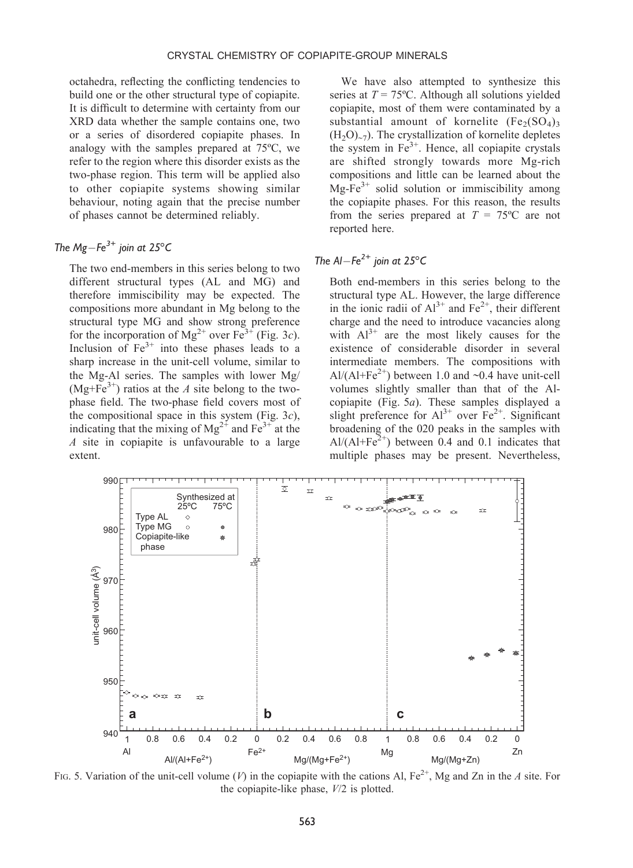octahedra, reflecting the conflicting tendencies to build one or the other structural type of copiapite. It is difficult to determine with certainty from our XRD data whether the sample contains one, two or a series of disordered copiapite phases. In analogy with the samples prepared at 75ºC, we refer to the region where this disorder exists as the two-phase region. This term will be applied also to other copiapite systems showing similar behaviour, noting again that the precise number of phases cannot be determined reliably.

# The Mg-Fe<sup>3+</sup> join at 25°C

The two end-members in this series belong to two different structural types (AL and MG) and therefore immiscibility may be expected. The compositions more abundant in Mg belong to the structural type MG and show strong preference for the incorporation of  $Mg^{2+}$  over Fe<sup>3+</sup> (Fig. 3c). Inclusion of  $Fe<sup>3+</sup>$  into these phases leads to a sharp increase in the unit-cell volume, similar to the Mg-Al series. The samples with lower Mg/  $(Mg + Fe^{3+})$  ratios at the A site belong to the twophase field. The two-phase field covers most of the compositional space in this system (Fig.  $3c$ ), indicating that the mixing of  $Mg^{2+}$  and  $Fe^{3+}$  at the A site in copiapite is unfavourable to a large extent.

We have also attempted to synthesize this series at  $T = 75^{\circ}$ C. Although all solutions yielded copiapite, most of them were contaminated by a substantial amount of kornelite  $(Fe<sub>2</sub>(SO<sub>4</sub>)<sub>3</sub>)$  $(H<sub>2</sub>O)<sub>-7</sub>$ ). The crystallization of kornelite depletes the system in  $Fe<sup>3+</sup>$ . Hence, all copiapite crystals are shifted strongly towards more Mg-rich compositions and little can be learned about the  $Mg-Fe<sup>3+</sup>$  solid solution or immiscibility among the copiapite phases. For this reason, the results from the series prepared at  $T = 75^{\circ}$ C are not reported here.

### The Al $-Fe^{2+}$  join at 25 $^{\circ}$ C

Both end-members in this series belong to the structural type AL. However, the large difference in the ionic radii of  $Al^{3+}$  and  $Fe^{2+}$ , their different charge and the need to introduce vacancies along with  $Al^{3+}$  are the most likely causes for the existence of considerable disorder in several intermediate members. The compositions with Al/(Al+Fe<sup>2+</sup>) between 1.0 and ~0.4 have unit-cell volumes slightly smaller than that of the Alcopiapite (Fig. 5a). These samples displayed a slight preference for  $Al^{3+}$  over  $Fe^{2+}$ . Significant broadening of the 020 peaks in the samples with Al/ $(AI + Fe^{2+})$  between 0.4 and 0.1 indicates that multiple phases may be present. Nevertheless,



FIG. 5. Variation of the unit-cell volume (V) in the copiapite with the cations Al,  $Fe^{2+}$ , Mg and Zn in the A site. For the copiapite-like phase, V/2 is plotted.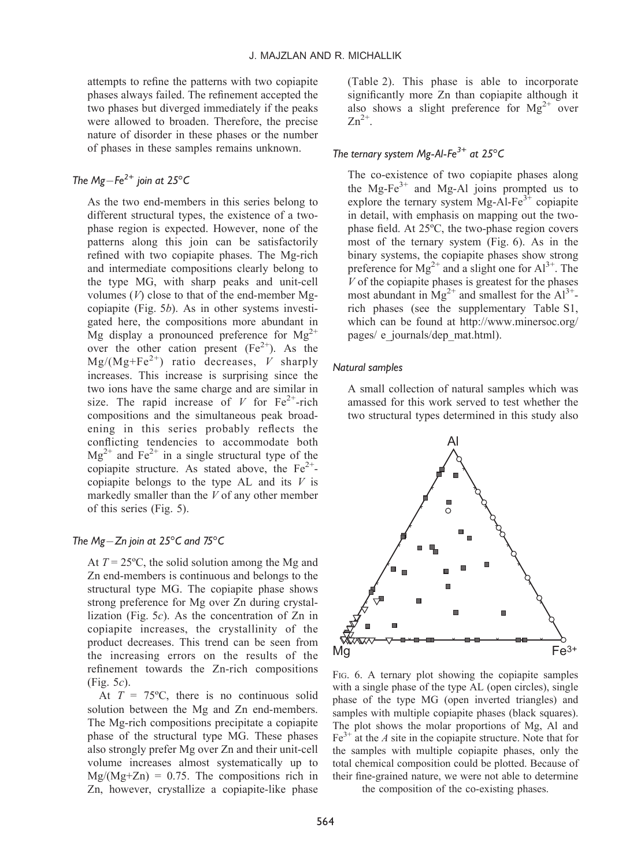attempts to refine the patterns with two copiapite phases always failed. The refinement accepted the two phases but diverged immediately if the peaks were allowed to broaden. Therefore, the precise nature of disorder in these phases or the number of phases in these samples remains unknown.

# The Mg-Fe<sup>2+</sup> join at 25°C

As the two end-members in this series belong to different structural types, the existence of a twophase region is expected. However, none of the patterns along this join can be satisfactorily refined with two copiapite phases. The Mg-rich and intermediate compositions clearly belong to the type MG, with sharp peaks and unit-cell volumes  $(V)$  close to that of the end-member Mgcopiapite (Fig. 5b). As in other systems investigated here, the compositions more abundant in Mg display a pronounced preference for  $Mg^{2+}$ over the other cation present  $(Fe^{2+})$ . As the  $Mg/(Mg + Fe^{2+})$  ratio decreases, V sharply increases. This increase is surprising since the two ions have the same charge and are similar in size. The rapid increase of V for  $Fe^{2+}$ -rich compositions and the simultaneous peak broadening in this series probably reflects the conflicting tendencies to accommodate both  $Mg^{2+}$  and Fe<sup>2+</sup> in a single structural type of the copiapite structure. As stated above, the  $Fe<sup>2+</sup>$ copiapite belongs to the type AL and its  $V$  is markedly smaller than the  $V$  of any other member of this series (Fig. 5).

### The Mg $-Zn$  join at 25°C and 75°C

At  $T = 25^{\circ}$ C, the solid solution among the Mg and Zn end-members is continuous and belongs to the structural type MG. The copiapite phase shows strong preference for Mg over Zn during crystallization (Fig. 5c). As the concentration of Zn in copiapite increases, the crystallinity of the product decreases. This trend can be seen from the increasing errors on the results of the refinement towards the Zn-rich compositions (Fig. 5c).

At  $T = 75^{\circ}\text{C}$ , there is no continuous solid solution between the Mg and Zn end-members. The Mg-rich compositions precipitate a copiapite phase of the structural type MG. These phases also strongly prefer Mg over Zn and their unit-cell volume increases almost systematically up to  $Mg/(Mg+Zn) = 0.75$ . The compositions rich in Zn, however, crystallize a copiapite-like phase (Table 2). This phase is able to incorporate significantly more Zn than copiapite although it also shows a slight preference for  $Mg^{2+}$  over  $Zn^{2+}$ .

## The ternary system Mg-Al-Fe<sup>3+</sup> at 25°C

The co-existence of two copiapite phases along the Mg-Fe<sup>3+</sup> and Mg-Al joins prompted us to explore the ternary system Mg-Al-Fe<sup>3+</sup> copiapite in detail, with emphasis on mapping out the twophase field. At 25ºC, the two-phase region covers most of the ternary system (Fig. 6). As in the binary systems, the copiapite phases show strong preference for  $Mg^{2+}$  and a slight one for  $Al^{3+}$ . The  $V$  of the copiapite phases is greatest for the phases most abundant in  $Mg^{2+}$  and smallest for the  $Al^{3+}$ rich phases (see the supplementary Table S1, which can be found at http://www.minersoc.org/ pages/ e\_journals/dep\_mat.html).

### Natural samples

A small collection of natural samples which was amassed for this work served to test whether the two structural types determined in this study also



FIG. 6. A ternary plot showing the copiapite samples with a single phase of the type AL (open circles), single phase of the type MG (open inverted triangles) and samples with multiple copiapite phases (black squares). The plot shows the molar proportions of Mg, Al and  $Fe<sup>3+</sup>$  at the A site in the copiapite structure. Note that for the samples with multiple copiapite phases, only the total chemical composition could be plotted. Because of their fine-grained nature, we were not able to determine

the composition of the co-existing phases.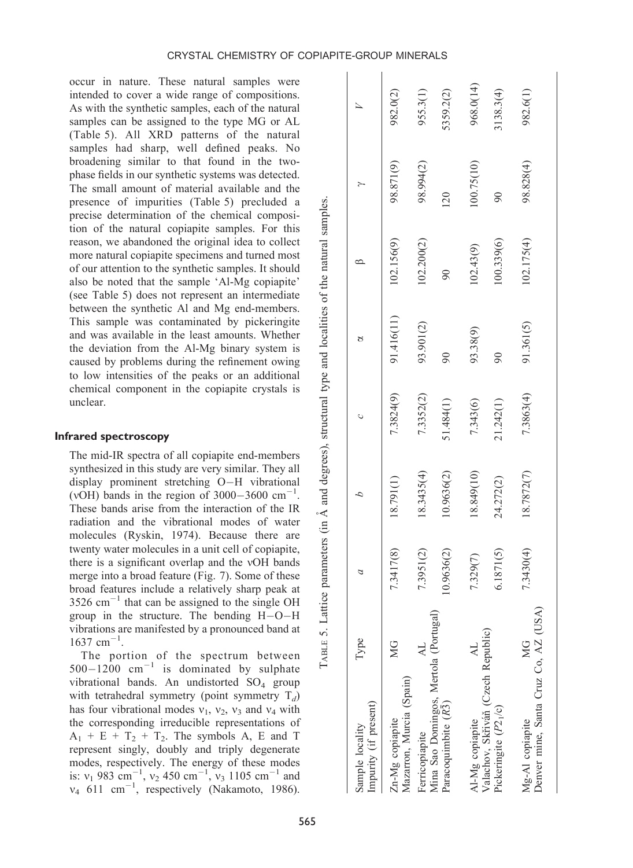occur in nature. These natural samples were intended to cover a wide range of compositions. As with the synthetic samples, each of the natural samples can be assigned to the type MG or AL (Table 5). All XRD patterns of the natural samples had sharp, well defined peaks. No broadening similar to that found in the twophase fields in our synthetic systems was detected. The small amount of material available and the presence of impurities (Table 5) precluded a precise determination of the chemical composition of the natural copiapite samples. For this reason, we abandoned the original idea to collect more natural copiapite specimens and turned most of our attention to the synthetic samples. It should also be noted that the sample 'Al-Mg copiapite' (see Table 5) does not represent an intermediate between the synthetic Al and Mg end-members. This sample was contaminated by pickeringite and was available in the least amounts. Whether the deviation from the Al-Mg binary system is caused by problems during the refinement owing to low intensities of the peaks or an additional chemical component in the copiapite crystals is unclear.

### Infrared spectroscopy

The mid-IR spectra of all copiapite end-members synthesized in this study are very similar. They all display prominent stretching O-H vibrational (vOH) bands in the region of  $3000-3600$  cm<sup>-1</sup>. These bands arise from the interaction of the IR radiation and the vibrational modes of water molecules (Ryskin, 1974). Because there are twenty water molecules in a unit cell of copiapite, there is a significant overlap and the vOH bands merge into a broad feature (Fig. 7). Some of these broad features include a relatively sharp peak at  $3526$  cm<sup>-1</sup> that can be assigned to the single OH group in the structure. The bending  $H-O-H$ vibrations are manifested by a pronounced band at  $1637$  cm<sup>-1</sup>.

The portion of the spectrum between  $500-1200$  cm<sup>-1</sup> is dominated by sulphate vibrational bands. An undistorted  $SO_4$  group with tetrahedral symmetry (point symmetry  $T_d$ ) has four vibrational modes  $v_1$ ,  $v_2$ ,  $v_3$  and  $v_4$  with the corresponding irreducible representations of  $A_1 + E + T_2 + T_2$ . The symbols A, E and T represent singly, doubly and triply degenerate modes, respectively. The energy of these modes is:  $v_1$  983 cm<sup>-1</sup>,  $v_2$  450 cm<sup>-1</sup>,  $v_3$  1105 cm<sup>-1</sup> and  $v_4$  611 cm<sup>-1</sup>, respectively (Nakamoto, 1986).

| Impurity (if present)<br>Sample locality                      | Type      |           |            |           | 8          |             |                 |            |
|---------------------------------------------------------------|-----------|-----------|------------|-----------|------------|-------------|-----------------|------------|
| Mazarron, Murcia (Spain)<br>Zn-Mg copiapite                   | <b>NG</b> | 7.3417(8) | 18.791(1)  | 7.3824(9) | 91.416(11) | 102.156(9)  | 98.871(9)       | 982.0(2)   |
| Mina Sao Domingos, Mertola (Portugal<br>Ferricopiapite        |           | 7.3951(2) | 18.3435(4) | 7.3352(2) | 93.901(2)  | (02.200(2)) | 98.994(2)       | 955.3(1)   |
| Paracoquimbite (R3)                                           |           | 0.9636(2) | 10.9636(2) | 51.484(1) |            |             | $\overline{20}$ | 5359.2(2)  |
| Al-Mg copiapite                                               |           | 7.329(7)  | 18.849(10) | 7.343(6)  | 93.38(9)   | (02.43(9)   | (00.75(10)      | 968.0(14)  |
| Valachov, Skřiváň (Czech Republic)<br>Pickeringite $(P2_1/c)$ |           | 6.1871(5) | 24.272(2)  | 21.242(1) |            | (00.339(6)) |                 | \$138.3(4) |
| Denver mine, Santa Cruz Co, AZ (USA)<br>Mg-Al copiapite       | МG        | 7.3430(4) | 18.7872(7) | 7.3863(4) | 91.361(5)  | 102.175(4)  | 98.828(4)       | 982.6(1)   |

TABLE 5. Lattice parameters (in  $\AA$  and degrees), structural type and localities of the natural samples.

TABLE 5. Lattice parameters (in Å and degrees), structural type and localities of the natural samples.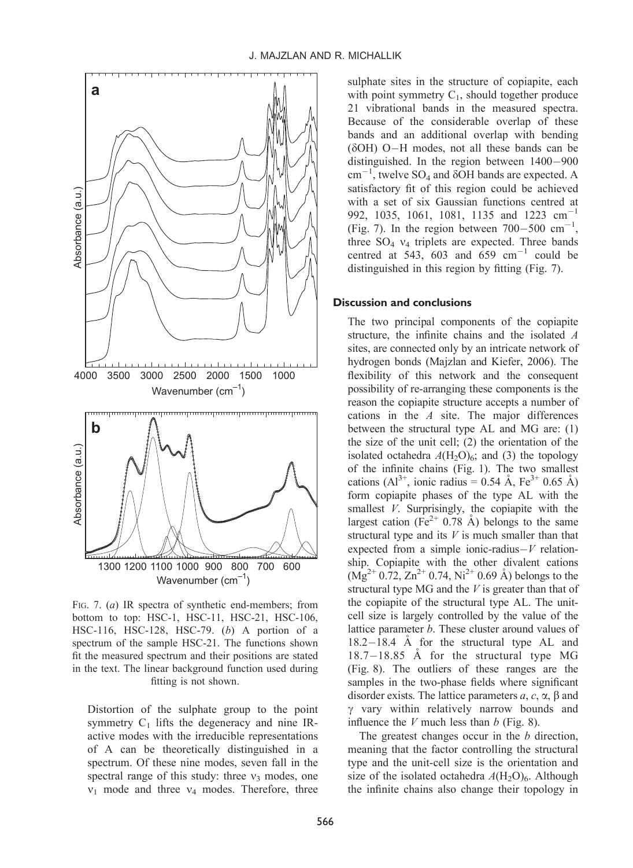

FIG. 7. (a) IR spectra of synthetic end-members; from bottom to top: HSC-1, HSC-11, HSC-21, HSC-106, HSC-116, HSC-128, HSC-79. (b) A portion of a spectrum of the sample HSC-21. The functions shown fit the measured spectrum and their positions are stated in the text. The linear background function used during fitting is not shown.

Distortion of the sulphate group to the point symmetry  $C_1$  lifts the degeneracy and nine IRactive modes with the irreducible representations of A can be theoretically distinguished in a spectrum. Of these nine modes, seven fall in the spectral range of this study: three  $v_3$  modes, one  $v_1$  mode and three  $v_4$  modes. Therefore, three

sulphate sites in the structure of copiapite, each with point symmetry  $C_1$ , should together produce 21 vibrational bands in the measured spectra. Because of the considerable overlap of these bands and an additional overlap with bending  $(\delta$ OH) O-H modes, not all these bands can be distinguished. In the region between  $1400 - 900$  $\text{cm}^{-1}$ , twelve SO<sub>4</sub> and  $\delta$ OH bands are expected. A satisfactory fit of this region could be achieved with a set of six Gaussian functions centred at 992, 1035, 1061, 1081, 1135 and 1223  $cm^{-1}$ (Fig. 7). In the region between  $700-500$  cm<sup>-1</sup>, three  $SO_4$   $v_4$  triplets are expected. Three bands centred at 543, 603 and 659  $cm^{-1}$  could be distinguished in this region by fitting (Fig. 7).

### Discussion and conclusions

The two principal components of the copiapite structure, the infinite chains and the isolated A sites, are connected only by an intricate network of hydrogen bonds (Majzlan and Kiefer, 2006). The flexibility of this network and the consequent possibility of re-arranging these components is the reason the copiapite structure accepts a number of cations in the  $A$  site. The major differences between the structural type AL and MG are: (1) the size of the unit cell; (2) the orientation of the isolated octahedra  $A(H_2O)_6$ ; and (3) the topology of the infinite chains (Fig. 1). The two smallest cations (Al<sup>3+</sup>, ionic radius = 0.54 Å, Fe<sup>3+</sup> 0.65 Å) form copiapite phases of the type AL with the smallest *V*. Surprisingly, the copiapite with the largest cation (Fe<sup>2+</sup> 0.78 Å) belongs to the same structural type and its  $V$  is much smaller than that expected from a simple ionic-radius $-V$  relationship. Copiapite with the other divalent cations  $(Mg^{2+} 0.72, Zn^{2+} 0.74, Ni^{2+} 0.69 \text{ Å})$  belongs to the structural type MG and the  $V$  is greater than that of the copiapite of the structural type AL. The unitcell size is largely controlled by the value of the lattice parameter b. These cluster around values of  $18.2-18.4$  Å for the structural type AL and  $18.7-18.85$  Å for the structural type MG (Fig. 8). The outliers of these ranges are the samples in the two-phase fields where significant disorder exists. The lattice parameters  $a, c, \alpha, \beta$  and  $\gamma$  vary within relatively narrow bounds and influence the  $V$  much less than  $b$  (Fig. 8).

The greatest changes occur in the *b* direction, meaning that the factor controlling the structural type and the unit-cell size is the orientation and size of the isolated octahedra  $A(H_2O)_6$ . Although the infinite chains also change their topology in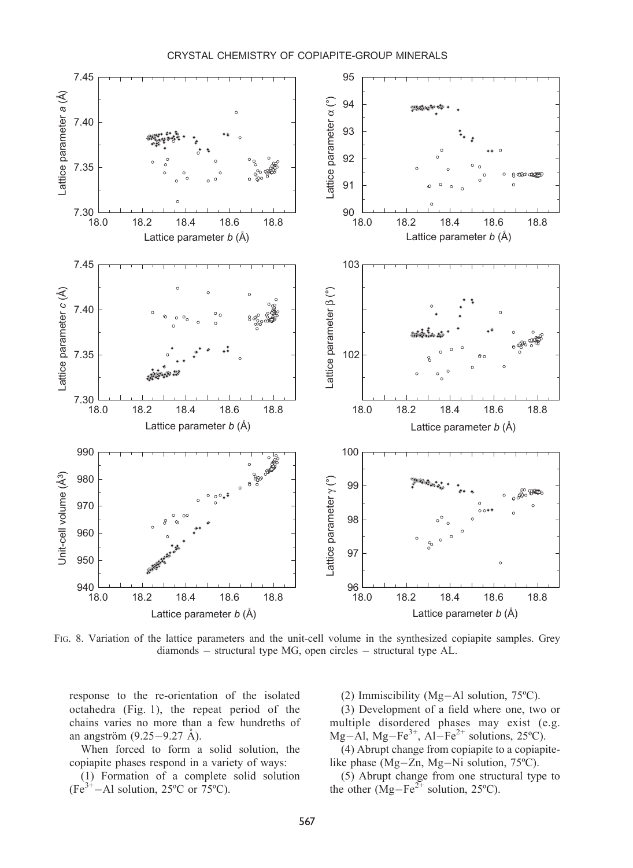

FIG. 8. Variation of the lattice parameters and the unit-cell volume in the synthesized copiapite samples. Grey  $diamond$  - structural type MG, open circles  $-$  structural type AL.

response to the re-orientation of the isolated octahedra (Fig. 1), the repeat period of the chains varies no more than a few hundreths of an angström  $(9.25-9.27 \text{ Å})$ .

When forced to form a solid solution, the copiapite phases respond in a variety of ways:

(1) Formation of a complete solid solution  $(Fe<sup>3+</sup>-Al$  solution, 25<sup>o</sup>C or 75<sup>o</sup>C).

(2) Immiscibility (Mg-Al solution,  $75^{\circ}$ C).

(3) Development of a field where one, two or multiple disordered phases may exist (e.g. Mg-Al,  $Mg-Fe^{3+}$ , Al-Fe<sup>2+</sup> solutions, 25<sup>o</sup>C).

(4) Abrupt change fromcopiapite to a copiapitelike phase (Mg-Zn, Mg-Ni solution,  $75^{\circ}$ C).

(5) Abrupt change fromone structural type to the other  $(Mg–Fe<sup>2+</sup>$  solution, 25<sup>o</sup>C).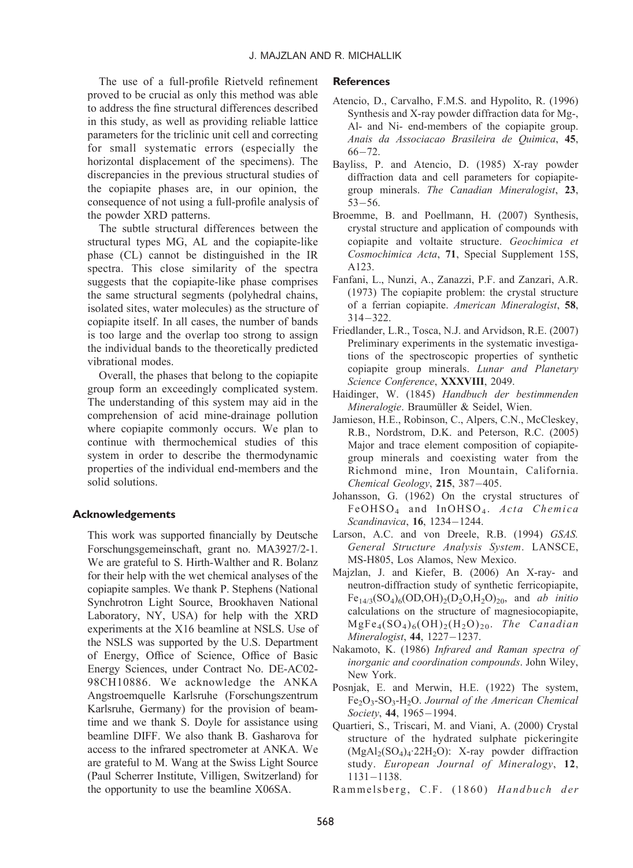The use of a full-profile Rietveld refinement proved to be crucial as only this method was able to address the fine structural differences described in this study, as well as providing reliable lattice parameters for the triclinic unit cell and correcting for small systematic errors (especially the horizontal displacement of the specimens). The discrepancies in the previous structural studies of the copiapite phases are, in our opinion, the consequence of not using a full-profile analysis of the powder XRD patterns.

The subtle structural differences between the structural types MG, AL and the copiapite-like phase (CL) cannot be distinguished in the IR spectra. This close similarity of the spectra suggests that the copiapite-like phase comprises the same structural segments (polyhedral chains, isolated sites, water molecules) as the structure of copiapite itself. In all cases, the number of bands is too large and the overlap too strong to assign the individual bands to the theoretically predicted vibrational modes.

Overall, the phases that belong to the copiapite group form an exceedingly complicated system. The understanding of this system may aid in the comprehension of acid mine-drainage pollution where copiapite commonly occurs. We plan to continue with thermochemical studies of this system in order to describe the thermodynamic properties of the individual end-members and the solid solutions.

### Acknowledgements

This work was supported financially by Deutsche Forschungsgemeinschaft, grant no. MA3927/2-1. We are grateful to S. Hirth-Walther and R. Bolanz for their help with the wet chemical analyses of the copiapite samples. We thank P. Stephens (National Synchrotron Light Source, Brookhaven National Laboratory, NY, USA) for help with the XRD experiments at the X16 beamline at NSLS. Use of the NSLS was supported by the U.S. Department of Energy, Office of Science, Office of Basic Energy Sciences, under Contract No. DE-AC02- 98CH10886. We acknowledge the ANKA Angstroemquelle Karlsruhe (Forschungszentrum Karlsruhe, Germany) for the provision of beamtime and we thank S. Doyle for assistance using beamline DIFF. We also thank B. Gasharova for access to the infrared spectrometer at ANKA. We are grateful to M. Wang at the Swiss Light Source (Paul Scherrer Institute, Villigen, Switzerland) for the opportunity to use the beamline X06SA.

### **References**

- Atencio, D., Carvalho, F.M.S. and Hypolito, R. (1996) Synthesis and X-ray powder diffraction data for Mg-, Al- and Ni- end-members of the copiapite group. Anais da Associacao Brasileira de Quimica, 45,  $66 - 72.$
- Bayliss, P. and Atencio, D. (1985) X-ray powder diffraction data and cell parameters for copiapitegroup minerals. The Canadian Mineralogist, 23,  $53 - 56.$
- Broemme, B. and Poellmann, H. (2007) Synthesis, crystal structure and application of compounds with copiapite and voltaite structure. Geochimica et Cosmochimica Acta, 71, Special Supplement 15S, A123.
- Fanfani, L., Nunzi, A., Zanazzi, P.F. and Zanzari, A.R. (1973) The copiapite problem: the crystal structure of a ferrian copiapite. American Mineralogist, 58, 314-322.
- Friedlander, L.R., Tosca, N.J. and Arvidson, R.E. (2007) Preliminary experiments in the systematic investigations of the spectroscopic properties of synthetic copiapite group minerals. Lunar and Planetary Science Conference, XXXVIII, 2049.
- Haidinger, W. (1845) Handbuch der bestimmenden Mineralogie. Braumüller & Seidel, Wien.
- Jamieson, H.E., Robinson, C., Alpers, C.N., McCleskey, R.B., Nordstrom, D.K. and Peterson, R.C. (2005) Major and trace element composition of copiapitegroup minerals and coexisting water from the Richmond mine, Iron Mountain, California. Chemical Geology,  $215$ ,  $387-405$ .
- Johansson, G. (1962) On the crystal structures of FeOHSO<sub>4</sub> and InOHSO<sub>4</sub>. Acta Chemica Scandinavica, 16, 1234-1244.
- Larson, A.C. and von Dreele, R.B. (1994) GSAS. General Structure Analysis System. LANSCE, MS-H805, Los Alamos, New Mexico.
- Majzlan, J. and Kiefer, B. (2006) An X-ray- and neutron-diffraction study of synthetic ferricopiapite,  $Fe_{14/3}(SO_4)_6(OD,OH)_2(D_2O,H_2O)_{20}$ , and ab initio calculations on the structure of magnesiocopiapite,  $MgFe<sub>4</sub>(SO<sub>4</sub>)<sub>6</sub>(OH)<sub>2</sub>(H<sub>2</sub>O)<sub>20</sub>$ . The Canadian Mineralogist, 44, 1227-1237.
- Nakamoto, K. (1986) Infrared and Raman spectra of inorganic and coordination compounds. John Wiley, New York.
- Posnjak, E. and Merwin, H.E. (1922) The system,  $Fe<sub>2</sub>O<sub>3</sub>-SO<sub>3</sub>-H<sub>2</sub>O$ . Journal of the American Chemical Society, 44, 1965-1994.
- Quartieri, S., Triscari, M. and Viani, A. (2000) Crystal structure of the hydrated sulphate pickeringite (MgAl2(SO4)4·22H2O): X-ray powder diffraction study. European Journal of Mineralogy, 12,  $1131 - 1138.$
- Rammelsberg, C.F. (1860) Handbuch der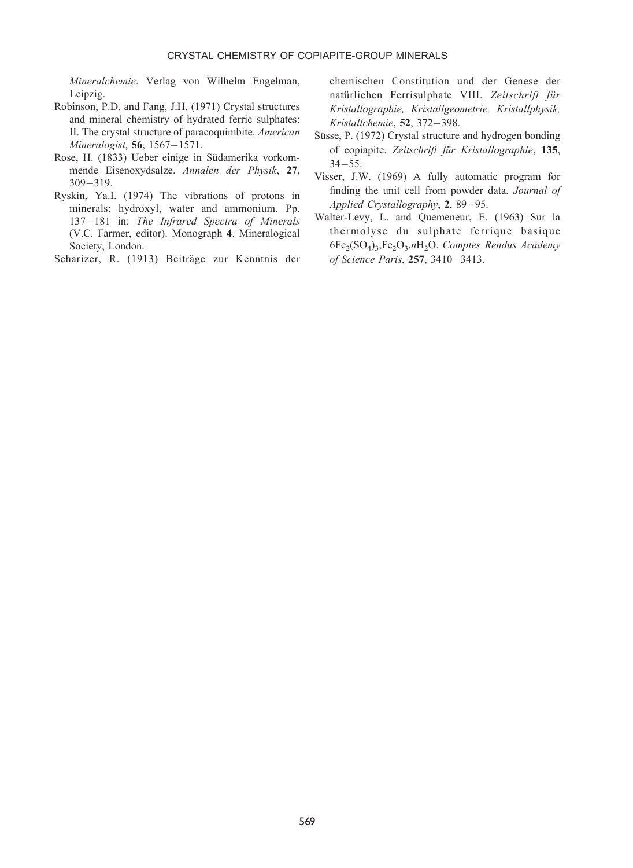Mineralchemie. Verlag von Wilhelm Engelman, Leipzig.

- Robinson, P.D. and Fang, J.H. (1971) Crystal structures and mineral chemistry of hydrated ferric sulphates: II. The crystal structure of paracoquimbite. American Mineralogist,  $56, 1567 - 1571$ .
- Rose, H. (1833) Ueber einige in Südamerika vorkommende Eisenoxydsalze. Annalen der Physik, 27,  $309 - 319.$
- Ryskin, Ya.I. (1974) The vibrations of protons in minerals: hydroxyl, water and ammonium. Pp. 137-181 in: The Infrared Spectra of Minerals (V.C. Farmer, editor). Monograph 4. Mineralogical Society, London.

Scharizer, R. (1913) Beiträge zur Kenntnis der

chemischen Constitution und der Genese der natürlichen Ferrisulphate VIII. Zeitschrift für Kristallographie, Kristallgeometrie, Kristallphysik, Kristallchemie, 52, 372-398.

- Süsse, P. (1972) Crystal structure and hydrogen bonding of copiapite. Zeitschrift für Kristallographie, 135,  $34 - 55$ .
- Visser, J.W. (1969) A fully automatic program for finding the unit cell from powder data. Journal of Applied Crystallography, 2, 89-95.
- Walter-Levy, L. and Quemeneur, E. (1963) Sur la thermolyse du sulphate ferrique basique  $6Fe<sub>2</sub>(SO<sub>4</sub>)<sub>3</sub>Fe<sub>2</sub>O<sub>3</sub>.nH<sub>2</sub>O$ . Comptes Rendus Academy of Science Paris, 257, 3410-3413.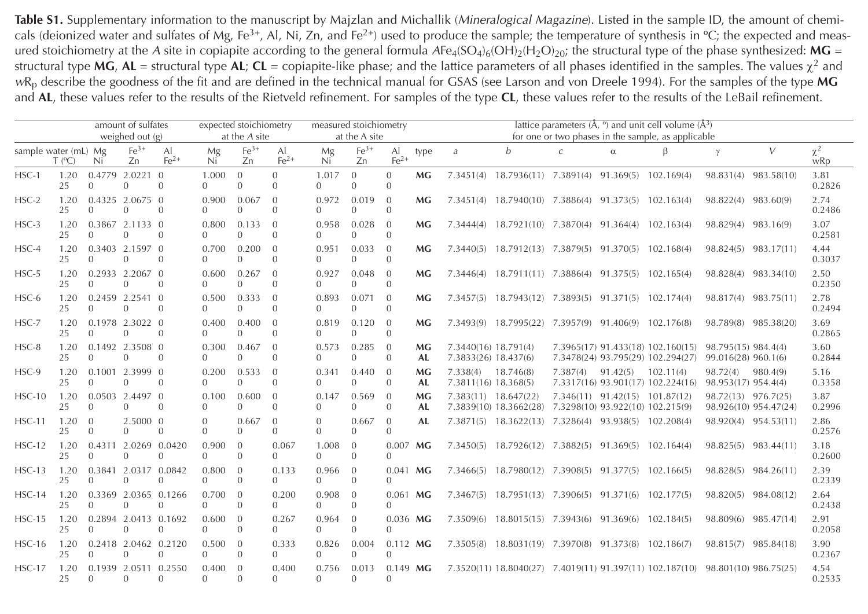Table S1. Supplementary information to the manuscript by Majzlan and Michallik (Mineralogical Magazine). Listed in the sample ID, the amount of chemicals (deionized water and sulfates of Mg, Fe<sup>3+</sup>, Al, Ni, Zn, and Fe<sup>2+</sup>) used to produce the sample; the temperature of synthesis in <sup>o</sup>C; the expected and measured stoichiometry at the A site in copiapite according to the general formula AFe<sub>4</sub>(SO<sub>4)6</sub>(OH)<sub>2</sub>(H<sub>2</sub>O)<sub>20</sub>; the structural type of the phase synthesized: **MG** = structural type **MG**, **AL** = structural type **AL**; **CL** = copiapite-like phase; and the lattice parameters of all phases identified in the samples. The values <sup>χ</sup><sup>2</sup> and w Rp describe the goodness of the fit and are defined in the technical manual for GSAS (see Larson and von Dreele 1994). For the samples of the type **MG** and **AL**, these values refer to the results of the Rietveld refinement. For samples of the type **CL**, these values refer to the results of the LeBail refinement.

|          |                                         |                            | amount of sulfates              |                                  |                            | expected stoichiometry     |                            | measured stoichiometry     |                                  |                            |                        |                                              |                                                      |               |                                                                    | lattice parameters $(\text{\AA})$ and unit cell volume $(\text{\AA})$  |                                            |                       |                 |
|----------|-----------------------------------------|----------------------------|---------------------------------|----------------------------------|----------------------------|----------------------------|----------------------------|----------------------------|----------------------------------|----------------------------|------------------------|----------------------------------------------|------------------------------------------------------|---------------|--------------------------------------------------------------------|------------------------------------------------------------------------|--------------------------------------------|-----------------------|-----------------|
|          |                                         |                            | weighed out (g)                 |                                  |                            | at the A site              |                            |                            | at the A site                    |                            |                        |                                              |                                                      |               |                                                                    | for one or two phases in the sample, as applicable                     |                                            |                       |                 |
|          | sample water (mL) Mg<br>$T (^{\circ}C)$ | Ni                         | $Fe3+$<br>Zn                    | $\overline{A}$<br>$Fe2+$         | Mg<br>Ni                   | $Fe3+$<br>Zn               | AI<br>$Fe2+$               | Mg<br>Ni                   | $Fe3+$<br>Zn                     | AI<br>$Fe2+$               | type                   | a                                            | b                                                    | $\mathcal{C}$ | $\alpha$                                                           | β                                                                      | $\gamma$                                   | $\vee$                | $\chi^2$<br>wRp |
| $HSC-1$  | 1.20<br>25                              | $\Omega$                   | 0.4779 2.0221 0<br>$\Omega$     | $\Omega$                         | 1.000<br>$\Omega$          | $\Omega$<br>$\Omega$       | $\Omega$<br>$\Omega$       | 1.017<br>$\Omega$          | $\Omega$<br>$\Omega$             | $\Omega$<br>$\Omega$       | <b>MG</b>              |                                              | 7.3451(4) 18.7936(11) 7.3891(4) 91.369(5)            |               |                                                                    | 102.169(4)                                                             |                                            | 98.831(4) 983.58(10)  | 3.81<br>0.2826  |
| $HSC-2$  | 1.20<br>25                              | $\Omega$                   | 0.4325 2.0675 0<br>$\Omega$     | $\Omega$                         | 0.900<br>$\Omega$          | 0.067<br>$\Omega$          | $\Omega$<br>$\Omega$       | 0.972<br>$\Omega$          | 0.019<br>$\Omega$                | $\Omega$<br>$\Omega$       | <b>MG</b>              |                                              | 7.3451(4) 18.7940(10) 7.3886(4) 91.373(5)            |               |                                                                    | 102.163(4)                                                             | 98.822(4) 983.60(9)                        |                       | 2.74<br>0.2486  |
| $HSC-3$  | 1.20<br>25                              | $\Omega$                   | 0.3867 2.1133 0<br>$\Omega$     | $\Omega$                         | 0.800<br>$\Omega$          | 0.133<br>$\Omega$          | $\Omega$<br>$\Omega$       | 0.958<br>$\Omega$          | 0.028<br>$\Omega$                | $\Omega$<br>$\Omega$       | <b>MG</b>              |                                              | 7.3444(4) 18.7921(10) 7.3870(4) 91.364(4)            |               |                                                                    | 102.163(4)                                                             | 98.829(4) 983.16(9)                        |                       | 3.07<br>0.2581  |
| $HSC-4$  | 1.20<br>25                              | $\overline{0}$             | 0.3403 2.1597 0<br>$\Omega$     | $\overline{0}$                   | 0.700<br>$\Omega$          | 0.200<br>$\overline{0}$    | $\Omega$<br>$\Omega$       | 0.951<br>$\Omega$          | 0.033<br>$\overline{0}$          | $\Omega$<br>$\overline{0}$ | MG                     |                                              | 7.3440(5) 18.7912(13) 7.3879(5) 91.370(5)            |               |                                                                    | 102.168(4)                                                             |                                            | 98.824(5) 983.17(11)  | 4.44<br>0.3037  |
| $HSC-5$  | 1.20<br>25                              | $\Omega$                   | 0.2933 2.2067 0<br>$\Omega$     | $\Omega$                         | 0.600<br>$\Omega$          | 0.267<br>$\Omega$          | $\Omega$<br>$\overline{0}$ | 0.927<br>$\Omega$          | 0.048<br>$\Omega$                | $\Omega$<br>$\overline{0}$ | <b>MG</b>              |                                              | 7.3446(4) 18.7911(11) 7.3886(4) 91.375(5) 102.165(4) |               |                                                                    |                                                                        |                                            | 98.828(4) 983.34(10)  | 2.50<br>0.2350  |
| $HSC-6$  | 1.20<br>25                              | $\overline{0}$             | 0.2459 2.2541 0<br>$\mathbf{0}$ | $\overline{0}$                   | 0.500<br>$\Omega$          | 0.333<br>$\overline{0}$    | $\Omega$<br>$\overline{0}$ | 0.893<br>$\Omega$          | 0.071<br>$\overline{0}$          | $\Omega$<br>$\overline{0}$ | <b>MG</b>              |                                              | 7.3457(5) 18.7943(12) 7.3893(5) 91.371(5) 102.174(4) |               |                                                                    |                                                                        |                                            | 98.817(4) 983.75(11)  | 2.78<br>0.2494  |
| $HSC-7$  | 1.20<br>25                              | $\Omega$                   | 0.1978 2.3022 0<br>$\Omega$     | $\Omega$                         | 0.400<br>$\Omega$          | 0.400<br>$\Omega$          | $\Omega$<br>$\Omega$       | 0.819<br>$\Omega$          | 0.120<br>$\Omega$                | $\Omega$<br>$\overline{0}$ | <b>MG</b>              |                                              | 7.3493(9) 18.7995(22) 7.3957(9) 91.406(9) 102.176(8) |               |                                                                    |                                                                        |                                            | 98.789(8) 985.38(20)  | 3.69<br>0.2865  |
| $HSC-8$  | 1.20<br>25                              | $\overline{0}$             | 0.1492 2.3508 0<br>$\Omega$     | $\Omega$                         | 0.300<br>$\Omega$          | 0.467<br>$\Omega$          | $\Omega$<br>$\Omega$       | 0.573<br>$\Omega$          | 0.285<br>$\Omega$                | $\Omega$<br>$\overline{0}$ | MG<br>AL               | 7.3440(16) 18.791(4)<br>7.3833(26) 18.437(6) |                                                      |               |                                                                    | 7.3965(17) 91.433(18) 102.160(15)<br>7.3478(24) 93.795(29) 102.294(27) | 98.795(15) 984.4(4)<br>99.016(28) 960.1(6) |                       | 3.60<br>0.2844  |
| $HSC-9$  | 1.20<br>25                              | $\Omega$                   | $0.1001$ 2.3999 0<br>$\Omega$   | $\Omega$                         | 0.200<br>$\Omega$          | 0.533<br>$\Omega$          | $\Omega$<br>$\Omega$       | 0.341<br>$\Omega$          | 0.440<br>$\Omega$                | $\Omega$<br>$\overline{0}$ | <b>MG</b><br><b>AL</b> | 7.338(4)<br>7.3811(16) 18.368(5)             | 18.746(8)                                            | 7.387(4)      | 91.42(5)                                                           | 102.11(4)<br>7.3317(16) 93.901(17) 102.224(16)                         | 98.72(4)<br>98.953(17) 954.4(4)            | 980.4(9)              | 5.16<br>0.3358  |
| $HSC-10$ | 1.20<br>25                              | $\overline{0}$             | 0.0503 2.4497 0<br>$\Omega$     | $\Omega$                         | 0.100<br>$\Omega$          | 0.600<br>$\Omega$          | $\Omega$<br>$\Omega$       | 0.147<br>$\Omega$          | 0.569<br>$\Omega$                | $\Omega$<br>$\overline{0}$ | <b>MG</b><br><b>AL</b> | 7.383(11) 18.647(22)                         | 7.3839(10) 18.3662(28)                               |               | 7.346(11) 91.42(15) 101.87(12)<br>7.3298(10) 93.922(10) 102.215(9) |                                                                        | 98.72(13) 976.7(25)                        | 98.926(10) 954.47(24) | 3.87<br>0.2996  |
| $HSC-11$ | 1.20<br>25                              | $\overline{0}$<br>$\Omega$ | 2.5000 0<br>$\Omega$            | $\Omega$                         | $\overline{0}$<br>$\Omega$ | 0.667<br>$\Omega$          | $\overline{0}$<br>$\Omega$ | $\overline{0}$<br>$\Omega$ | 0.667<br>$\Omega$                | $\overline{0}$<br>$\Omega$ | <b>AL</b>              |                                              | 7.3871(5) 18.3622(13) 7.3286(4) 93.938(5) 102.208(4) |               |                                                                    |                                                                        |                                            | 98.920(4) 954.53(11)  | 2.86<br>0.2576  |
| $HSC-12$ | 1.20<br>25                              | $\Omega$                   | $\Omega$                        | 0.4311 2.0269 0.0420<br>$\Omega$ | 0.900<br>$\Omega$          | $\overline{0}$<br>$\Omega$ | 0.067<br>$\Omega$          | 1.008<br>$\Omega$          | $\overline{0}$<br>$\Omega$       | 0.007 MG<br>$\Omega$       |                        |                                              | 7.3450(5) 18.7926(12) 7.3882(5) 91.369(5)            |               |                                                                    | 102.164(4)                                                             |                                            | 98.825(5) 983.44(11)  | 3.18<br>0.2600  |
| $HSC-13$ | 1.20<br>25                              | $\Omega$                   | $\Omega$                        | 0.3841 2.0317 0.0842<br>$\Omega$ | 0.800<br>$\Omega$          | $\Omega$<br>$\Omega$       | 0.133<br>$\Omega$          | 0.966<br>$\Omega$          | $\overline{0}$<br>$\Omega$       | $0.041$ MG<br>$\Omega$     |                        |                                              | 7.3466(5) 18.7980(12) 7.3908(5) 91.377(5)            |               |                                                                    | 102.166(5)                                                             |                                            | 98.828(5) 984.26(11)  | 2.39<br>0.2339  |
| $HSC-14$ | 1.20<br>25                              | $\overline{0}$             | $\Omega$                        | 0.3369 2.0365 0.1266<br>$\Omega$ | 0.700<br>$\Omega$          | $\Omega$<br>$\Omega$       | 0.200<br>$\Omega$          | 0.908<br>$\Omega$          | $\overline{0}$<br>$\overline{0}$ | $0.061$ MG<br>$\Omega$     |                        |                                              | 7.3467(5) 18.7951(13) 7.3906(5) 91.371(6) 102.177(5) |               |                                                                    |                                                                        |                                            | 98.820(5) 984.08(12)  | 2.64<br>0.2438  |
| $HSC-15$ | 1.20<br>25                              | $\Omega$                   | $\Omega$                        | 0.2894 2.0413 0.1692<br>$\Omega$ | 0.600<br>$\Omega$          | $\Omega$<br>$\Omega$       | 0.267<br>$\Omega$          | 0.964<br>$\Omega$          | $\overline{0}$<br>$\Omega$       | $0.036$ MG<br>$\Omega$     |                        | 7.3509(6)                                    | 18.8015(15) 7.3943(6) 91.369(6) 102.184(5)           |               |                                                                    |                                                                        |                                            | 98.809(6) 985.47(14)  | 2.91<br>0.2058  |
| $HSC-16$ | 1.20<br>25                              | $\Omega$                   | $\Omega$                        | 0.2418 2.0462 0.2120<br>$\Omega$ | 0.500<br>$\Omega$          | $\overline{0}$<br>$\Omega$ | 0.333<br>$\Omega$          | 0.826<br>$\Omega$          | 0.004<br>$\Omega$                | 0.112 MG<br>$\Omega$       |                        |                                              | 7.3505(8) 18.8031(19) 7.3970(8) 91.373(8)            |               |                                                                    | 102.186(7)                                                             | 98.815(7)                                  | 985.84(18)            | 3.90<br>0.2367  |
| $HSC-17$ | 1.20<br>25                              | $\Omega$                   | $\Omega$                        | 0.1939 2.0511 0.2550<br>$\Omega$ | 0.400<br>$\Omega$          | $\Omega$<br>$\Omega$       | 0.400<br>$\Omega$          | 0.756<br>$\Omega$          | 0.013<br>$\Omega$                | $0.149$ MG<br>$\Omega$     |                        |                                              |                                                      |               |                                                                    | 7.3520(11) 18.8040(27) 7.4019(11) 91.397(11) 102.187(10)               |                                            | 98.801(10) 986.75(25) | 4.54<br>0.2535  |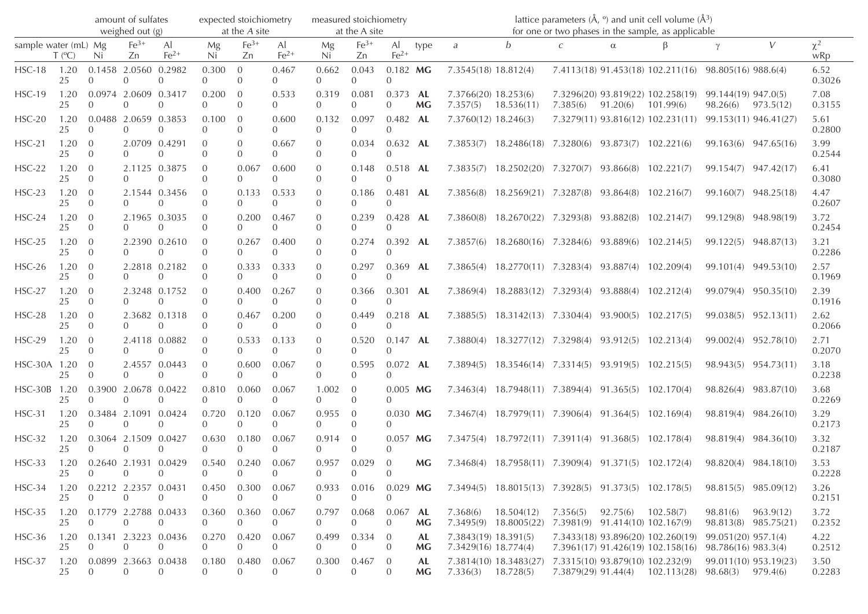|              |                                         |                            | amount of sulfates<br>weighed out (g)  |                           |                                  | expected stoichiometry<br>at the A site |                         |                            | measured stoichiometry<br>at the A site |                                  |                 |                                              |                                                      |                                             |                        | lattice parameters $(\AA)$ , $\phi$ ) and unit cell volume $(\AA)^3$<br>for one or two phases in the sample, as applicable |           |                                   |                 |
|--------------|-----------------------------------------|----------------------------|----------------------------------------|---------------------------|----------------------------------|-----------------------------------------|-------------------------|----------------------------|-----------------------------------------|----------------------------------|-----------------|----------------------------------------------|------------------------------------------------------|---------------------------------------------|------------------------|----------------------------------------------------------------------------------------------------------------------------|-----------|-----------------------------------|-----------------|
|              | sample water (mL) Mg<br>$T (^{\circ}C)$ | Ni                         | $Fe3+$<br>Zn                           | Al<br>$Fe2+$              | Mg<br>Ni                         | $Fe3+$<br>Zn                            | Al<br>$Fe2+$            | Mg<br>Ni                   | $Fe3+$<br>Zn                            | Al<br>$Fe2+$                     | type            | $\partial$                                   | b                                                    | $\mathcal{C}$                               | $\alpha$               | ß                                                                                                                          | $\gamma$  | $\vee$                            | $\chi^2$<br>wRp |
| $HSC-18$     | 1.20<br>25                              | $\Omega$                   | 0.1458 2.0560 0.2982<br>$\Omega$       | $\Omega$                  | 0.300<br>$\Omega$                | $\overline{0}$<br>$\Omega$              | 0.467<br>$\Omega$       | 0.662<br>$\Omega$          | 0.043<br>$\Omega$                       | $0.182$ MG<br>$\Omega$           |                 | 7.3545(18) 18.812(4)                         |                                                      |                                             |                        | 7.4113(18) 91.453(18) 102.211(16) 98.805(16) 988.6(4)                                                                      |           |                                   | 6.52<br>0.3026  |
| $HSC-19$     | 1.20<br>25                              | $\Omega$                   | 0.0974 2.0609 0.3417<br>$\Omega$       | $\Omega$                  | 0.200<br>$\Omega$                | $\overline{0}$<br>$\Omega$              | 0.533<br>$\Omega$       | 0.319<br>$\Omega$          | 0.081<br>$\Omega$                       | 0.373<br>$\Omega$                | AL<br><b>MG</b> | 7.3766(20) 18.253(6)<br>7.357(5)             | 18.536(11)                                           | 7.385(6)                                    | 91.20(6)               | 7.3296(20) 93.819(22) 102.258(19) 99.144(19) 947.0(5)<br>101.99(6)                                                         | 98.26(6)  | 973.5(12)                         | 7.08<br>0.3155  |
| HSC-20       | 1.20<br>25                              | $\Omega$                   | 0.0488 2.0659 0.3853<br>$\Omega$       | $\overline{0}$            | 0.100<br>$\Omega$                | $\overline{0}$<br>$\Omega$              | 0.600<br>$\Omega$       | 0.132<br>$\Omega$          | 0.097<br>$\Omega$                       | 0.482 AL<br>$\Omega$             |                 | 7.3760(12) 18.246(3)                         |                                                      |                                             |                        | 7.3279(11) 93.816(12) 102.231(11) 99.153(11) 946.41(27)                                                                    |           |                                   | 5.61<br>0.2800  |
| $HSC-21$     | 1.20<br>25                              | $\overline{0}$<br>$\Omega$ | 2.0709 0.4291<br>$\Omega$              | $\overline{0}$            | $\overline{0}$<br>$\Omega$       | $\overline{0}$<br>$\Omega$              | 0.667<br>$\Omega$       | $\overline{0}$<br>$\Omega$ | 0.034<br>$\Omega$                       | $0.632$ AL<br>$\Omega$           |                 |                                              | 7.3853(7) 18.2486(18) 7.3280(6) 93.873(7) 102.221(6) |                                             |                        |                                                                                                                            |           | 99.163(6) 947.65(16)              | 3.99<br>0.2544  |
| $HSC-22$     | 1.20<br>25                              | $\theta$<br>$\Omega$       | $\Omega$                               | 2.1125 0.3875<br>$\Omega$ | $\overline{0}$<br>$\Omega$       | 0.067<br>$\Omega$                       | 0.600<br>$\Omega$       | $\overline{0}$<br>$\Omega$ | 0.148<br>$\Omega$                       | $0.518$ AL<br>$\Omega$           |                 |                                              | 7.3835(7) 18.2502(20) 7.3270(7) 93.866(8) 102.221(7) |                                             |                        |                                                                                                                            |           | 99.154(7) 947.42(17)              | 6.41<br>0.3080  |
| $HSC-23$     | 1.20<br>25                              | $\theta$<br>$\Omega$       | $\Omega$                               | 2.1544 0.3456<br>$\Omega$ | $\overline{0}$<br>$\Omega$       | 0.133<br>$\Omega$                       | 0.533<br>$\Omega$       | $\overline{0}$<br>$\Omega$ | 0.186<br>$\Omega$                       | $0.481$ AL<br>$\Omega$           |                 | 7.3856(8)                                    | $18.2569(21)$ $7.3287(8)$ $93.864(8)$ $102.216(7)$   |                                             |                        |                                                                                                                            | 99.160(7) | 948.25(18)                        | 4.47<br>0.2607  |
| $HSC-24$     | 1.20<br>25                              | $\theta$<br>$\Omega$       | $\Omega$                               | 2.1965 0.3035<br>$\Omega$ | $\overline{0}$<br>$\Omega$       | 0.200<br>$\Omega$                       | 0.467<br>$\Omega$       | $\overline{0}$<br>$\Omega$ | 0.239<br>$\Omega$                       | $0.428$ AL<br>$\Omega$           |                 | 7.3860(8)                                    | 18.2670(22) 7.3293(8) 93.882(8) 102.214(7)           |                                             |                        |                                                                                                                            | 99.129(8) | 948.98(19)                        | 3.72<br>0.2454  |
| $HSC-25$     | 1.20<br>25                              | $\theta$<br>$\Omega$       | $\Omega$                               | 2.2390 0.2610<br>$\Omega$ | $\overline{0}$<br>$\Omega$       | 0.267<br>$\Omega$                       | 0.400<br>$\Omega$       | $\overline{0}$<br>$\Omega$ | 0.274<br>$\Omega$                       | 0.392 AL<br>$\Omega$             |                 | 7.3857(6)                                    | 18.2680(16) 7.3284(6) 93.889(6) 102.214(5)           |                                             |                        |                                                                                                                            | 99.122(5) | 948.87(13)                        | 3.21<br>0.2286  |
| $HSC-26$     | 1.20<br>25                              | $\theta$<br>$\Omega$       | $\Omega$                               | 2.2818 0.2182<br>$\Omega$ | $\overline{0}$<br>$\Omega$       | 0.333<br>$\Omega$                       | 0.333<br>$\Omega$       | $\overline{0}$<br>$\Omega$ | 0.297<br>$\Omega$                       | 0.369 AL<br>$\Omega$             |                 | 7.3865(4)                                    | $18.2770(11)$ $7.3283(4)$ $93.887(4)$ $102.209(4)$   |                                             |                        |                                                                                                                            |           | 99.101(4) 949.53(10)              | 2.57<br>0.1969  |
| $HSC-27$     | 1.20<br>25                              | $\theta$<br>$\Omega$       | $\Omega$                               | 2.3248 0.1752<br>$\Omega$ | $\theta$<br>$\Omega$             | 0.400<br>$\Omega$                       | 0.267<br>$\Omega$       | $\Omega$<br>$\Omega$       | 0.366<br>$\Omega$                       | 0.301 AL<br>$\Omega$             |                 | 7.3869(4)                                    | 18.2883(12) 7.3293(4) 93.888(4) 102.212(4)           |                                             |                        |                                                                                                                            |           | 99.079(4) 950.35(10)              | 2.39<br>0.1916  |
| $HSC-28$     | 1.20<br>25                              | $\overline{0}$<br>$\Omega$ | $\Omega$                               | 2.3682 0.1318<br>$\Omega$ | $\overline{0}$<br>$\overline{0}$ | 0.467<br>$\Omega$                       | 0.200<br>$\Omega$       | $\Omega$<br>$\Omega$       | 0.449<br>$\Omega$                       | $0.218$ AL<br>$\Omega$           |                 | 7.3885(5)                                    | $18.3142(13)$ $7.3304(4)$ $93.900(5)$ $102.217(5)$   |                                             |                        |                                                                                                                            | 99.038(5) | 952.13(11)                        | 2.62<br>0.2066  |
| $HSC-29$     | 1.20<br>25                              | $\overline{0}$<br>$\Omega$ | $\Omega$                               | 2.4118 0.0882<br>$\Omega$ | $\overline{0}$<br>$\Omega$       | 0.533<br>$\Omega$                       | 0.133<br>$\Omega$       | $\Omega$<br>$\Omega$       | 0.520<br>$\Omega$                       | $0.147$ AL<br>$\Omega$           |                 | 7.3880(4)                                    | $18.3277(12)$ $7.3298(4)$ $93.912(5)$ $102.213(4)$   |                                             |                        |                                                                                                                            |           | 99.002(4) 952.78(10)              | 2.71<br>0.2070  |
| HSC-30A 1.20 | 25                                      | $\overline{0}$<br>$\Omega$ | $\Omega$                               | 2.4557 0.0443<br>$\Omega$ | $\overline{0}$<br>$\Omega$       | 0.600<br>$\Omega$                       | 0.067<br>$\Omega$       | $\overline{0}$<br>$\Omega$ | 0.595<br>$\Omega$                       | $0.072$ AL<br>$\Omega$           |                 | 7.3894(5)                                    | 18.3546(14) 7.3314(5) 93.919(5) 102.215(5)           |                                             |                        |                                                                                                                            |           | 98.943(5) 954.73(11)              | 3.18<br>0.2238  |
| HSC-30B 1.20 | 25                                      | $\Omega$                   | 0.3900 2.0678 0.0422<br>$\Omega$       | $\Omega$                  | 0.810<br>$\Omega$                | 0.060<br>$\Omega$                       | 0.067<br>$\Omega$       | 1.002<br>$\Omega$          | $\overline{0}$<br>$\Omega$              | $0.005$ MG<br>$\Omega$           |                 |                                              | 7.3463(4) 18.7948(11) 7.3894(4) 91.365(5) 102.170(4) |                                             |                        |                                                                                                                            |           | 98.826(4) 983.87(10)              | 3.68<br>0.2269  |
| $HSC-31$     | 1.20<br>25                              | $\Omega$                   | 0.3484 2.1091 0.0424<br>$\Omega$       | $\Omega$                  | 0.720<br>$\Omega$                | 0.120<br>$\overline{0}$                 | 0.067<br>$\Omega$       | 0.955<br>$\Omega$          | $\overline{0}$<br>$\Omega$              | $0.030$ MG<br>$\Omega$           |                 | 7.3467(4)                                    | $18.7979(11)$ $7.3906(4)$ $91.364(5)$ $102.169(4)$   |                                             |                        |                                                                                                                            |           | 98.819(4) 984.26(10)              | 3.29<br>0.2173  |
| $HSC-32$     | 1.20<br>25                              | $\Omega$                   | 0.3064 2.1509 0.0427<br>$\Omega$       | $\Omega$                  | 0.630<br>$\Omega$                | 0.180<br>$\overline{0}$                 | 0.067<br>$\Omega$       | 0.914<br>$\Omega$          | $\overline{0}$<br>$\Omega$              | $0.057$ MG<br>$\Omega$           |                 |                                              | 7.3475(4) 18.7972(11) 7.3911(4) 91.368(5) 102.178(4) |                                             |                        |                                                                                                                            |           | 98.819(4) 984.36(10)              | 3.32<br>0.2187  |
| $HSC-33$     | 1.20<br>25                              | $\Omega$                   | 0.2640 2.1931 0.0429<br>$\overline{0}$ | $\overline{0}$            | 0.540<br>$\overline{0}$          | 0.240<br>$\Omega$                       | 0.067<br>$\overline{0}$ | 0.957<br>$\overline{0}$    | 0.029<br>$\Omega$                       | $\overline{0}$<br>$\Omega$       | <b>MG</b>       |                                              | 7.3468(4) 18.7958(11) 7.3909(4) 91.371(5) 102.172(4) |                                             |                        |                                                                                                                            |           | 98.820(4) 984.18(10)              | 3.53<br>0.2228  |
| HSC-34       | 1.20<br>25                              |                            | 0.2212 2.2357 0.0431<br>0              | 0                         | 0.450<br>$\overline{0}$          | 0.300<br>$\overline{0}$                 | 0.067<br>$\Omega$       | 0.933<br>$\Omega$          | 0.016<br>$\Omega$                       | $0.029$ MG<br>$\Omega$           |                 |                                              | 7.3494(5) 18.8015(13) 7.3928(5) 91.373(5) 102.178(5) |                                             |                        |                                                                                                                            |           | 98.815(5) 985.09(12)              | 3.26<br>0.2151  |
| $HSC-35$     | 1.20<br>25                              | $\cap$                     | 0.1779 2.2788 0.0433<br>0              | $\theta$                  | 0.360<br>$\Omega$                | 0.360<br>$\Omega$                       | 0.067<br>0              | 0.797<br>$\Omega$          | 0.068<br>$\Omega$                       | 0.067<br>$\overline{0}$          | AL<br><b>MG</b> | 7.368(6)                                     | 18.504(12)<br>7.3495(9) 18.8005(22)                  | 7.356(5)<br>7.3981(9) 91.414(10) 102.167(9) | $92.75(6)$ $102.58(7)$ |                                                                                                                            | 98.81(6)  | 963.9(12)<br>98.813(8) 985.75(21) | 3.72<br>0.2352  |
| HSC-36       | 1.20<br>25                              |                            | 0.1341 2.3223 0.0436<br>0              | $\Omega$                  | 0.270<br>$\Omega$                | 0.420<br>$\Omega$                       | 0.067<br>0              | 0.499<br>$\Omega$          | 0.334<br>$\Omega$                       | $\overline{0}$<br>$\overline{0}$ | AL<br><b>MG</b> | 7.3843(19) 18.391(5)<br>7.3429(16) 18.774(4) |                                                      |                                             |                        | 7.3433(18) 93.896(20) 102.260(19) 99.051(20) 957.1(4)<br>7.3961(17) 91.426(19) 102.158(16) 98.786(16) 983.3(4)             |           |                                   | 4.22<br>0.2512  |
| HSC-37       | 1.20<br>25                              | $\Omega$                   | 0.0899 2.3663 0.0438<br>0              | $\theta$                  | 0.180<br>$\overline{0}$          | 0.480<br>$\overline{0}$                 | 0.067<br>$\overline{0}$ | 0.300<br>$\Omega$          | 0.467<br>$\overline{0}$                 | $\overline{0}$<br>$\overline{0}$ | AL<br><b>MG</b> | $7.336(3)$ $18.728(5)$                       | 7.3814(10) 18.3483(27)                               | 7.3315(10) 93.879(10) 102.232(9)            |                        | 7.3879(29) 91.44(4) 102.113(28) 98.68(3) 979.4(6)                                                                          |           | 99.011(10) 953.19(23)             | 3.50<br>0.2283  |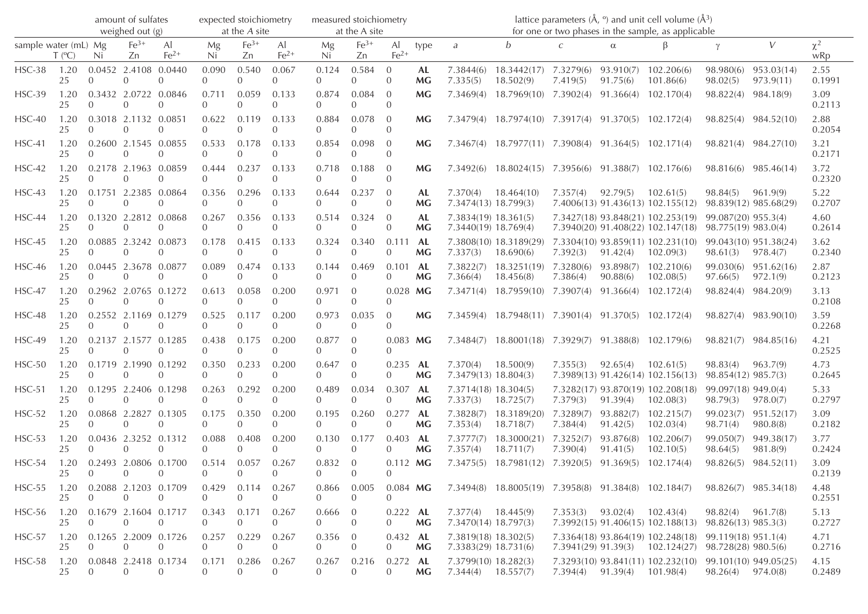|                      |                 |                | amount of sulfates<br>weighed out (g)  |                                        |                         | expected stoichiometry<br>at the A site |                         | measured stoichiometry        | at the A site                    |                                  |                 |                                                |                                                         |                                 |                                   | lattice parameters $(\AA)$ , $\phi$ ) and unit cell volume $(\AA)$<br>for one or two phases in the sample, as applicable |                                                |                                   |                 |
|----------------------|-----------------|----------------|----------------------------------------|----------------------------------------|-------------------------|-----------------------------------------|-------------------------|-------------------------------|----------------------------------|----------------------------------|-----------------|------------------------------------------------|---------------------------------------------------------|---------------------------------|-----------------------------------|--------------------------------------------------------------------------------------------------------------------------|------------------------------------------------|-----------------------------------|-----------------|
| sample water (mL) Mg | $T (^{\circ}C)$ | Ni             | $Fe3+$<br>Zn                           | AI<br>$Fe2+$                           | Mg<br>Ni                | $Fe3+$<br>Zn                            | Al<br>$Fe2+$            | Mg<br>Ni                      | $Fe3+$<br>Zn                     | Al<br>$Fe2+$                     | type            | $\partial$                                     | b                                                       | $\mathcal{C}$                   | $\alpha$                          | β                                                                                                                        | γ                                              | $\vee$                            | $\chi^2$<br>wRp |
| HSC-38               | 1.20<br>25      | $\Omega$       | 0.0452 2.4108 0.0440<br>$\Omega$       | $\Omega$                               | 0.090<br>$\Omega$       | 0.540<br>$\Omega$                       | 0.067<br>$\Omega$       | 0.124<br>$\Omega$             | 0.584<br>$\Omega$                | $\overline{0}$<br>$\overline{0}$ | AL<br><b>MG</b> | 7.3844(6)<br>7.335(5)                          | 18.3442(17) 7.3279(6) 93.910(7) 102.206(6)<br>18.502(9) | 7.419(5)                        | 91.75(6)                          | 101.86(6)                                                                                                                | 98.980(6)<br>98.02(5)                          | 953.03(14)<br>973.9(11)           | 2.55<br>0.1991  |
| $HSC-39$             | 1.20<br>25      | $\Omega$       | 0.3432 2.0722 0.0846<br>$\Omega$       | $\Omega$                               | 0.711<br>$\Omega$       | 0.059<br>$\Omega$                       | 0.133<br>$\Omega$       | 0.874<br>$\Omega$             | 0.084<br>$\Omega$                | $\overline{0}$<br>$\Omega$       | <b>MG</b>       |                                                | 7.3469(4) 18.7969(10) 7.3902(4) 91.366(4)               |                                 |                                   | 102.170(4)                                                                                                               | 98.822(4) 984.18(9)                            |                                   | 3.09<br>0.2113  |
| HSC-40               | 1.20<br>25      | $\Omega$       | 0.3018 2.1132 0.0851<br>$\Omega$       | $\Omega$                               | 0.622<br>$\Omega$       | 0.119<br>$\Omega$                       | 0.133<br>$\Omega$       | 0.884<br>$\Omega$             | 0.078<br>$\Omega$                | $\overline{0}$<br>$\Omega$       | <b>MG</b>       |                                                | 7.3479(4) 18.7974(10) 7.3917(4) 91.370(5) 102.172(4)    |                                 |                                   |                                                                                                                          |                                                | 98.825(4) 984.52(10)              | 2.88<br>0.2054  |
| $HSC-41$             | 1.20<br>25      | $\Omega$       | 0.2600 2.1545 0.0855<br>$\Omega$       | $\overline{0}$                         | 0.533<br>$\Omega$       | 0.178<br>$\Omega$                       | 0.133<br>$\Omega$       | 0.854<br>$\Omega$             | 0.098<br>$\Omega$                | $\overline{0}$<br>$\overline{0}$ | MG.             |                                                | 7.3467(4) 18.7977(11) 7.3908(4) 91.364(5) 102.171(4)    |                                 |                                   |                                                                                                                          |                                                | 98.821(4) 984.27(10)              | 3.21<br>0.2171  |
| HSC-42               | 1.20<br>25      | $\Omega$       | 0.2178 2.1963 0.0859<br>$\Omega$       | $\Omega$                               | 0.444<br>$\Omega$       | 0.237<br>$\Omega$                       | 0.133<br>$\Omega$       | 0.718<br>$\Omega$             | 0.188<br>$\Omega$                | $\overline{0}$<br>$\overline{0}$ | <b>MG</b>       |                                                | 7.3492(6) 18.8024(15) 7.3956(6) 91.388(7) 102.176(6)    |                                 |                                   |                                                                                                                          |                                                | 98.816(6) 985.46(14)              | 3.72<br>0.2320  |
| HSC-43               | 1.20<br>25      | $\Omega$       | 0.1751 2.2385 0.0864<br>$\Omega$       | $\Omega$                               | 0.356<br>$\Omega$       | 0.296<br>$\Omega$                       | 0.133<br>$\Omega$       | 0.644<br>$\Omega$             | 0.237<br>$\Omega$                | $\overline{0}$<br>$\Omega$       | AL<br><b>MG</b> | 7.370(4)<br>7.3474(13) 18.799(3)               | 18.464(10)                                              | 7.357(4)                        | 92.79(5)                          | 102.61(5)<br>7.4006(13) 91.436(13) 102.155(12)                                                                           | 98.84(5)                                       | 961.9(9)<br>98.839(12) 985.68(29) | 5.22<br>0.2707  |
| HSC-44               | 1.20<br>25      | $\Omega$       | 0.1320 2.2812 0.0868<br>$\Omega$       | $\Omega$                               | 0.267<br>$\Omega$       | 0.356<br>$\Omega$                       | 0.133<br>$\Omega$       | 0.514<br>$\Omega$             | 0.324<br>$\Omega$                | $\overline{0}$<br>$\Omega$       | AL<br><b>MG</b> | 7.3834(19) 18.361(5)<br>7.3440(19) 18.769(4)   |                                                         |                                 |                                   | 7.3427(18) 93.848(21) 102.253(19)<br>7.3940(20) 91.408(22) 102.147(18)                                                   | 99.087(20) 955.3(4)<br>98.775(19) 983.0(4)     |                                   | 4.60<br>0.2614  |
| HSC-45               | 1.20<br>25      | $\Omega$       | 0.0885 2.3242 0.0873<br>$\Omega$       | $\Omega$                               | 0.178<br>$\Omega$       | 0.415<br>$\Omega$                       | 0.133<br>$\Omega$       | 0.324<br>$\Omega$             | 0.340<br>$\Omega$                | 0.111<br>$\Omega$                | AL<br><b>MG</b> | 7.337(3)                                       | 7.3808(10) 18.3189(29)<br>18.690(6)                     | 7.392(3)                        | 91.42(4)                          | 7.3304(10) 93.859(11) 102.231(10)<br>102.09(3)                                                                           | 98.61(3)                                       | 99.043(10) 951.38(24)<br>978.4(7) | 3.62<br>0.2340  |
| HSC-46               | 1.20<br>25      | $\Omega$       | 0.0445 2.3678 0.0877<br>$\Omega$       | $\Omega$                               | 0.089<br>$\Omega$       | 0.474<br>$\Omega$                       | 0.133<br>$\Omega$       | 0.144<br>$\Omega$             | 0.469<br>$\Omega$                | 0.101<br>$\Omega$                | AL<br><b>MG</b> | 7.3822(7)<br>7.366(4)                          | 18.3251(19)<br>18.456(8)                                | 7.3280(6) 93.898(7)<br>7.386(4) | 90.88(6)                          | 102.210(6)<br>102.08(5)                                                                                                  | 97.66(5)                                       | 99.030(6) 951.62(16)<br>972.1(9)  | 2.87<br>0.2123  |
| HSC-47               | 1.20<br>25      | $\Omega$       | 0.2962 2.0765 0.1272<br>$\Omega$       | $\Omega$                               | 0.613<br>$\Omega$       | 0.058<br>$\Omega$                       | 0.200<br>$\Omega$       | 0.971<br>$\Omega$             | $\overline{0}$<br>$\Omega$       | $0.028$ MG<br>$\Omega$           |                 |                                                | 7.3471(4) 18.7959(10) 7.3907(4) 91.366(4)               |                                 |                                   | 102.172(4)                                                                                                               | 98.824(4) 984.20(9)                            |                                   | 3.13<br>0.2108  |
| HSC-48               | 1.20<br>25      | $\Omega$       | 0.2552 2.1169 0.1279<br>$\Omega$       | $\Omega$                               | 0.525<br>$\Omega$       | 0.117<br>$\Omega$                       | 0.200<br>$\Omega$       | 0.973<br>$\Omega$             | 0.035<br>$\Omega$                | $\overline{0}$<br>$\Omega$       | MG.             |                                                | 7.3459(4) 18.7948(11) 7.3901(4) 91.370(5) 102.172(4)    |                                 |                                   |                                                                                                                          |                                                | 98.827(4) 983.90(10)              | 3.59<br>0.2268  |
| HSC-49               | 1.20<br>25      | $\Omega$       | 0.2137 2.1577 0.1285<br>$\Omega$       | $\Omega$                               | 0.438<br>$\Omega$       | 0.175<br>$\Omega$                       | 0.200<br>$\Omega$       | 0.877<br>$\Omega$             | $\overline{0}$<br>$\Omega$       | $0.083$ MG<br>$\Omega$           |                 |                                                | 7.3484(7) 18.8001(18) 7.3929(7) 91.388(8) 102.179(6)    |                                 |                                   |                                                                                                                          |                                                | 98.821(7) 984.85(16)              | 4.21<br>0.2525  |
| HSC-50               | 1.20<br>25      | $\Omega$       | 0.1719 2.1990 0.1292<br>$\Omega$       | $\Omega$                               | 0.350<br>$\Omega$       | 0.233<br>$\Omega$                       | 0.200<br>$\Omega$       | 0.647<br>$\Omega$             | $\overline{0}$<br>$\Omega$       | $0.235$ AL<br>$\overline{0}$     | <b>MG</b>       | 7.370(4)<br>7.3479(13) 18.804(3)               | 18.500(9)                                               | 7.355(3)                        | 92.65(4)                          | 102.61(5)<br>7.3989(13) 91.426(14) 102.156(13)                                                                           | 98.83(4)<br>98.854(12) 985.7(3)                | 963.7(9)                          | 4.73<br>0.2645  |
| $HSC-51$             | 1.20<br>25      | $\Omega$       | 0.1295 2.2406 0.1298<br>$\Omega$       | $\Omega$                               | 0.263<br>$\Omega$       | 0.292<br>$\Omega$                       | 0.200<br>$\Omega$       | 0.489<br>$\Omega$             | 0.034<br>$\Omega$                | 0.307<br>$\Omega$                | AL<br><b>MG</b> | 7.3714(18) 18.304(5)<br>7.337(3)               | 18.725(7)                                               | 7.379(3)                        | 91.39(4)                          | 7.3282(17) 93.870(19) 102.208(18)<br>102.08(3)                                                                           | 99.097(18) 949.0(4)<br>98.79(3)                | 978.0(7)                          | 5.33<br>0.2797  |
| HSC-52               | 1.20<br>25      | $\Omega$       | 0.0868 2.2827 0.1305<br>$\Omega$       | $\Omega$                               | 0.175<br>$\Omega$       | 0.350<br>$\Omega$                       | 0.200<br>$\Omega$       | 0.195<br>$\Omega$             | 0.260<br>$\Omega$                | $0.277$ AL<br>$\overline{0}$     | <b>MG</b>       | 7.3828(7)<br>7.353(4)                          | 18.3189(20)<br>18.718(7)                                | 7.3289(7)<br>7.384(4)           | 93.882(7)<br>91.42(5)             | 102.215(7)<br>102.03(4)                                                                                                  | 99.023(7)<br>98.71(4)                          | 951.52(17)<br>980.8(8)            | 3.09<br>0.2182  |
| $HSC-53$             | 1.20<br>25      | $\Omega$       | 0.0436 2.3252 0.1312<br>$\Omega$       | $\Omega$                               | 0.088<br>$\Omega$       | 0.408<br>$\Omega$                       | 0.200<br>$\Omega$       | 0.130<br>$\Omega$             | 0.177<br>$\Omega$                | 0.403<br>$\Omega$                | AL<br><b>MG</b> | 7.3777(7)<br>7.357(4)                          | 18.3000(21)<br>18.711(7)                                | 7.3252(7)<br>7.390(4)           | 93.876(8)<br>91.41(5)             | 102.206(7)<br>102.10(5)                                                                                                  | 99.050(7)<br>98.64(5)                          | 949.38(17)<br>981.8(9)            | 3.77<br>0.2424  |
| HSC-54               | 1.20<br>25      | $\overline{0}$ | $\cup$                                 | 0.2493 2.0806 0.1700<br>$\overline{0}$ | $\overline{0}$          | $0.514$ 0.057<br>$\overline{0}$         | 0.267<br>$\overline{0}$ | $0.832 \ 0$<br>$\overline{0}$ | $\overline{0}$                   | $0.112$ MG<br>$\overline{0}$     |                 |                                                | 7.3475(5) 18.7981(12) 7.3920(5) 91.369(5) 102.174(4)    |                                 |                                   |                                                                                                                          |                                                | 98.826(5) 984.52(11)              | 3.09<br>0.2139  |
| HSC-55               | 1.20<br>25      | $\Omega$       | 0.2088 2.1203 0.1709<br>$\overline{0}$ | $\Omega$                               | 0.429<br>$\overline{0}$ | 0.114<br>$\Omega$                       | 0.267<br>$\Omega$       | 0.866 0.005<br>$\Omega$       | $\Omega$                         | $0.084$ MG<br>0                  |                 |                                                | 7.3494(8) 18.8005(19) 7.3958(8) 91.384(8) 102.184(7)    |                                 |                                   |                                                                                                                          |                                                | 98.826(7) 985.34(18)              | 4.48<br>0.2551  |
| HSC-56               | 1.20<br>25      | $\Omega$       | 0.1679 2.1604 0.1717<br>$\overline{0}$ | $\overline{0}$                         | 0.343<br>$\Omega$       | 0.171<br>$\overline{0}$                 | 0.267<br>$\Omega$       | 0.666<br>$\Omega$             | $\overline{0}$<br>$\Omega$       | 0.222 AL<br>$\Omega$             | <b>MG</b>       | $7.377(4)$ 18.445(9)<br>7.3470(14) 18.797(3)   |                                                         |                                 | $7.353(3)$ $93.02(4)$ $102.43(4)$ | 7.3992(15) 91.406(15) 102.188(13) 98.826(13) 985.3(3)                                                                    | 98.82(4)                                       | 961.7(8)                          | 5.13<br>0.2727  |
| HSC-57               | 1.20<br>25      | $\Omega$       | 0.1265 2.2009 0.1726<br>$\Omega$       | $\Omega$                               | 0.257<br>$\Omega$       | 0.229<br>$\Omega$                       | 0.267<br>$\Omega$       | 0.356<br>$\Omega$             | $\overline{0}$<br>$\overline{0}$ | 0.432 AL<br>$\overline{0}$       | <b>MG</b>       | 7.3819(18) 18.302(5)<br>7.3383(29) 18.731(6)   |                                                         |                                 |                                   | 7.3364(18) 93.864(19) 102.248(18)<br>7.3941(29) 91.39(3) 102.124(27) 98.728(28) 980.5(6)                                 | 99.119(18) 951.1(4)                            |                                   | 4.71<br>0.2716  |
| HSC-58               | 1.20<br>25      | $\theta$       | $\overline{0}$                         | 0.0848 2.2418 0.1734<br>$\theta$       | 0.171<br>$\overline{0}$ | 0.286<br>$\overline{0}$                 | 0.267<br>$\overline{0}$ | 0.267<br>$\overline{0}$       | 0.216<br>$\overline{0}$          | $0.272$ AL<br>$\overline{0}$     | МG              | 7.3799(10) 18.282(3)<br>$7.344(4)$ $18.557(7)$ |                                                         |                                 | $7.394(4)$ $91.39(4)$ $101.98(4)$ | 7.3293(10) 93.841(11) 102.232(10)                                                                                        | 99.101(10) 949.05(25)<br>$98.26(4)$ $974.0(8)$ |                                   | 4.15<br>0.2489  |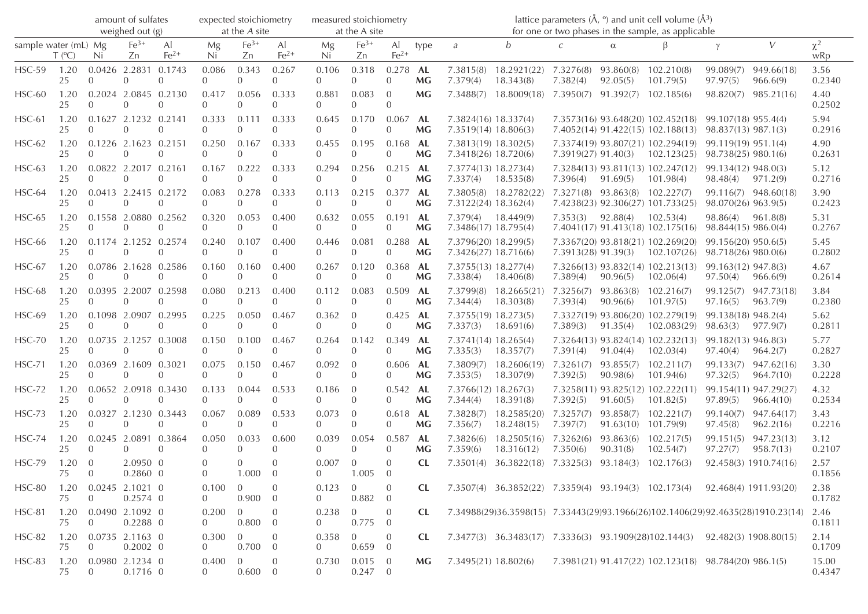|               |                                         |                            | amount of sulfates<br>weighed out $(g)$ |                                  |                            | expected stoichiometry<br>at the A site |                            | measured stoichiometry            | at the A site                    |                                  |                 |                                              |                                                                             |                             |                                             | lattice parameters $(\text{\AA})$ and unit cell volume $(\text{\AA})$<br>for one or two phases in the sample, as applicable |                                            |                                                                                 |                 |
|---------------|-----------------------------------------|----------------------------|-----------------------------------------|----------------------------------|----------------------------|-----------------------------------------|----------------------------|-----------------------------------|----------------------------------|----------------------------------|-----------------|----------------------------------------------|-----------------------------------------------------------------------------|-----------------------------|---------------------------------------------|-----------------------------------------------------------------------------------------------------------------------------|--------------------------------------------|---------------------------------------------------------------------------------|-----------------|
|               | sample water (mL) Mg<br>$T (^{\circ}C)$ | Ni                         | $Fe3+$<br>Zn                            | Al<br>$Fe2+$                     | Mg<br>Ni                   | $Fe3+$<br>Zn                            | Al<br>$Fe2+$               | Mg<br>Ni                          | $Fe3+$<br>Zn                     | Al<br>$Fe2+$                     | type            | $\partial$                                   | b                                                                           | $\mathcal{C}_{\mathcal{C}}$ | $\alpha$                                    | β                                                                                                                           | $\gamma$                                   | $\vee$                                                                          | $\chi^2$<br>wRp |
| HSC-59        | 1.20<br>25                              | $\Omega$                   | 0.0426 2.2831 0.1743<br>$\Omega$        | $\Omega$                         | 0.086<br>$\Omega$          | 0.343<br>$\Omega$                       | 0.267<br>$\Omega$          | 0.106<br>$\Omega$                 | 0.318<br>$\Omega$                | 0.278 AL<br>$\overline{0}$       | <b>MG</b>       | 7.3815(8)<br>7.379(4)                        | 18.2921(22)<br>18.343(8)                                                    | 7.3276(8)<br>7.382(4)       | 93.860(8)<br>92.05(5)                       | 102.210(8)<br>101.79(5)                                                                                                     | 99.089(7)<br>97.97(5)                      | 949.66(18)<br>966.6(9)                                                          | 3.56<br>0.2340  |
| HSC-60        | 1.20<br>25                              | $\Omega$                   | $\Omega$                                | 0.2024 2.0845 0.2130<br>$\Omega$ | 0.417<br>$\Omega$          | 0.056<br>$\Omega$                       | 0.333<br>$\Omega$          | 0.881<br>$\Omega$                 | 0.083<br>$\Omega$                | $\overline{0}$<br>$\Omega$       | <b>MG</b>       | 7.3488(7)                                    | 18.8009(18) 7.3950(7) 91.392(7) 102.185(6)                                  |                             |                                             |                                                                                                                             |                                            | 98.820(7) 985.21(16)                                                            | 4.40<br>0.2502  |
| $HSC-61$      | 1.20<br>25                              | $\Omega$                   | 0.1627 2.1232 0.2141<br>$\Omega$        | $\Omega$                         | 0.333<br>$\Omega$          | 0.111<br>$\Omega$                       | 0.333<br>$\Omega$          | 0.645<br>$\Omega$                 | 0.170<br>$\Omega$                | 0.067<br>$\Omega$                | AL<br><b>MG</b> | 7.3824(16) 18.337(4)<br>7.3519(14) 18.806(3) |                                                                             |                             |                                             | 7.3573(16) 93.648(20) 102.452(18) 99.107(18) 955.4(4)<br>7.4052(14) 91.422(15) 102.188(13) 98.837(13) 987.1(3)              |                                            |                                                                                 | 5.94<br>0.2916  |
| HSC-62        | 1.20<br>25                              | $\Omega$                   | 0.1226 2.1623 0.2151<br>$\Omega$        | $\Omega$                         | 0.250<br>$\Omega$          | 0.167<br>$\Omega$                       | 0.333<br>$\Omega$          | 0.455<br>$\Omega$                 | 0.195<br>$\Omega$                | $0.168$ AL<br>$\Omega$           | <b>MG</b>       | 7.3813(19) 18.302(5)<br>7.3418(26) 18.720(6) |                                                                             | 7.3919(27) 91.40(3)         |                                             | 7.3374(19) 93.807(21) 102.294(19)<br>102.123(25)                                                                            | 99.119(19) 951.1(4)<br>98.738(25) 980.1(6) |                                                                                 | 4.90<br>0.2631  |
| HSC-63        | 1.20<br>25                              | $\Omega$                   | 0.0822 2.2017 0.2161<br>$\Omega$        | $\Omega$                         | 0.167<br>$\Omega$          | 0.222<br>$\Omega$                       | 0.333<br>$\Omega$          | 0.294<br>$\Omega$                 | 0.256<br>$\Omega$                | $0.215$ AL<br>$\Omega$           | <b>MG</b>       | 7.3774(13) 18.273(4)<br>7.337(4)             | 18.535(8)                                                                   | 7.396(4)                    | 91.69(5)                                    | 7.3284(13) 93.811(13) 102.247(12)<br>101.98(4)                                                                              | 99.134(12) 948.0(3)<br>98.48(4)            | 971.2(9)                                                                        | 5.12<br>0.2716  |
| HSC-64        | 1.20<br>25                              | $\Omega$                   | 0.0413 2.2415 0.2172<br>$\overline{0}$  | $\Omega$                         | 0.083<br>$\Omega$          | 0.278<br>$\Omega$                       | 0.333<br>$\Omega$          | 0.113<br>$\Omega$                 | 0.215<br>$\overline{0}$          | $0.377$ AL<br>$\overline{0}$     | <b>MG</b>       | 7.3122(24) 18.362(4)                         | 7.3805(8) 18.2782(22)                                                       |                             | 7.3271(8) 93.863(8) 102.227(7)              | 7.4238(23) 92.306(27) 101.733(25)                                                                                           | 98.070(26) 963.9(5)                        | 99.116(7) 948.60(18)                                                            | 3.90<br>0.2423  |
| HSC-65        | 1.20<br>25                              | $\Omega$                   | 0.1558 2.0880 0.2562<br>$\Omega$        | $\Omega$                         | 0.320<br>$\Omega$          | 0.053<br>$\Omega$                       | 0.400<br>$\Omega$          | 0.632<br>$\Omega$                 | 0.055<br>$\Omega$                | $0.191$ AL<br>$\Omega$           | <b>MG</b>       | 7.379(4)<br>7.3486(17) 18.795(4)             | 18.449(9)                                                                   | 7.353(3)                    | 92.88(4)                                    | 102.53(4)<br>7.4041(17) 91.413(18) 102.175(16)                                                                              | 98.86(4)<br>98.844(15) 986.0(4)            | 961.8(8)                                                                        | 5.31<br>0.2767  |
| HSC-66        | 1.20<br>25                              | $\Omega$                   | 0.1174 2.1252 0.2574<br>$\Omega$        | $\Omega$                         | 0.240<br>$\Omega$          | 0.107<br>$\Omega$                       | 0.400<br>$\Omega$          | 0.446<br>$\Omega$                 | 0.081<br>$\Omega$                | 0.288 AL<br>$\overline{0}$       | <b>MG</b>       | 7.3796(20) 18.299(5)<br>7.3426(27) 18.716(6) |                                                                             |                             |                                             | 7.3367(20) 93.818(21) 102.269(20)<br>$7.3913(28)$ $91.39(3)$ $102.107(26)$                                                  | 99.156(20) 950.6(5)<br>98.718(26) 980.0(6) |                                                                                 | 5.45<br>0.2802  |
| $HSC-67$      | 1.20<br>25                              | $\Omega$                   | $\Omega$                                | 0.0786 2.1628 0.2586<br>$\Omega$ | 0.160<br>$\Omega$          | 0.160<br>$\Omega$                       | 0.400<br>$\Omega$          | 0.267<br>$\Omega$                 | 0.120<br>$\Omega$                | $0.368$ AL<br>$\overline{0}$     | <b>MG</b>       | 7.3755(13) 18.277(4)<br>7.338(4)             | 18.406(8)                                                                   | 7.389(4)                    | 90.96(5)                                    | 7.3266(13) 93.832(14) 102.213(13)<br>102.06(4)                                                                              | 99.163(12) 947.8(3)<br>97.50(4)            | 966.6(9)                                                                        | 4.67<br>0.2614  |
| HSC-68        | 1.20<br>25                              | $\Omega$                   | 0.0395 2.2007 0.2598<br>$\Omega$        | $\Omega$                         | 0.080<br>$\Omega$          | 0.213<br>$\Omega$                       | 0.400<br>$\Omega$          | 0.112<br>$\Omega$                 | 0.083<br>0                       | $0.509$ AL<br>$\overline{0}$     | <b>MG</b>       | 7.3799(8)<br>7.344(4)                        | 18.2665(21)<br>18.303(8)                                                    | 7.3256(7)<br>7.393(4)       | 93.863(8)<br>90.96(6)                       | 102.216(7)<br>101.97(5)                                                                                                     | 99.125(7)<br>97.16(5)                      | 947.73(18)<br>963.7(9)                                                          | 3.84<br>0.2380  |
| $HSC-69$      | 1.20<br>25                              | $\Omega$                   | 0.1098 2.0907 0.2995<br>$\Omega$        | $\Omega$                         | 0.225<br>$\Omega$          | 0.050<br>$\Omega$                       | 0.467<br>$\Omega$          | 0.362<br>$\Omega$                 | $\overline{0}$<br>$\Omega$       | $0.425$ AL<br>$\overline{0}$     | <b>MG</b>       | 7.3755(19) 18.273(5)<br>7.337(3)             | 18.691(6)                                                                   | 7.389(3)                    | 91.35(4)                                    | 7.3327(19) 93.806(20) 102.279(19)<br>102.083(29)                                                                            | 99.138(18) 948.2(4)<br>98.63(3)            | 977.9(7)                                                                        | 5.62<br>0.2811  |
| $HSC-70$      | 1.20<br>25                              | $\Omega$                   | 0.0735 2.1257 0.3008<br>$\Omega$        | $\Omega$                         | 0.150<br>$\Omega$          | 0.100<br>$\Omega$                       | 0.467<br>$\Omega$          | 0.264<br>$\Omega$                 | 0.142<br>$\Omega$                | 0.349 AL<br>$\Omega$             | <b>MG</b>       | 7.3741(14) 18.265(4)<br>7.335(3)             | 18.357(7)                                                                   | 7.391(4)                    | 91.04(4)                                    | 7.3264(13) 93.824(14) 102.232(13)<br>102.03(4)                                                                              | 99.182(13) 946.8(3)<br>97.40(4)            | 964.2(7)                                                                        | 5.77<br>0.2827  |
| $HSC-71$      | 1.20<br>25                              | $\Omega$                   | 0.0369 2.1609 0.3021<br>$\Omega$        | $\Omega$                         | 0.075<br>$\Omega$          | 0.150<br>$\Omega$                       | 0.467<br>$\Omega$          | 0.092<br>$\Omega$                 | $\overline{0}$<br>$\Omega$       | 0.606 AL<br>$\Omega$             | МG              | 7.3809(7)<br>7.353(5)                        | 18.2606(19)<br>18.307(9)                                                    | 7.3261(7)<br>7.392(5)       | 93.855(7)<br>90.98(6)                       | 102.211(7)<br>101.94(6)                                                                                                     | 99.133(7)<br>97.32(5)                      | 947.62(16)<br>964.7(10)                                                         | 3.30<br>0.2228  |
| $HSC-72$      | 1.20<br>25                              | $\Omega$                   | $\Omega$                                | 0.0652 2.0918 0.3430<br>$\Omega$ | 0.133<br>$\Omega$          | 0.044<br>$\Omega$                       | 0.533<br>$\Omega$          | 0.186<br>$\Omega$                 | $\overline{0}$<br>$\overline{0}$ | 0.542 AL<br>$\Omega$             | <b>MG</b>       | 7.3766(12) 18.267(3)<br>7.344(4)             | 18.391(8)                                                                   | 7.392(5)                    | 91.60(5)                                    | 7.3258(11) 93.825(12) 102.222(11)<br>101.82(5)                                                                              | 97.89(5)                                   | 99.154(11) 947.29(27)<br>966.4(10)                                              | 4.32<br>0.2534  |
| $HSC-73$      | 1.20<br>25                              | $\Omega$                   | 0.0327 2.1230 0.3443<br>$\Omega$        | $\Omega$                         | 0.067<br>$\Omega$          | 0.089<br>$\Omega$                       | 0.533<br>$\Omega$          | 0.073<br>$\Omega$                 | $\overline{0}$<br>$\Omega$       | $0.618$ AL<br>$\Omega$           | <b>MG</b>       | 7.3828(7)<br>7.356(7)                        | 18.2585(20)<br>18.248(15)                                                   | 7.3257(7)<br>7.397(7)       | 93.858(7) 102.221(7)<br>91.63(10) 101.79(9) |                                                                                                                             | 99.140(7)<br>97.45(8)                      | 947.64(17)<br>962.2(16)                                                         | 3.43<br>0.2216  |
| $HSC-74$      | 1.20<br>25                              | $\Omega$                   | 0.0245 2.0891 0.3864<br>$\Omega$        | $\Omega$                         | 0.050<br>$\Omega$          | 0.033<br>$\Omega$                       | 0.600<br>$\Omega$          | 0.039<br>$\Omega$                 | 0.054<br>0                       | 0.587<br>$\Omega$                | AL<br>MG.       | 7.3826(6)<br>7.359(6)                        | 18.2505(16)<br>18.316(12)                                                   | 7.3262(6)<br>7.350(6)       | 93.863(6)<br>90.31(8)                       | 102.217(5)<br>102.54(7)                                                                                                     | 99.151(5)<br>97.27(7)                      | 947.23(13)<br>958.7(13)                                                         | 3.12<br>0.2107  |
| <b>HSC-79</b> | 1.20<br>75                              | $\overline{0}$<br>$\Omega$ | 2.0950 0<br>$0.2860$ 0                  |                                  | $\overline{0}$<br>$\Omega$ | $\overline{0}$<br>1.000                 | $\Omega$<br>$\overline{0}$ | 0.007<br>$\Omega$                 | $\overline{0}$<br>1.005          | $\overline{0}$<br>$\Omega$       | <b>CL</b>       |                                              | 7.3501(4) 36.3822(18) 7.3325(3) 93.184(3) 102.176(3)                        |                             |                                             |                                                                                                                             |                                            | 92.458(3) 1910.74(16)                                                           | 2.57<br>0.1856  |
| HSC-80 1.20   | 75                                      | $\left( \right)$           | $0.0245$ 2.1021 0<br>$0.2574$ 0         |                                  | 0.100<br>$\cup$            | $\overline{0}$<br>$0.900 \t 0$          | $\theta$                   | $0.123 \quad 0$<br>$\overline{0}$ | 0.882                            | $\overline{0}$<br>$\overline{0}$ | <b>CL</b>       |                                              | 7.3507(4) 36.3852(22) 7.3359(4) 93.194(3) 102.173(4) 92.468(4) 1911.93(20)  |                             |                                             |                                                                                                                             |                                            |                                                                                 | 2.38<br>0.1782  |
| $HSC-81$      | 1.20<br>75                              | 0                          | 0.0490 2.1092 0<br>$0.2288$ 0           |                                  | 0.200<br>$\cup$            | $\overline{0}$<br>$0.800 \t 0$          | $\mathbf{0}$               | 0.238<br>$\overline{0}$           | $\overline{0}$<br>0.775          | $\overline{0}$<br>$\overline{0}$ | <b>CL</b>       |                                              |                                                                             |                             |                                             |                                                                                                                             |                                            | 7.34988(29)36.3598(15) 7.33443(29)93.1966(26)102.1406(29)92.4635(28)1910.23(14) | 2.46<br>0.1811  |
| HSC-82        | 1.20<br>75                              | $\Omega$                   | 0.0735 2.1163 0<br>$0.2002$ 0           |                                  | 0.300<br>$\cup$            | $\overline{0}$<br>$0.700 \t 0$          | $\mathbf{0}$               | 0.358<br>$\overline{0}$           | $\overline{0}$<br>$0.659$ 0      | $\overline{0}$                   | <b>CL</b>       |                                              | 7.3477(3) 36.3483(17) 7.3336(3) 93.1909(28)102.144(3) 92.482(3) 1908.80(15) |                             |                                             |                                                                                                                             |                                            |                                                                                 | 2.14<br>0.1709  |
| HSC-83        | 1.20<br>75                              | $\overline{0}$             | 0.0980 2.1234 0<br>$0.1716$ 0           |                                  | 0.400<br>$\cup$            | $\overline{0}$<br>$0.600 \t 0$          | $\mathbf{0}$               | 0.730<br>$\overline{0}$           | 0.015<br>$0.247 \quad 0$         | $\overline{0}$                   | MG.             | 7.3495(21) 18.802(6)                         |                                                                             |                             |                                             | 7.3981(21) 91.417(22) 102.123(18) 98.784(20) 986.1(5)                                                                       |                                            |                                                                                 | 15.00<br>0.4347 |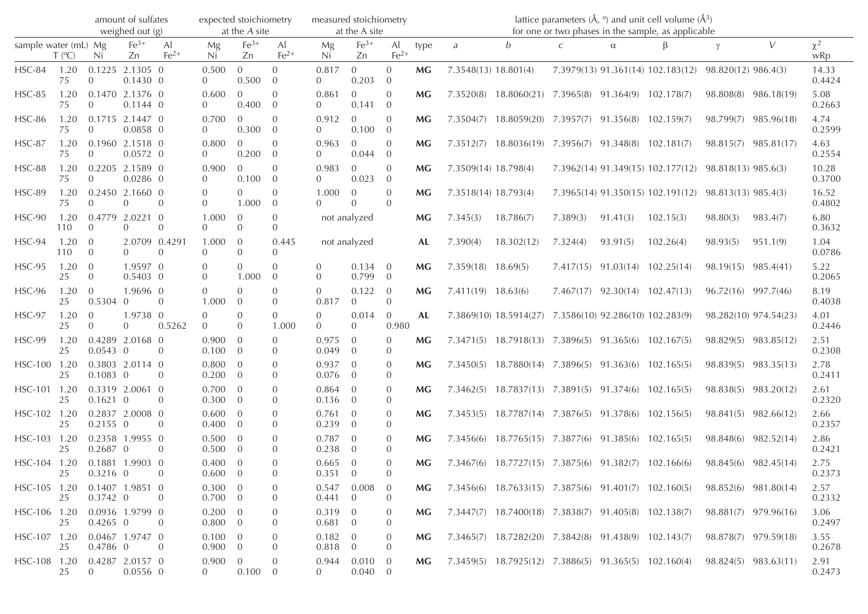|                      |                 |                                  | amount of sulfates                    |                                 |                                    | expected stoichiometry           |                                  | measured stoichiometry     |                                     |                                  |           |                        |                                                         |               |                                      | lattice parameters $(\AA)$ , $\phi$ ) and unit cell volume $(\AA)^3$ |                     |                       |                 |
|----------------------|-----------------|----------------------------------|---------------------------------------|---------------------------------|------------------------------------|----------------------------------|----------------------------------|----------------------------|-------------------------------------|----------------------------------|-----------|------------------------|---------------------------------------------------------|---------------|--------------------------------------|----------------------------------------------------------------------|---------------------|-----------------------|-----------------|
|                      |                 |                                  | weighed out (g)                       |                                 |                                    | at the A site                    |                                  |                            | at the A site                       |                                  |           |                        |                                                         |               |                                      | for one or two phases in the sample, as applicable                   |                     |                       |                 |
| sample water (mL) Mg | $T (^{\circ}C)$ | Ni                               | $Fe3+$<br>Zn                          | Al<br>$Fe2+$                    | Mg<br>Ni                           | $Fe3+$<br>Zn                     | Al<br>$Fe2+$                     | Mg<br>Ni                   | $Fe3+$<br>Zn                        | Al<br>$Fe2+$                     | type      | $\partial$             | b                                                       | $\mathcal{C}$ | $\alpha$                             | β                                                                    | $\gamma$            | $\vee$                | $\chi^2$<br>wRp |
| $HSC-84$             | 1.20<br>75      | $\Omega$                         | $0.1225$ 2.1305 0<br>$0.1430 \quad 0$ |                                 | 0.500<br>$\Omega$                  | $\overline{0}$<br>0.500          | $\overline{0}$<br>$\overline{0}$ | 0.817<br>$\Omega$          | $\overline{0}$<br>0.203             | $\overline{0}$<br>$\overline{0}$ | МG        | 7.3548(13) 18.801(4)   |                                                         |               |                                      | 7.3979(13) 91.361(14) 102.183(12) 98.820(12) 986.4(3)                |                     |                       | 14.33<br>0.4424 |
| $HSC-85$             | 1.20<br>75      | $\Omega$                         | 0.1470 2.1376 0<br>$0.1144 \quad 0$   |                                 | 0.600<br>$\Omega$                  | $\overline{0}$<br>0.400          | $\overline{0}$<br>$\overline{0}$ | 0.861<br>$\Omega$          | $\overline{0}$<br>0.141             | $\overline{0}$<br>$\overline{0}$ | <b>MG</b> |                        | 7.3520(8) 18.8060(21) 7.3965(8) 91.364(9) 102.178(7)    |               |                                      |                                                                      |                     | 98.808(8) 986.18(19)  | 5.08<br>0.2663  |
| HSC-86               | 1.20<br>75      | $\Omega$                         | 0.1715 2.1447 0<br>$0.0858$ 0         |                                 | 0.700<br>0                         | $\overline{0}$<br>0.300          | $\overline{0}$<br>$\overline{0}$ | 0.912<br>$\Omega$          | $\overline{0}$<br>0.100             | $\overline{0}$<br>$\overline{0}$ | <b>MG</b> |                        | 7.3504(7) 18.8059(20) 7.3957(7) 91.356(8) 102.159(7)    |               |                                      |                                                                      |                     | 98.799(7) 985.96(18)  | 4.74<br>0.2599  |
| HSC-87               | 1.20<br>75      | $\Omega$                         | 0.1960 2.1518 0<br>$0.0572$ 0         |                                 | 0.800<br>$\overline{0}$            | $\overline{0}$<br>0.200          | $\overline{0}$<br>$\overline{0}$ | 0.963<br>$\Omega$          | $\overline{0}$<br>0.044             | $\overline{0}$<br>$\overline{0}$ | <b>MG</b> |                        | 7.3512(7) 18.8036(19) 7.3956(7) 91.348(8) 102.181(7)    |               |                                      |                                                                      |                     | 98.815(7) 985.81(17)  | 4.63<br>0.2554  |
| HSC-88               | 1.20<br>75      | $\Omega$                         | 0.2205 2.1589 0<br>$0.0286$ 0         |                                 | 0.900<br>0                         | $\overline{0}$<br>0.100          | $\overline{0}$<br>$\overline{0}$ | 0.983<br>$\Omega$          | $\overline{0}$<br>0.023             | $\overline{0}$<br>$\overline{0}$ | МG        | 7.3509(14) 18.798(4)   |                                                         |               |                                      | 7.3962(14) 91.349(15) 102.177(12) 98.818(13) 985.6(3)                |                     |                       | 10.28<br>0.3700 |
| HSC-89               | 1.20<br>75      | $\Omega$                         | 0.2450 2.1660 0<br>$\Omega$           | $\Omega$                        | 0<br>$\overline{0}$                | $\Omega$<br>1.000                | $\overline{0}$<br>$\overline{0}$ | 1.000<br>$\Omega$          | $\overline{0}$<br>$\Omega$          | $\overline{0}$<br>$\overline{0}$ | МG        | 7.3518(14) 18.793(4)   |                                                         |               |                                      | 7.3965(14) 91.350(15) 102.191(12) 98.813(13) 985.4(3)                |                     |                       | 16.52<br>0.4802 |
| HSC-90               | 1.20<br>110     | $\overline{0}$                   | 0.4779 2.0221 0<br>$\Omega$           | $\Omega$                        | 1.000<br>$\Omega$                  | $\overline{0}$<br>$\overline{0}$ | $\overline{0}$<br>$\Omega$       |                            | not analyzed                        |                                  | МG        | 7.345(3)               | 18.786(7)                                               | 7.389(3)      | 91.41(3)                             | 102.15(3)                                                            | 98.80(3)            | 983.4(7)              | 6.80<br>0.3632  |
| HSC-94               | 1.20<br>110     | $\overline{0}$<br>$\Omega$       | $\Omega$                              | 2.0709 0.4291<br>$\overline{0}$ | 1.000<br>0                         | $\overline{0}$<br>$\Omega$       | 0.445<br>$\Omega$                |                            | not analyzed                        |                                  | AL        | 7.390(4)               | 18.302(12)                                              | 7.324(4)      | 93.91(5)                             | 102.26(4)                                                            | 98.93(5)            | 951.1(9)              | 1.04<br>0.0786  |
| $HSC-95$             | 1.20<br>25      | $\overline{0}$<br>$\overline{0}$ | 1.9597 0<br>$0.5403$ 0                |                                 | 0<br>0                             | $\Omega$<br>1.000                | $\overline{0}$<br>$\Omega$       | $\overline{0}$<br>$\Omega$ | 0.134<br>0.799                      | $\overline{0}$<br>$\overline{0}$ | МG        | $7.359(18)$ $18.69(5)$ |                                                         |               | $7.417(15)$ $91.03(14)$ $102.25(14)$ |                                                                      | 98.19(15) 985.4(41) |                       | 5.22<br>0.2065  |
| HSC-96               | 1.20<br>25      | $\overline{0}$<br>$0.5304$ 0     | 1.9696 0                              | $\overline{0}$                  | $\overline{0}$<br>1.000            | $\overline{0}$<br>$\overline{0}$ | $\Omega$<br>$\Omega$             | $\overline{0}$<br>0.817    | 0.122<br>$\overline{0}$             | $\overline{0}$<br>$\overline{0}$ | МG        | $7.411(19)$ 18.63(6)   |                                                         |               | $7.467(17)$ $92.30(14)$ $102.47(13)$ |                                                                      | 96.72(16) 997.7(46) |                       | 8.19<br>0.4038  |
| <b>HSC-97</b>        | 1.20<br>25      | $\overline{0}$<br>$\Omega$       | 1.9738 0<br>$\overline{0}$            | 0.5262                          | $\overline{0}$<br>$\Omega$         | $\Omega$<br>$\mathbf{0}$         | $\Omega$<br>1.000                | $\overline{0}$<br>$\Omega$ | 0.014<br>$\overline{0}$             | $\overline{0}$<br>0.980          | AL        |                        | 7.3869(10) 18.5914(27) 7.3586(10) 92.286(10) 102.283(9) |               |                                      |                                                                      |                     | 98.282(10) 974.54(23) | 4.01<br>0.2446  |
| HSC-99               | 1.20<br>25      | $0.0543$ 0                       | 0.4289 2.0168 0                       | $\overline{0}$                  | 0.900<br>0.100                     | $\Omega$<br>$\overline{0}$       | $\overline{0}$<br>$\Omega$       | 0.975<br>0.049             | $\overline{0}$<br>$\Omega$          | $\overline{0}$<br>$\overline{0}$ | МG        |                        | 7.3471(5) 18.7918(13) 7.3896(5) 91.365(6) 102.167(5)    |               |                                      |                                                                      |                     | 98.829(5) 983.85(12)  | 2.51<br>0.2308  |
| HSC-100 1.20         | 25              | $0.1083$ 0                       | 0.3803 2.0114 0                       | $\overline{0}$                  | 0.800<br>0.200                     | $\overline{0}$<br>$\overline{0}$ | $\Omega$<br>$\Omega$             | 0.937<br>0.076             | $\overline{0}$<br>$\Omega$          | $\overline{0}$<br>$\overline{0}$ | <b>MG</b> |                        | 7.3450(5) 18.7880(14) 7.3896(5) 91.363(6) 102.165(5)    |               |                                      |                                                                      |                     | 98.839(5) 983.35(13)  | 2.78<br>0.2411  |
| HSC-101 1.20         | 25              | $0.1621$ 0                       | 0.3319 2.0061 0                       | $\overline{0}$                  | 0.700<br>0.300                     | $\overline{0}$<br>$\overline{0}$ | $\Omega$<br>$\Omega$             | 0.864<br>0.136             | $\overline{0}$<br>$\overline{0}$    | $\overline{0}$<br>$\overline{0}$ | МG        | 7.3462(5)              | 18.7837(13) 7.3891(5) 91.374(6) 102.165(5)              |               |                                      |                                                                      |                     | 98.838(5) 983.20(12)  | 2.61<br>0.2320  |
| HSC-102 1.20         | 25              | $0.2155$ 0                       | 0.2837 2.0008 0                       | $\overline{0}$                  | 0.600<br>0.400                     | $\overline{0}$<br>$\overline{0}$ | $\Omega$<br>$\Omega$             | 0.761<br>0.239             | $\overline{0}$<br>$\overline{0}$    | $\overline{0}$<br>$\overline{0}$ | <b>MG</b> |                        | 7.3453(5) 18.7787(14) 7.3876(5) 91.378(6) 102.156(5)    |               |                                      |                                                                      |                     | 98.841(5) 982.66(12)  | 2.66<br>0.2357  |
| HSC-103 1.20         | 25              | $0.2687$ 0                       | 0.2358 1.9955 0                       | $\overline{0}$                  | 0.500<br>0.500                     | $\overline{0}$<br>$\overline{0}$ | $\Omega$<br>$\Omega$             | 0.787<br>0.238             | $\overline{0}$<br>$\overline{0}$    | $\overline{0}$<br>$\Omega$       | <b>MG</b> |                        | 7.3456(6) 18.7765(15) 7.3877(6) 91.385(6) 102.165(5)    |               |                                      |                                                                      |                     | 98.848(6) 982.52(14)  | 2.86<br>0.2421  |
| HSC-104 1.20         | 25              | $0.3216$ 0                       | 0.1881 1.9903 0                       | $\Omega$                        | 0.400<br>0.600                     | $\overline{0}$<br>$\Omega$       | $\Omega$<br>$\Omega$             | 0.665<br>0.351             | $\overline{0}$<br>$\Omega$          | $\overline{0}$<br>$\Omega$       | <b>MG</b> |                        | 7.3467(6) 18.7727(15) 7.3875(6) 91.382(7) 102.166(6)    |               |                                      |                                                                      |                     | 98.845(6) 982.45(14)  | 2.75<br>0.2373  |
| HSC-105 1.20         | 25              | $0.3742$ 0                       | 0.1407 1.9851 0                       | $\theta$                        | $0.300 \quad 0$<br>$0.700 \quad 0$ |                                  | $\left( \right)$<br>$\theta$     | 0.441                      | $0.547$ $0.008$ 0<br>$\overline{0}$ | $\Omega$                         | MG.       |                        | 7.3456(6) 18.7633(15) 7.3875(6) 91.401(7) 102.160(5)    |               |                                      |                                                                      |                     | 98.852(6) 981.80(14)  | 2.57<br>0.2332  |
| HSC-106 1.20         | 25              | $0.4265$ 0                       | 0.0936 1.9799 0                       | $\overline{0}$                  | $0.200 \quad 0$<br>$0.800 \quad 0$ |                                  | $\left( \right)$<br>$\theta$     | $0.319$ 0<br>$0.681 \ 0$   |                                     | $\theta$<br>$\overline{0}$       | MG.       |                        | 7.3447(7) 18.7400(18) 7.3838(7) 91.405(8) 102.138(7)    |               |                                      |                                                                      |                     | 98.881(7) 979.96(16)  | 3.06<br>0.2497  |
| HSC-107 1.20         | 25              | $0.4786$ 0                       | 0.0467 1.9747 0                       | $\overline{0}$                  | $0.100 \quad 0$<br>$0.900 \quad 0$ |                                  | $\theta$                         | 0.182<br>$0.818$ 0         | $\overline{0}$                      | $\theta$<br>$\overline{0}$       | MG.       |                        | 7.3465(7) 18.7282(20) 7.3842(8) 91.438(9) 102.143(7)    |               |                                      |                                                                      |                     | 98.878(7) 979.59(18)  | 3.55<br>0.2678  |
| HSC-108 1.20         | 25              | $\theta$                         | 0.4287 2.0157 0<br>$0.0556$ 0         |                                 | 0.900<br>0                         | $\overline{0}$<br>0.100          | $\theta$<br>$\overline{0}$       | 0.944<br>$\cup$            | 0.010<br>0.040                      | $\overline{0}$<br>$\overline{0}$ | MG.       |                        | 7.3459(5) 18.7925(12) 7.3886(5) 91.365(5) 102.160(4)    |               |                                      |                                                                      |                     | 98.824(5) 983.63(11)  | 2.91<br>0.2473  |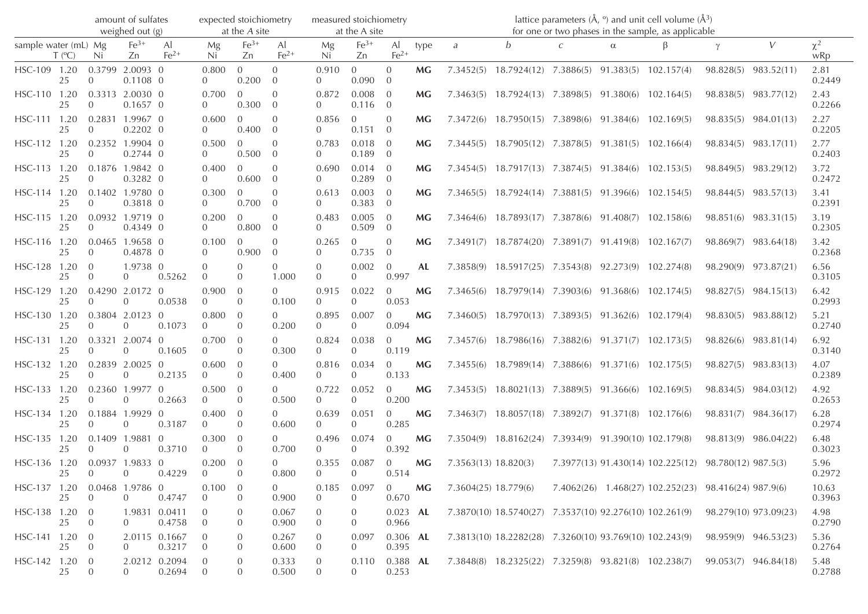|                              |                 |                                 | amount of sulfates<br>weighed out (g) |                         |                                | expected stoichiometry<br>at the A site |                                  | measured stoichiometry       | at the A site                  |                                  |      |                      |                                                         |                             |          | lattice parameters $(\AA)$ , $\phi$ ) and unit cell volume $(\AA)^3$<br>for one or two phases in the sample, as applicable |          |                          |                 |
|------------------------------|-----------------|---------------------------------|---------------------------------------|-------------------------|--------------------------------|-----------------------------------------|----------------------------------|------------------------------|--------------------------------|----------------------------------|------|----------------------|---------------------------------------------------------|-----------------------------|----------|----------------------------------------------------------------------------------------------------------------------------|----------|--------------------------|-----------------|
| sample water (mL) Mg         | $T (^{\circ}C)$ | Ni                              | $Fe3+$<br>Zn                          | Al<br>$Fe2+$            | Mg<br>Ni                       | $Fe3+$<br>Zn                            | AI<br>$Fe2+$                     | Mg<br>Ni                     | $Fe3+$<br>Zn                   | Al<br>$Fe2+$                     | type | $\partial$           | b                                                       | $\mathcal{C}_{\mathcal{C}}$ | $\alpha$ | β                                                                                                                          | $\gamma$ | $\vee$                   | $\chi^2$<br>wRp |
| HSC-109 1.20                 | 25              | $\Omega$                        | 0.3799 2.0093 0<br>$0.1108$ 0         |                         | 0.800<br>$\Omega$              | $\overline{0}$<br>0.200                 | $\overline{0}$<br>$\overline{0}$ | 0.910<br>$\Omega$            | $\overline{0}$<br>0.090        | $\overline{0}$<br>$\overline{0}$ | МG   |                      | 7.3452(5) 18.7924(12) 7.3886(5) 91.383(5) 102.157(4)    |                             |          |                                                                                                                            |          | 98.828(5) 983.52(11)     | 2.81<br>0.2449  |
| HSC-110 1.20                 | 25              | 0.3313 2.0030 0<br>$\Omega$     | $0.1657$ 0                            |                         | 0.700<br>$\Omega$              | $\overline{0}$<br>0.300                 | $\overline{0}$<br>$\overline{0}$ | 0.872<br>$\Omega$            | 0.008<br>0.116                 | $\overline{0}$<br>$\overline{0}$ | МG   |                      | 7.3463(5) 18.7924(13) 7.3898(5) 91.380(6) 102.164(5)    |                             |          |                                                                                                                            |          | 98.838(5) 983.77(12)     | 2.43<br>0.2266  |
| HSC-111 1.20                 | 25              | 0.2831 1.9967 0<br>$\Omega$     | $0.2202 \quad 0$                      |                         | 0.600<br>$\Omega$              | $\overline{0}$<br>0.400                 | $\overline{0}$<br>$\overline{0}$ | 0.856<br>$\Omega$            | $\overline{0}$<br>0.151        | $\overline{0}$<br>$\overline{0}$ | МG   |                      | 7.3472(6) 18.7950(15) 7.3898(6) 91.384(6) 102.169(5)    |                             |          |                                                                                                                            |          | 98.835(5) 984.01(13)     | 2.27<br>0.2205  |
| HSC-112 1.20                 | 25              | 0.2352 1.9904 0<br>$\Omega$     | $0.2744$ 0                            |                         | 0.500<br>$\Omega$              | $\overline{0}$<br>0.500                 | $\overline{0}$<br>$\overline{0}$ | 0.783<br>$\Omega$            | 0.018<br>0.189                 | $\overline{0}$<br>$\overline{0}$ | МG   |                      | 7.3445(5) 18.7905(12) 7.3878(5) 91.381(5) 102.166(4)    |                             |          |                                                                                                                            |          | 98.834(5) 983.17(11)     | 2.77<br>0.2403  |
| HSC-113 1.20                 | 25              | 0.1876 1.9842 0<br>$\Omega$     | $0.3282$ 0                            |                         | 0.400<br>$\Omega$              | $\overline{0}$<br>0.600                 | $\overline{0}$<br>$\overline{0}$ | 0.690<br>$\Omega$            | 0.014<br>0.289                 | $\overline{0}$<br>$\overline{0}$ | МG   |                      | 7.3454(5) 18.7917(13) 7.3874(5) 91.384(6) 102.153(5)    |                             |          |                                                                                                                            |          | 98.849(5) 983.29(12)     | 3.72<br>0.2472  |
| HSC-114 1.20                 | 25              | 0.1402 1.9780 0<br>$\Omega$     | 0.3818 0                              |                         | 0.300<br>$\Omega$              | $\overline{0}$<br>0.700                 | $\overline{0}$<br>$\overline{0}$ | 0.613<br>$\Omega$            | 0.003<br>0.383                 | $\overline{0}$<br>$\overline{0}$ | МG   |                      | 7.3465(5) 18.7924(14) 7.3881(5) 91.396(6) 102.154(5)    |                             |          |                                                                                                                            |          | 98.844(5) 983.57(13)     | 3.41<br>0.2391  |
| HSC-115 1.20                 | 25              | 0.0932 1.9719 0<br>$\Omega$     | $0.4349$ 0                            |                         | 0.200<br>$\Omega$              | $\overline{0}$<br>0.800                 | $\overline{0}$<br>$\overline{0}$ | 0.483<br>$\Omega$            | 0.005<br>0.509                 | $\overline{0}$<br>$\overline{0}$ | МG   |                      | 7.3464(6) 18.7893(17) 7.3878(6) 91.408(7) 102.158(6)    |                             |          |                                                                                                                            |          | 98.851(6) 983.31(15)     | 3.19<br>0.2305  |
| HSC-116 1.20                 | 25              | 0.0465 1.9658 0<br>$\Omega$     | $0.4878$ 0                            |                         | 0.100<br>$\overline{0}$        | $\overline{0}$<br>0.900                 | $\overline{0}$<br>$\overline{0}$ | 0.265<br>$\Omega$            | $\overline{0}$<br>0.735        | $\overline{0}$<br>$\overline{0}$ | МG   |                      | 7.3491(7) 18.7874(20) 7.3891(7) 91.419(8) 102.167(7)    |                             |          |                                                                                                                            |          | 98.869(7) 983.64(18)     | 3.42<br>0.2368  |
| HSC-128 1.20                 | 25              | $\overline{0}$<br>$\Omega$      | 1.9738 0<br>$\overline{0}$            | 0.5262                  | $\overline{0}$<br>$\Omega$     | $\overline{0}$<br>$\Omega$              | $\overline{0}$<br>1.000          | $\overline{0}$<br>$\Omega$   | 0.002<br>$\Omega$              | $\overline{0}$<br>0.997          | AL   |                      | 7.3858(9) 18.5917(25) 7.3543(8) 92.273(9) 102.274(8)    |                             |          |                                                                                                                            |          | 98.290(9) 973.87(21)     | 6.56<br>0.3105  |
| HSC-129 1.20                 | 25              | 0.4290 2.0172 0<br>$\Omega$     | $\overline{0}$                        | 0.0538                  | 0.900<br>$\Omega$              | $\overline{0}$<br>$\Omega$              | $\overline{0}$<br>0.100          | 0.915<br>$\Omega$            | 0.022<br>$\overline{0}$        | $\overline{0}$<br>0.053          | МG   | 7.3465(6)            | 18.7979(14) 7.3903(6) 91.368(6) 102.174(5)              |                             |          |                                                                                                                            |          | 98.827(5) 984.15(13)     | 6.42<br>0.2993  |
| HSC-130 1.20                 | 25              | $\Omega$                        | 0.3804 2.0123 0<br>$\overline{0}$     | 0.1073                  | 0.800<br>$\Omega$              | $\overline{0}$<br>$\overline{0}$        | $\overline{0}$<br>0.200          | 0.895<br>$\Omega$            | 0.007<br>$\overline{0}$        | $\overline{0}$<br>0.094          | МG   |                      | 7.3460(5) 18.7970(13) 7.3893(5) 91.362(6) 102.179(4)    |                             |          |                                                                                                                            |          | 98.830(5) 983.88(12)     | 5.21<br>0.2740  |
| HSC-131 1.20                 | 25              | 0.3321 2.0074 0<br>$\Omega$     | $\overline{0}$                        | 0.1605                  | 0.700<br>$\Omega$              | $\overline{0}$<br>$\theta$              | $\overline{0}$<br>0.300          | 0.824<br>$\Omega$            | 0.038<br>$\overline{0}$        | $\overline{0}$<br>0.119          | МG   | 7.3457(6)            | $18.7986(16)$ $7.3882(6)$ $91.371(7)$ $102.173(5)$      |                             |          |                                                                                                                            |          | 98.826(6) 983.81(14)     | 6.92<br>0.3140  |
| HSC-132 1.20                 | 25              | $\Omega$                        | 0.2839 2.0025 0<br>$\overline{0}$     | 0.2135                  | 0.600<br>$\Omega$              | $\overline{0}$<br>$\overline{0}$        | $\overline{0}$<br>0.400          | 0.816<br>$\Omega$            | 0.034<br>$\overline{0}$        | $\overline{0}$<br>0.133          | МG   | 7.3455(6)            | 18.7989(14) 7.3886(6) 91.371(6) 102.175(5)              |                             |          |                                                                                                                            |          | 98.827(5) 983.83(13)     | 4.07<br>0.2389  |
| HSC-133 1.20                 | 25              | $\Omega$                        | 0.2360 1.9977 0<br>$\overline{0}$     | 0.2663                  | 0.500<br>$\Omega$              | $\overline{0}$<br>$\theta$              | $\overline{0}$<br>0.500          | 0.722<br>$\Omega$            | 0.052<br>$\overline{0}$        | $\overline{0}$<br>0.200          | МG   | 7.3453(5)            | 18.8021(13) 7.3889(5) 91.366(6) 102.169(5)              |                             |          |                                                                                                                            |          | 98.834(5) 984.03(12)     | 4.92<br>0.2653  |
| HSC-134 1.20                 | 25              | 0.1884 1.9929 0<br>$\Omega$     | $\overline{0}$                        | 0.3187                  | 0.400<br>$\Omega$              | $\overline{0}$<br>$\overline{0}$        | $\overline{0}$<br>0.600          | 0.639<br>$\Omega$            | 0.051<br>$\overline{0}$        | $\overline{0}$<br>0.285          | МG   | 7.3463(7)            | 18.8057(18) 7.3892(7) 91.371(8) 102.176(6)              |                             |          |                                                                                                                            |          | 98.831(7) 984.36(17)     | 6.28<br>0.2974  |
| HSC-135 1.20                 | 25              | 0.1409 1.9881 0<br>$\Omega$     | $\Omega$                              | 0.3710                  | 0.300<br>$\Omega$              | $\overline{0}$<br>$\overline{0}$        | $\overline{0}$<br>0.700          | 0.496<br>$\Omega$            | 0.074<br>$\overline{0}$        | $\overline{0}$<br>0.392          | МG   | 7.3504(9)            | 18.8162(24) 7.3934(9) 91.390(10) 102.179(8)             |                             |          |                                                                                                                            |          | 98.813(9) 986.04(22)     | 6.48<br>0.3023  |
| HSC-136 1.20                 | 25              | 0.0937 1.9833 0<br>$\mathbf{0}$ | $\overline{0}$                        | 0.4229                  | 0.200<br>$\Omega$              | $\overline{0}$<br>$\overline{0}$        | $\overline{0}$<br>0.800          | 0.355<br>$\overline{0}$      | 0.087<br>$\overline{0}$        | $\overline{0}$<br>0.514          | MG.  | 7.3563(13) 18.820(3) |                                                         |                             |          | 7.3977(13) 91.430(14) 102.225(12) 98.780(12) 987.5(3)                                                                      |          |                          | 5.96<br>0.2972  |
| HSC-137 1.20 0.0468 1.9786 0 | 25              |                                 | $\theta$                              | 0.4747                  | 0.100<br>$\overline{0}$        | $\theta$<br>$\overline{0}$              | $\Omega$<br>0.900                | 0.185<br>$\theta$            | 0.097<br>$\mathbf{0}$          | $\overline{0}$<br>0.670          | MG.  |                      |                                                         |                             |          | 7.3604(25) 18.779(6) 7.4062(26) 1.468(27) 102.252(23) 98.416(24) 987.9(6)                                                  |          |                          | 10.63<br>0.3963 |
| HSC-138 1.20                 | 25              | $\overline{0}$<br>$\Omega$      | $\overline{0}$                        | 1.9831 0.0411<br>0.4758 | $\theta$<br>$\mathbf{0}$       | $\theta$<br>$\overline{0}$              | 0.067<br>0.900                   | $\mathbf{0}$<br>$\mathbf{0}$ | $\mathbf{0}$<br>$\overline{0}$ | $0.023$ AL<br>0.966              |      |                      | 7.3870(10) 18.5740(27) 7.3537(10) 92.276(10) 102.261(9) |                             |          |                                                                                                                            |          | 98.279(10) 973.09(23)    | 4.98<br>0.2790  |
| HSC-141 1.20                 | 25              | $\theta$<br>$\Omega$            | $\overline{0}$                        | 2.0115 0.1667<br>0.3217 | $\mathbf{0}$<br>$\overline{0}$ | $\theta$<br>$\overline{0}$              | 0.267<br>0.600                   | $\mathbf{0}$<br>$\mathbf{0}$ | 0.097<br>$\Omega$              | 0.306 AL<br>0.395                |      |                      | 7.3813(10) 18.2282(28) 7.3260(10) 93.769(10) 102.243(9) |                             |          |                                                                                                                            |          | 98.959(9) 946.53(23)     | 5.36<br>0.2764  |
| HSC-142 1.20                 | 25              | $\overline{0}$<br>$\Omega$      | $\overline{0}$                        | 2.0212 0.2094<br>0.2694 | $\theta$<br>$\overline{0}$     | $\theta$<br>$\overline{0}$              | 0.333<br>0.500                   | $\mathbf{0}$<br>$\mathbf{0}$ | 0.110<br>$\Omega$              | 0.388 AL<br>0.253                |      |                      | 7.3848(8) 18.2325(22) 7.3259(8) 93.821(8) 102.238(7)    |                             |          |                                                                                                                            |          | $99.053(7)$ $946.84(18)$ | 5.48<br>0.2788  |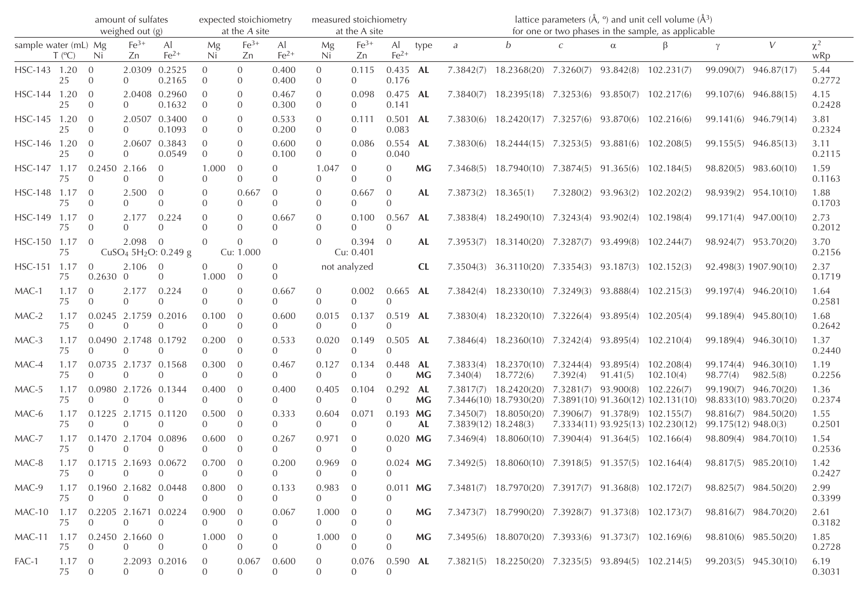|                                  |                      |                                  | amount of sulfates<br>weighed out (g) |                                                                | expected stoichiometry<br>at the A site |                                  |                            | measured stoichiometry<br>at the A site |                                  |                                |           | lattice parameters $(\AA)$ , $\degree$ ) and unit cell volume $(\AA^3)$<br>for one or two phases in the sample, as applicable |                                                                         |                                |                                            |                                   |                     |                                               |                 |  |
|----------------------------------|----------------------|----------------------------------|---------------------------------------|----------------------------------------------------------------|-----------------------------------------|----------------------------------|----------------------------|-----------------------------------------|----------------------------------|--------------------------------|-----------|-------------------------------------------------------------------------------------------------------------------------------|-------------------------------------------------------------------------|--------------------------------|--------------------------------------------|-----------------------------------|---------------------|-----------------------------------------------|-----------------|--|
| sample water (mL) Mg             | $T (^{\circ}C)$      | Ni                               | $Fe3+$<br>Zn                          | AI<br>$Fe2+$                                                   | Mg<br>Ni                                | $Fe3+$<br>Zn                     | AL<br>$Fe2+$               | Mg<br>Ni                                | $Fe3+$<br>Zn                     | Al<br>$Fe2+$                   | type      | $\partial$                                                                                                                    | b                                                                       | $\epsilon$                     | $\alpha$                                   | β                                 | $\gamma$            | $\vee$                                        | $\chi^2$<br>wRp |  |
| HSC-143 1.20                     | 25                   | $\overline{0}$<br>$\overline{0}$ | $\Omega$                              | 2.0309 0.2525<br>0.2165                                        | $\overline{0}$<br>$\overline{0}$        | 0<br>$\Omega$                    | 0.400<br>0.400             | $\overline{0}$<br>$\overline{0}$        | 0.115<br>$\Omega$                | 0.435 AL<br>0.176              |           |                                                                                                                               | 7.3842(7) 18.2368(20) 7.3260(7) 93.842(8) 102.231(7)                    |                                |                                            |                                   |                     | 99.090(7) 946.87(17)                          | 5.44<br>0.2772  |  |
| HSC-144 1.20                     | 25                   | $\overline{0}$<br>$\overline{0}$ | $\Omega$                              | 2.0408 0.2960<br>0.1632                                        | $\overline{0}$<br>$\overline{0}$        | 0<br>$\Omega$                    | 0.467<br>0.300             | $\overline{0}$<br>$\overline{0}$        | 0.098<br>$\Omega$                | $0.475$ AL<br>0.141            |           |                                                                                                                               | 7.3840(7) 18.2395(18) 7.3253(6) 93.850(7) 102.217(6)                    |                                |                                            |                                   |                     | 99.107(6) 946.88(15)                          | 4.15<br>0.2428  |  |
| HSC-145 1.20                     | 25                   | $\overline{0}$<br>$\overline{0}$ | $\Omega$                              | 2.0507 0.3400<br>0.1093                                        | $\overline{0}$<br>$\overline{0}$        | 0<br>$\Omega$                    | 0.533<br>0.200             | $\overline{0}$<br>$\overline{0}$        | 0.111<br>$\Omega$                | $0.501$ AL<br>0.083            |           |                                                                                                                               | 7.3830(6) 18.2420(17) 7.3257(6) 93.870(6) 102.216(6)                    |                                |                                            |                                   |                     | 99.141(6) 946.79(14)                          | 3.81<br>0.2324  |  |
| HSC-146 1.20                     | 25                   | $\overline{0}$<br>$\overline{0}$ | $\Omega$                              | 2.0607 0.3843<br>0.0549                                        | $\overline{0}$<br>$\Omega$              | 0<br>$\Omega$                    | 0.600<br>0.100             | $\overline{0}$<br>$\Omega$              | 0.086<br>$\Omega$                | 0.554 AL<br>0.040              |           | 7.3830(6)                                                                                                                     | 18.2444(15) 7.3253(5) 93.881(6) 102.208(5)                              |                                |                                            |                                   |                     | 99.155(5) 946.85(13)                          | 3.11<br>0.2115  |  |
| HSC-147 1.17                     | 75                   | 0.2450 2.166<br>$\Omega$         | $\Omega$                              | $\overline{0}$<br>$\Omega$                                     | 1.000<br>$\Omega$                       | $\overline{0}$<br>$\Omega$       | $\overline{0}$<br>$\Omega$ | 1.047<br>0                              | $\overline{0}$<br>$\Omega$       | $\overline{0}$<br>$\Omega$     | MG        |                                                                                                                               | 7.3468(5) 18.7940(10) 7.3874(5) 91.365(6) 102.184(5)                    |                                |                                            |                                   |                     | 98.820(5) 983.60(10)                          | 1.59<br>0.1163  |  |
| HSC-148 1.17                     | 75                   | $\overline{0}$<br>$\overline{0}$ | 2.500<br>$\Omega$                     | $\overline{0}$<br>$\Omega$                                     | $\mathbf{0}$<br>$\overline{0}$          | 0.667<br>$\Omega$                | $\overline{0}$<br>$\Omega$ | $\overline{0}$<br>$\Omega$              | 0.667<br>$\Omega$                | $\overline{0}$<br>$\Omega$     | AL        | $7.3873(2)$ 18.365(1)                                                                                                         |                                                                         |                                | 7.3280(2) 93.963(2) 102.202(2)             |                                   |                     | 98.939(2) 954.10(10)                          | 1.88<br>0.1703  |  |
| HSC-149 1.17                     | 75                   | $\overline{0}$<br>$\overline{0}$ | 2.177<br>$\Omega$                     | 0.224<br>$\Omega$                                              | $\overline{0}$<br>$\overline{0}$        | 0<br>$\Omega$                    | 0.667<br>$\Omega$          | $\overline{0}$<br>$\Omega$              | 0.100<br>$\Omega$                | 0.567<br>$\Omega$              | AL        |                                                                                                                               | 7.3838(4) 18.2490(10) 7.3243(4) 93.902(4) 102.198(4)                    |                                |                                            |                                   |                     | 99.171(4) 947.00(10)                          | 2.73<br>0.2012  |  |
| HSC-150 1.17 0                   | 75                   |                                  | 2.098                                 | $\overline{0}$<br>CuSO <sub>4</sub> 5H <sub>2</sub> O: 0.249 g | $\Omega$                                | $\Omega$<br>Cu: 1.000            | $\overline{0}$             | 0                                       | 0.394<br>Cu: 0.401               | $\overline{0}$                 | AL        |                                                                                                                               | 7.3953(7) 18.3140(20) 7.3287(7) 93.499(8) 102.244(7)                    |                                |                                            |                                   |                     | 98.924(7) 953.70(20)                          | 3.70<br>0.2156  |  |
| HSC-151 1.17                     | 75                   | $\overline{0}$<br>$0.2630$ 0     | 2.106                                 | $\overline{0}$<br>$\Omega$                                     | $\overline{0}$<br>1.000                 | $\overline{0}$<br>$\overline{0}$ | $\overline{0}$<br>$\Omega$ |                                         | not analyzed                     |                                | <b>CL</b> |                                                                                                                               | 7.3504(3) 36.3110(20) 7.3354(3) 93.187(3) 102.152(3)                    |                                |                                            |                                   |                     | 92.498(3) 1907.90(10)                         | 2.37<br>0.1719  |  |
| MAC-1                            | 1.17<br>75           | $\overline{0}$<br>$\Omega$       | 2.177<br>$\Omega$                     | 0.224<br>$\Omega$                                              | $\overline{0}$<br>$\Omega$              | $\Omega$<br>$\Omega$             | 0.667<br>$\Omega$          | $\overline{0}$<br>$\Omega$              | 0.002<br>$\Omega$                | $0.665$ AL<br>$\Omega$         |           |                                                                                                                               | 7.3842(4) 18.2330(10) 7.3249(3) 93.888(4) 102.215(3)                    |                                |                                            |                                   |                     | 99.197(4) 946.20(10)                          | 1.64<br>0.2581  |  |
| MAC-2                            | 1.17<br>75           | $\Omega$                         | $\Omega$                              | 0.0245 2.1759 0.2016<br>$\Omega$                               | 0.100<br>$\Omega$                       | $\overline{0}$<br>$\Omega$       | 0.600<br>$\Omega$          | 0.015<br>$\Omega$                       | 0.137<br>$\Omega$                | 0.519 AL<br>$\Omega$           |           |                                                                                                                               | 7.3830(4) 18.2320(10) 7.3226(4) 93.895(4) 102.205(4)                    |                                |                                            |                                   |                     | 99.189(4) 945.80(10)                          | 1.68<br>0.2642  |  |
| MAC-3                            | 1.17<br>75           | $\Omega$                         | 0.0490 2.1748 0.1792<br>$\Omega$      | $\Omega$                                                       | 0.200<br>$\Omega$                       | $\overline{0}$<br>$\Omega$       | 0.533<br>$\Omega$          | 0.020<br>$\Omega$                       | 0.149<br>$\Omega$                | $0.505$ AL<br>$\Omega$         |           |                                                                                                                               | 7.3846(4) 18.2360(10) 7.3242(4) 93.895(4) 102.210(4)                    |                                |                                            |                                   |                     | 99.189(4) 946.30(10)                          | 1.37<br>0.2440  |  |
| MAC-4                            | 1.17<br>75           | $\Omega$                         | $\Omega$                              | 0.0735 2.1737 0.1568<br>$\overline{0}$                         | 0.300<br>$\Omega$                       | $\overline{0}$<br>$\Omega$       | 0.467<br>$\Omega$          | 0.127<br>$\Omega$                       | 0.134<br>$\Omega$                | $0.448$ AL<br>$\overline{0}$   | <b>MG</b> | 7.3833(4)<br>7.340(4)                                                                                                         | 18.2370(10)<br>18.772(6)                                                | 7.392(4)                       | 7.3244(4) 93.895(4) 102.208(4)<br>91.41(5) | 102.10(4)                         | 98.77(4)            | 99.174(4) 946.30(10)<br>982.5(8)              | 1.19<br>0.2256  |  |
| MAC-5                            | 1.17<br>75           | $\Omega$                         | 0.0980 2.1726 0.1344<br>$\Omega$      | $\Omega$                                                       | 0.400<br>$\Omega$                       | $\overline{0}$<br>$\Omega$       | 0.400<br>$\Omega$          | 0.405<br>$\Omega$                       | 0.104<br>$\Omega$                | $0.292$ AL<br>$\overline{0}$   | MG        | 7.3817(7)                                                                                                                     | 18.2420(20)<br>7.3446(10) 18.7930(20) 7.3891(10) 91.360(12) 102.131(10) | 7.3281(7) 93.900(8) 102.226(7) |                                            |                                   |                     | 99.190(7) 946.70(20)<br>98.833(10) 983.70(20) | 1.36<br>0.2374  |  |
| MAC-6                            | 1.17<br>75           | $\Omega$                         | $\Omega$                              | 0.1225 2.1715 0.1120<br>$\Omega$                               | 0.500<br>$\Omega$                       | $\overline{0}$<br>$\Omega$       | 0.333<br>$\Omega$          | 0.604<br>$\Omega$                       | 0.071<br>$\Omega$                | $0.193$ MG<br>$\overline{0}$   | AL        | 7.3839(12) 18.248(3)                                                                                                          | 7.3450(7) 18.8050(20) 7.3906(7) 91.378(9) 102.155(7)                    |                                |                                            | 7.3334(11) 93.925(13) 102.230(12) | 99.175(12) 948.0(3) | 98.816(7) 984.50(20)                          | 1.55<br>0.2501  |  |
| MAC-7                            | 1.17<br>75           | $\Omega$                         | $\Omega$                              | 0.1470 2.1704 0.0896<br>$\Omega$                               | 0.600<br>$\Omega$                       | $\overline{0}$<br>$\Omega$       | 0.267<br>$\Omega$          | 0.971<br>$\Omega$                       | $\overline{0}$<br>$\overline{0}$ | $0.020$ MG<br>$\Omega$         |           |                                                                                                                               | 7.3469(4) 18.8060(10) 7.3904(4) 91.364(5) 102.166(4)                    |                                |                                            |                                   |                     | 98.809(4) 984.70(10)                          | 1.54<br>0.2536  |  |
| MAC-8                            | 75                   | $\overline{0}$<br>$\overline{0}$ |                                       | 1.17 0.1715 2.1693 0.0672<br>$\overline{0}$                    | 0.700<br>$\overline{0}$                 | $\overline{0}$<br>$\overline{0}$ | 0.200<br>$\overline{0}$    | $0.969 \quad 0$<br>$\overline{0}$       | $\overline{0}$                   | $0.024$ MG<br>$\overline{0}$   |           |                                                                                                                               | 7.3492(5) 18.8060(10) 7.3918(5) 91.357(5) 102.164(4)                    |                                |                                            |                                   |                     | 98.817(5) 985.20(10)                          | 1.42<br>0.2427  |  |
| MAC-9 1.17 0.1960 2.1682 0.0448  | 75                   |                                  | $\Omega$                              | $\left( \right)$                                               | $0.800 \quad 0$<br>0                    | $\Omega$                         | 0.133<br>$\Omega$          | $0.983$ 0<br>0                          | $\theta$                         | $0.011$ MG<br>$\left( \right)$ |           |                                                                                                                               | 7.3481(7) 18.7970(20) 7.3917(7) 91.368(8) 102.172(7)                    |                                |                                            |                                   |                     | 98.825(7) 984.50(20)                          | 2.99<br>0.3399  |  |
| MAC-10 1.17 0.2205 2.1671 0.0224 | 75                   | $\overline{0}$                   | $\overline{0}$                        | $\overline{0}$                                                 | 0.900<br>$\Omega$                       | $\overline{0}$<br>$\theta$       | 0.067<br>$\Omega$          | $1.000 \t 0$<br>$\Omega$                | $\theta$                         | $\theta$<br>$\theta$           | МG        |                                                                                                                               | 7.3473(7) 18.7990(20) 7.3928(7) 91.373(8) 102.173(7)                    |                                |                                            |                                   |                     | 98.816(7) 984.70(20)                          | 2.61<br>0.3182  |  |
| MAC-11 1.17 0.2450 2.1660 0      | 75                   | $\Omega$                         | $\overline{0}$                        | $\Omega$                                                       | 1.000<br>$\left( \right)$               | $\theta$<br>$\Omega$             | 0<br>$\Omega$              | 1.000<br>0                              | $\theta$<br>$\Omega$             | $\mathbf{0}$<br>$\Omega$       | МG        |                                                                                                                               | 7.3495(6) 18.8070(20) 7.3933(6) 91.373(7) 102.169(6)                    |                                |                                            |                                   |                     | 98.810(6) 985.50(20)                          | 1.85<br>0.2728  |  |
| FAC-1                            | $1.17 \quad 0$<br>75 | $\theta$                         | $\overline{0}$                        | 2.2093 0.2016<br>$\overline{0}$                                | $\theta$<br>$\theta$                    | 0.067<br>0                       | 0.600<br>$\theta$          | $\theta$<br>$\overline{0}$              | 0.076<br>$\Omega$                | $0.590$ AL<br>$\Omega$         |           |                                                                                                                               | 7.3821(5) 18.2250(20) 7.3235(5) 93.894(5) 102.214(5)                    |                                |                                            |                                   |                     | 99.203(5) 945.30(10)                          | 6.19<br>0.3031  |  |